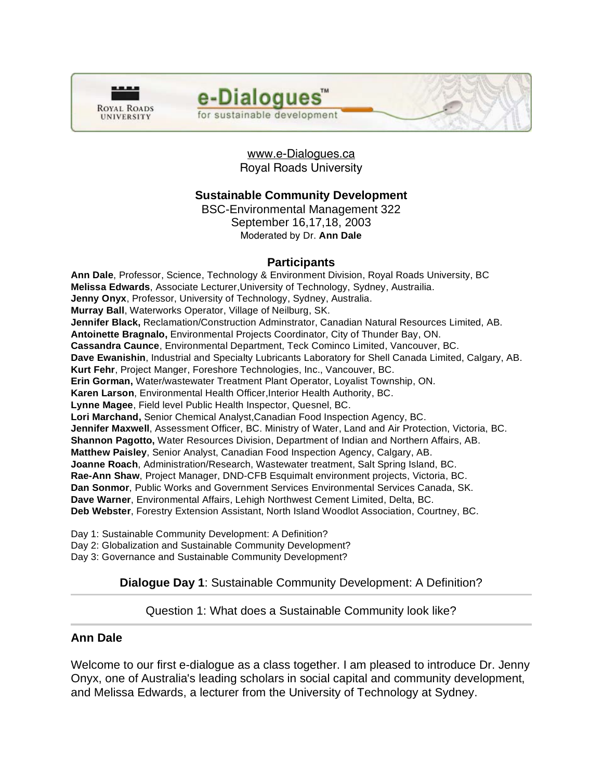

# e-Dialogues<sup>"</sup> for sustainable development

www.e-Dialogues.ca Royal Roads University

# **Sustainable Community Development**

BSC-Environmental Management 322 September 16,17,18, 2003 Moderated by Dr. **Ann Dale**

### **Participants**

**Ann Dale**, Professor, Science, Technology & Environment Division, Royal Roads University, BC **Melissa Edwards**, Associate Lecturer,University of Technology, Sydney, Austrailia. **Jenny Onyx**, Professor, University of Technology, Sydney, Australia. **Murray Ball**, Waterworks Operator, Village of Neilburg, SK. **Jennifer Black,** Reclamation/Construction Adminstrator, Canadian Natural Resources Limited, AB. **Antoinette Bragnalo,** Environmental Projects Coordinator, City of Thunder Bay, ON. **Cassandra Caunce**, Environmental Department, Teck Cominco Limited, Vancouver, BC. **Dave Ewanishin**, Industrial and Specialty Lubricants Laboratory for Shell Canada Limited, Calgary, AB. **Kurt Fehr**, Project Manger, Foreshore Technologies, Inc., Vancouver, BC. **Erin Gorman,** Water/wastewater Treatment Plant Operator, Loyalist Township, ON. **Karen Larson**, Environmental Health Officer,Interior Health Authority, BC. **Lynne Magee**, Field level Public Health Inspector, Quesnel, BC. **Lori Marchand,** Senior Chemical Analyst,Canadian Food Inspection Agency, BC. **Jennifer Maxwell**, Assessment Officer, BC. Ministry of Water, Land and Air Protection, Victoria, BC. **Shannon Pagotto,** Water Resources Division, Department of Indian and Northern Affairs, AB. **Matthew Paisley**, Senior Analyst, Canadian Food Inspection Agency, Calgary, AB. **Joanne Roach**, Administration/Research, Wastewater treatment, Salt Spring Island, BC. **Rae-Ann Shaw**, Project Manager, DND-CFB Esquimalt environment projects, Victoria, BC. **Dan Sonmor**, Public Works and Government Services Environmental Services Canada, SK. **Dave Warner**, Environmental Affairs, Lehigh Northwest Cement Limited, Delta, BC. **Deb Webster**, Forestry Extension Assistant, North Island Woodlot Association, Courtney, BC.

Day 1: Sustainable Community Development: A Definition?

Day 2: Globalization and Sustainable Community Development?

Day 3: Governance and Sustainable Community Development?

# **Dialogue Day 1**: Sustainable Community Development: A Definition?

#### Question 1: What does a Sustainable Community look like?

# **Ann Dale**

l

Welcome to our first e-dialogue as a class together. I am pleased to introduce Dr. Jenny Onyx, one of Australia's leading scholars in social capital and community development, and Melissa Edwards, a lecturer from the University of Technology at Sydney.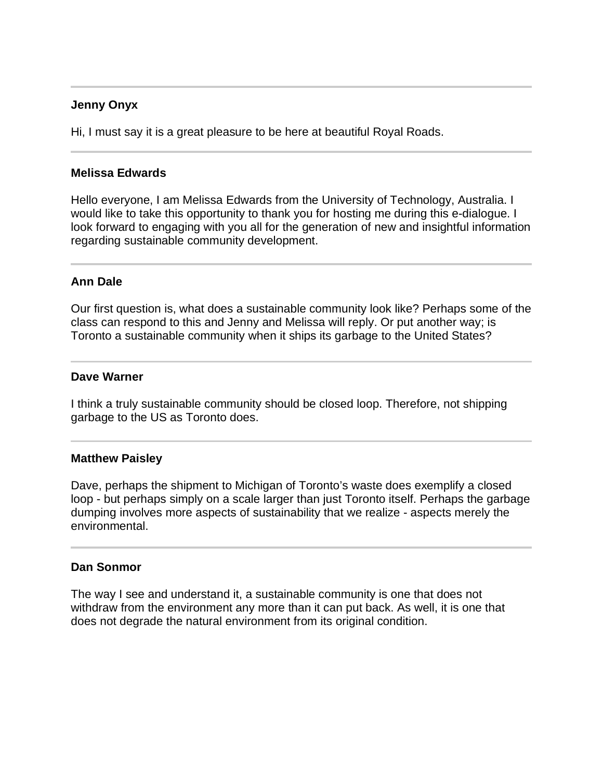## **Jenny Onyx**

 $\overline{a}$ 

Hi, I must say it is a great pleasure to be here at beautiful Royal Roads.

#### **Melissa Edwards**

Hello everyone, I am Melissa Edwards from the University of Technology, Australia. I would like to take this opportunity to thank you for hosting me during this e-dialogue. I look forward to engaging with you all for the generation of new and insightful information regarding sustainable community development.

### **Ann Dale**

Our first question is, what does a sustainable community look like? Perhaps some of the class can respond to this and Jenny and Melissa will reply. Or put another way; is Toronto a sustainable community when it ships its garbage to the United States?

#### **Dave Warner**

I think a truly sustainable community should be closed loop. Therefore, not shipping garbage to the US as Toronto does.

#### **Matthew Paisley**

Dave, perhaps the shipment to Michigan of Toronto's waste does exemplify a closed loop - but perhaps simply on a scale larger than just Toronto itself. Perhaps the garbage dumping involves more aspects of sustainability that we realize - aspects merely the environmental.

#### **Dan Sonmor**

The way I see and understand it, a sustainable community is one that does not withdraw from the environment any more than it can put back. As well, it is one that does not degrade the natural environment from its original condition.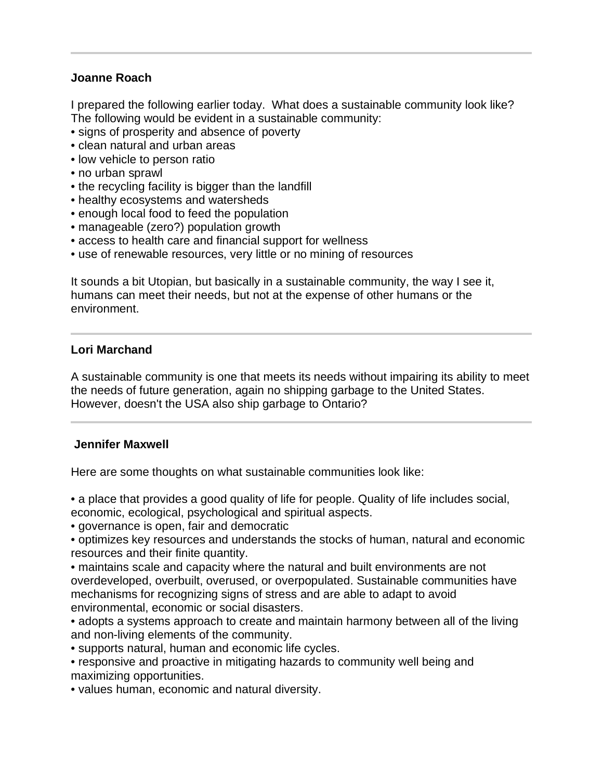# **Joanne Roach**

I prepared the following earlier today. What does a sustainable community look like? The following would be evident in a sustainable community:

- signs of prosperity and absence of poverty
- clean natural and urban areas
- low vehicle to person ratio
- no urban sprawl
- the recycling facility is bigger than the landfill
- healthy ecosystems and watersheds
- enough local food to feed the population
- manageable (zero?) population growth
- access to health care and financial support for wellness
- use of renewable resources, very little or no mining of resources

It sounds a bit Utopian, but basically in a sustainable community, the way I see it, humans can meet their needs, but not at the expense of other humans or the environment.

### **Lori Marchand**

j

l

A sustainable community is one that meets its needs without impairing its ability to meet the needs of future generation, again no shipping garbage to the United States. However, doesn't the USA also ship garbage to Ontario?

#### **Jennifer Maxwell**

Here are some thoughts on what sustainable communities look like:

• a place that provides a good quality of life for people. Quality of life includes social, economic, ecological, psychological and spiritual aspects.

- governance is open, fair and democratic
- optimizes key resources and understands the stocks of human, natural and economic resources and their finite quantity.

• maintains scale and capacity where the natural and built environments are not overdeveloped, overbuilt, overused, or overpopulated. Sustainable communities have mechanisms for recognizing signs of stress and are able to adapt to avoid environmental, economic or social disasters.

• adopts a systems approach to create and maintain harmony between all of the living and non-living elements of the community.

• supports natural, human and economic life cycles.

• responsive and proactive in mitigating hazards to community well being and maximizing opportunities.

• values human, economic and natural diversity.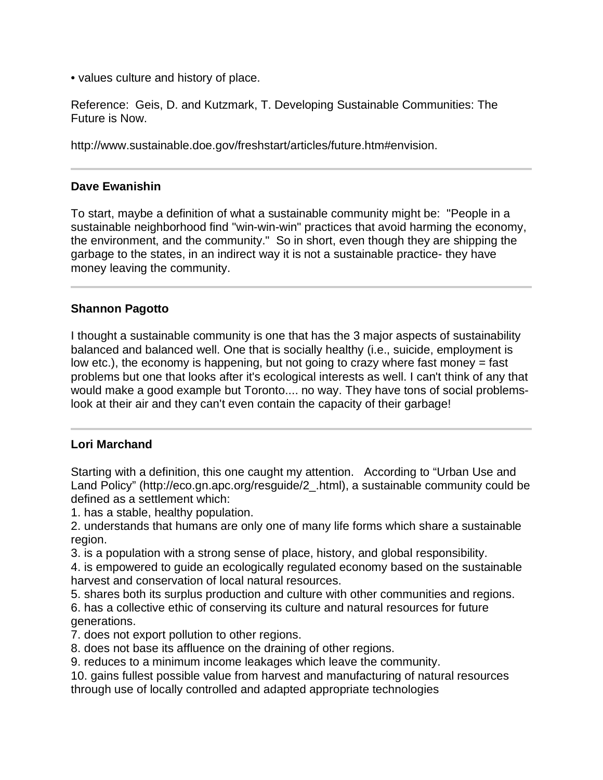• values culture and history of place.

Reference: Geis, D. and Kutzmark, T. Developing Sustainable Communities: The Future is Now.

http://www.sustainable.doe.gov/freshstart/articles/future.htm#envision.

## **Dave Ewanishin**

To start, maybe a definition of what a sustainable community might be: "People in a sustainable neighborhood find "win-win-win" practices that avoid harming the economy, the environment, and the community." So in short, even though they are shipping the garbage to the states, in an indirect way it is not a sustainable practice- they have money leaving the community.

# **Shannon Pagotto**

l

I thought a sustainable community is one that has the 3 major aspects of sustainability balanced and balanced well. One that is socially healthy (i.e., suicide, employment is low etc.), the economy is happening, but not going to crazy where fast money  $=$  fast problems but one that looks after it's ecological interests as well. I can't think of any that would make a good example but Toronto.... no way. They have tons of social problemslook at their air and they can't even contain the capacity of their garbage!

#### j **Lori Marchand**

Starting with a definition, this one caught my attention. According to "Urban Use and Land Policy" (http://eco.gn.apc.org/resguide/2\_.html), a sustainable community could be defined as a settlement which:

1. has a stable, healthy population.

2. understands that humans are only one of many life forms which share a sustainable region.

3. is a population with a strong sense of place, history, and global responsibility.

4. is empowered to guide an ecologically regulated economy based on the sustainable harvest and conservation of local natural resources.

5. shares both its surplus production and culture with other communities and regions.

6. has a collective ethic of conserving its culture and natural resources for future generations.

7. does not export pollution to other regions.

8. does not base its affluence on the draining of other regions.

9. reduces to a minimum income leakages which leave the community.

10. gains fullest possible value from harvest and manufacturing of natural resources through use of locally controlled and adapted appropriate technologies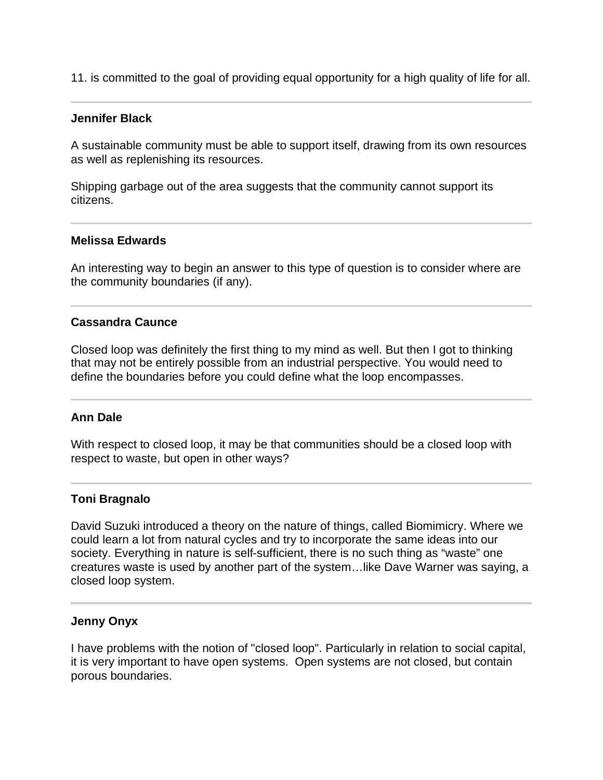11. is committed to the goal of providing equal opportunity for a high quality of life for all.

#### **Jennifer Black**

I

j

A sustainable community must be able to support itself, drawing from its own resources as well as replenishing its resources.

Shipping garbage out of the area suggests that the community cannot support its citizens.

#### **Melissa Edwards**

An interesting way to begin an answer to this type of question is to consider where are the community boundaries (if any).

#### **Cassandra Caunce**

Closed loop was definitely the first thing to my mind as well. But then I got to thinking that may not be entirely possible from an industrial perspective. You would need to define the boundaries before you could define what the loop encompasses.

#### **Ann Dale**

With respect to closed loop, it may be that communities should be a closed loop with respect to waste, but open in other ways?

#### **Toni Bragnalo**

David Suzuki introduced a theory on the nature of things, called Biomimicry. Where we could learn a lot from natural cycles and try to incorporate the same ideas into our society. Everything in nature is self-sufficient, there is no such thing as "waste" one creatures waste is used by another part of the system…like Dave Warner was saying, a closed loop system.

#### **Jenny Onyx**

I have problems with the notion of "closed loop". Particularly in relation to social capital, it is very important to have open systems. Open systems are not closed, but contain porous boundaries.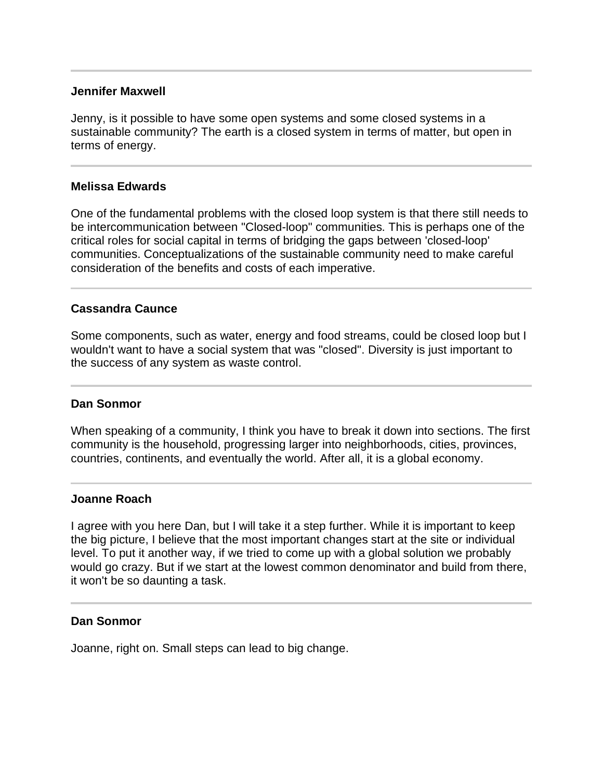### **Jennifer Maxwell**

Jenny, is it possible to have some open systems and some closed systems in a sustainable community? The earth is a closed system in terms of matter, but open in terms of energy.

### **Melissa Edwards**

One of the fundamental problems with the closed loop system is that there still needs to be intercommunication between "Closed-loop" communities. This is perhaps one of the critical roles for social capital in terms of bridging the gaps between 'closed-loop' communities. Conceptualizations of the sustainable community need to make careful consideration of the benefits and costs of each imperative.

# **Cassandra Caunce**

Some components, such as water, energy and food streams, could be closed loop but I wouldn't want to have a social system that was "closed". Diversity is just important to the success of any system as waste control.

#### **Dan Sonmor**

When speaking of a community, I think you have to break it down into sections. The first community is the household, progressing larger into neighborhoods, cities, provinces, countries, continents, and eventually the world. After all, it is a global economy.

### **Joanne Roach**

I agree with you here Dan, but I will take it a step further. While it is important to keep the big picture, I believe that the most important changes start at the site or individual level. To put it another way, if we tried to come up with a global solution we probably would go crazy. But if we start at the lowest common denominator and build from there, it won't be so daunting a task.

#### **Dan Sonmor**

Joanne, right on. Small steps can lead to big change.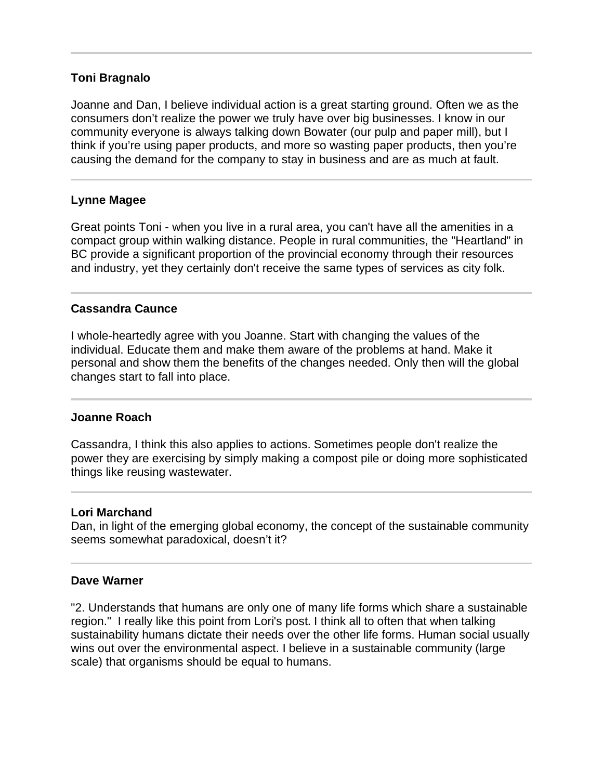### **Toni Bragnalo**

Joanne and Dan, I believe individual action is a great starting ground. Often we as the consumers don't realize the power we truly have over big businesses. I know in our community everyone is always talking down Bowater (our pulp and paper mill), but I think if you're using paper products, and more so wasting paper products, then you're causing the demand for the company to stay in business and are as much at fault.

#### **Lynne Magee**

Great points Toni - when you live in a rural area, you can't have all the amenities in a compact group within walking distance. People in rural communities, the "Heartland" in BC provide a significant proportion of the provincial economy through their resources and industry, yet they certainly don't receive the same types of services as city folk.

### **Cassandra Caunce**

I whole-heartedly agree with you Joanne. Start with changing the values of the individual. Educate them and make them aware of the problems at hand. Make it personal and show them the benefits of the changes needed. Only then will the global changes start to fall into place.

#### **Joanne Roach**

Ī

Ĩ

Cassandra, I think this also applies to actions. Sometimes people don't realize the power they are exercising by simply making a compost pile or doing more sophisticated things like reusing wastewater.

#### **Lori Marchand**

Dan, in light of the emerging global economy, the concept of the sustainable community seems somewhat paradoxical, doesn't it?

### **Dave Warner**

"2. Understands that humans are only one of many life forms which share a sustainable region." I really like this point from Lori's post. I think all to often that when talking sustainability humans dictate their needs over the other life forms. Human social usually wins out over the environmental aspect. I believe in a sustainable community (large scale) that organisms should be equal to humans.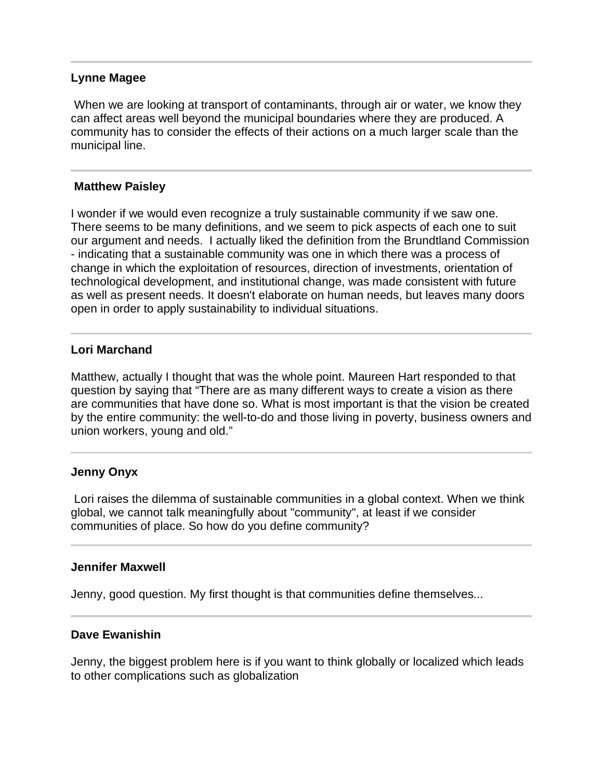#### **Lynne Magee**

 When we are looking at transport of contaminants, through air or water, we know they can affect areas well beyond the municipal boundaries where they are produced. A community has to consider the effects of their actions on a much larger scale than the municipal line.

#### **Matthew Paisley**

I wonder if we would even recognize a truly sustainable community if we saw one. There seems to be many definitions, and we seem to pick aspects of each one to suit our argument and needs. I actually liked the definition from the Brundtland Commission - indicating that a sustainable community was one in which there was a process of change in which the exploitation of resources, direction of investments, orientation of technological development, and institutional change, was made consistent with future as well as present needs. It doesn't elaborate on human needs, but leaves many doors open in order to apply sustainability to individual situations.

### **Lori Marchand**

j

l

Matthew, actually I thought that was the whole point. Maureen Hart responded to that question by saying that "There are as many different ways to create a vision as there are communities that have done so. What is most important is that the vision be created by the entire community: the well-to-do and those living in poverty, business owners and union workers, young and old."

#### **Jenny Onyx**

 Lori raises the dilemma of sustainable communities in a global context. When we think global, we cannot talk meaningfully about "community", at least if we consider communities of place. So how do you define community?

#### **Jennifer Maxwell**

Jenny, good question. My first thought is that communities define themselves...

#### **Dave Ewanishin**

Jenny, the biggest problem here is if you want to think globally or localized which leads to other complications such as globalization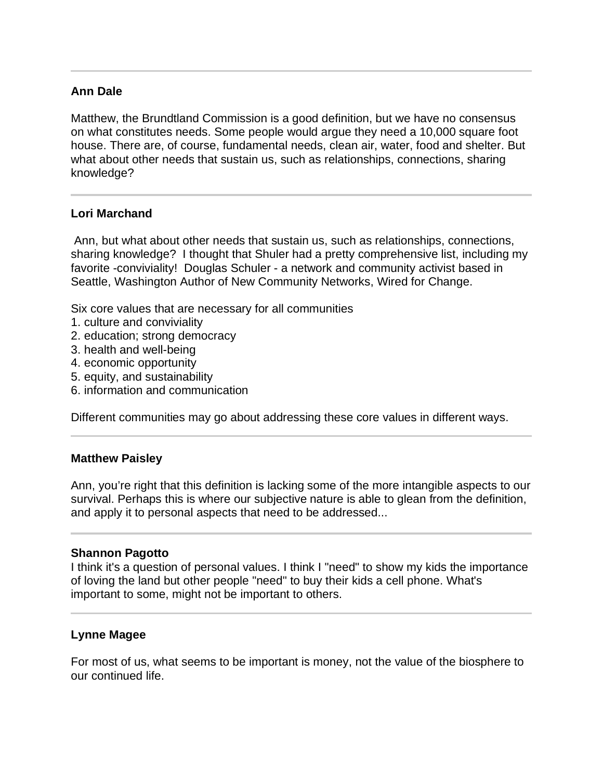# **Ann Dale**

Matthew, the Brundtland Commission is a good definition, but we have no consensus on what constitutes needs. Some people would argue they need a 10,000 square foot house. There are, of course, fundamental needs, clean air, water, food and shelter. But what about other needs that sustain us, such as relationships, connections, sharing knowledge?

# **Lori Marchand**

 Ann, but what about other needs that sustain us, such as relationships, connections, sharing knowledge? I thought that Shuler had a pretty comprehensive list, including my favorite -conviviality! Douglas Schuler - a network and community activist based in Seattle, Washington Author of New Community Networks, Wired for Change.

Six core values that are necessary for all communities

- 1. culture and conviviality
- 2. education; strong democracy
- 3. health and well-being
- 4. economic opportunity
- 5. equity, and sustainability
- 6. information and communication

Different communities may go about addressing these core values in different ways.

#### **Matthew Paisley**

Ann, you're right that this definition is lacking some of the more intangible aspects to our survival. Perhaps this is where our subjective nature is able to glean from the definition, and apply it to personal aspects that need to be addressed...

#### **Shannon Pagotto**

I think it's a question of personal values. I think I "need" to show my kids the importance of loving the land but other people "need" to buy their kids a cell phone. What's important to some, might not be important to others.

#### **Lynne Magee**

For most of us, what seems to be important is money, not the value of the biosphere to our continued life.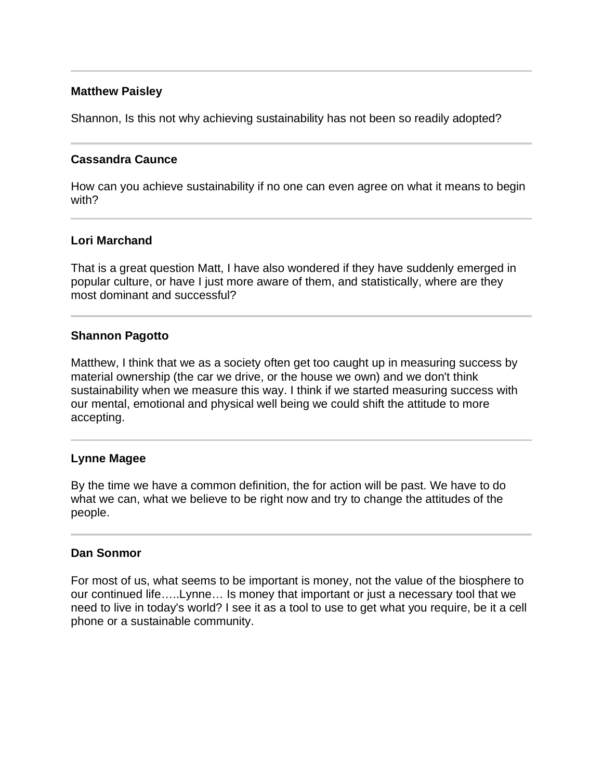# **Matthew Paisley**

Shannon, Is this not why achieving sustainability has not been so readily adopted?

# **Cassandra Caunce**

How can you achieve sustainability if no one can even agree on what it means to begin with?

# **Lori Marchand**

That is a great question Matt, I have also wondered if they have suddenly emerged in popular culture, or have I just more aware of them, and statistically, where are they most dominant and successful?

# **Shannon Pagotto**

Matthew, I think that we as a society often get too caught up in measuring success by material ownership (the car we drive, or the house we own) and we don't think sustainability when we measure this way. I think if we started measuring success with our mental, emotional and physical well being we could shift the attitude to more accepting.

# **Lynne Magee**

By the time we have a common definition, the for action will be past. We have to do what we can, what we believe to be right now and try to change the attitudes of the people.

#### **Dan Sonmor**

For most of us, what seems to be important is money, not the value of the biosphere to our continued life…..Lynne… Is money that important or just a necessary tool that we need to live in today's world? I see it as a tool to use to get what you require, be it a cell phone or a sustainable community.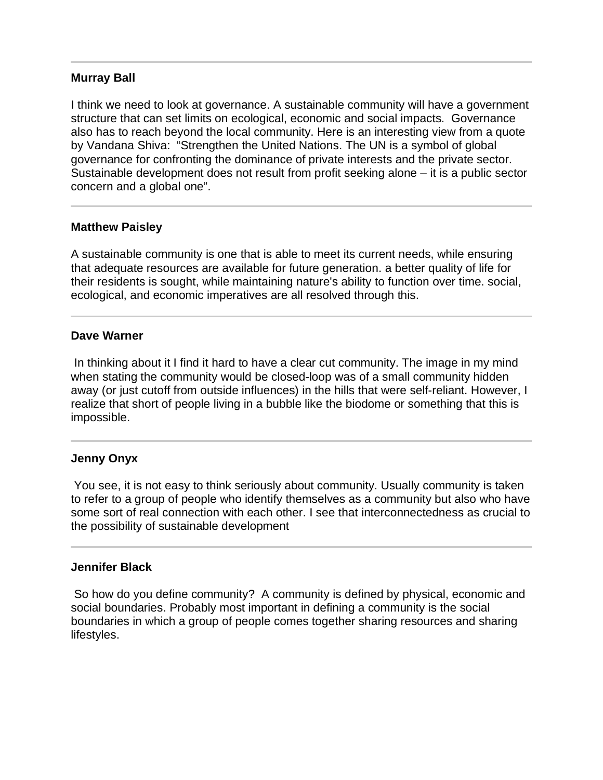### **Murray Ball**

I think we need to look at governance. A sustainable community will have a government structure that can set limits on ecological, economic and social impacts. Governance also has to reach beyond the local community. Here is an interesting view from a quote by Vandana Shiva: "Strengthen the United Nations. The UN is a symbol of global governance for confronting the dominance of private interests and the private sector. Sustainable development does not result from profit seeking alone – it is a public sector concern and a global one".

#### **Matthew Paisley**

A sustainable community is one that is able to meet its current needs, while ensuring that adequate resources are available for future generation. a better quality of life for their residents is sought, while maintaining nature's ability to function over time. social, ecological, and economic imperatives are all resolved through this.

#### **Dave Warner**

 In thinking about it I find it hard to have a clear cut community. The image in my mind when stating the community would be closed-loop was of a small community hidden away (or just cutoff from outside influences) in the hills that were self-reliant. However, I realize that short of people living in a bubble like the biodome or something that this is impossible.

#### **Jenny Onyx**

 You see, it is not easy to think seriously about community. Usually community is taken to refer to a group of people who identify themselves as a community but also who have some sort of real connection with each other. I see that interconnectedness as crucial to the possibility of sustainable development

#### **Jennifer Black**

 So how do you define community? A community is defined by physical, economic and social boundaries. Probably most important in defining a community is the social boundaries in which a group of people comes together sharing resources and sharing lifestyles.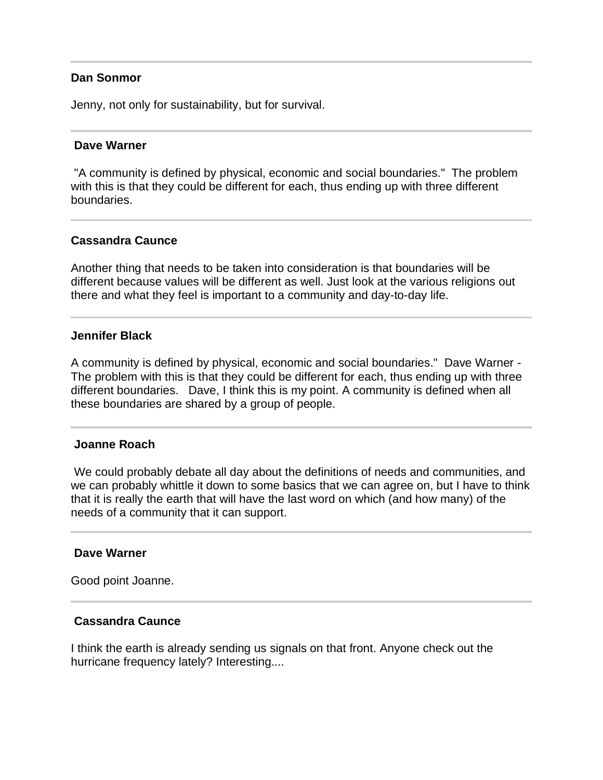#### **Dan Sonmor**

Jenny, not only for sustainability, but for survival.

#### **Dave Warner**

 "A community is defined by physical, economic and social boundaries." The problem with this is that they could be different for each, thus ending up with three different boundaries.

#### **Cassandra Caunce**

Another thing that needs to be taken into consideration is that boundaries will be different because values will be different as well. Just look at the various religions out there and what they feel is important to a community and day-to-day life.

#### **Jennifer Black**

A community is defined by physical, economic and social boundaries." Dave Warner - The problem with this is that they could be different for each, thus ending up with three different boundaries. Dave, I think this is my point. A community is defined when all these boundaries are shared by a group of people.

#### **Joanne Roach**

 We could probably debate all day about the definitions of needs and communities, and we can probably whittle it down to some basics that we can agree on, but I have to think that it is really the earth that will have the last word on which (and how many) of the needs of a community that it can support.

#### **Dave Warner**

j

Good point Joanne.

#### **Cassandra Caunce**

I think the earth is already sending us signals on that front. Anyone check out the hurricane frequency lately? Interesting....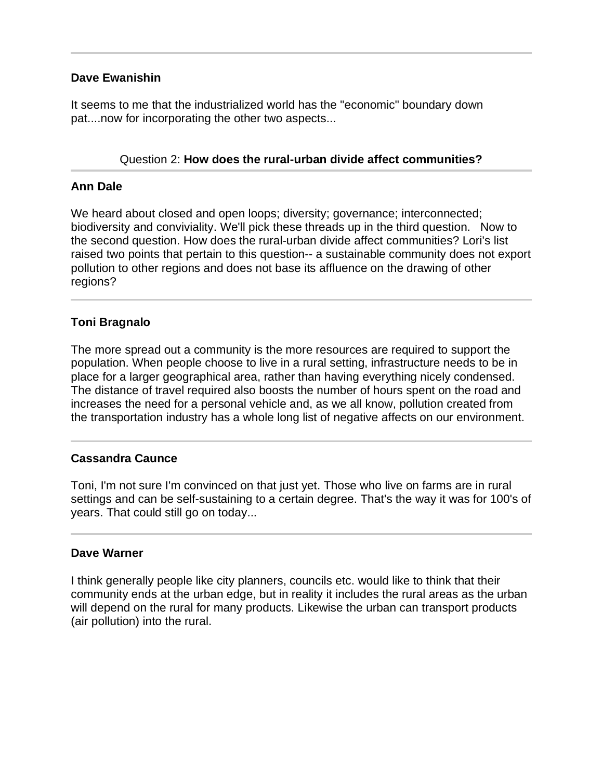# **Dave Ewanishin**

It seems to me that the industrialized world has the "economic" boundary down pat....now for incorporating the other two aspects...

# Question 2: **How does the rural-urban divide affect communities?**

# **Ann Dale**

We heard about closed and open loops; diversity; governance; interconnected; biodiversity and conviviality. We'll pick these threads up in the third question. Now to the second question. How does the rural-urban divide affect communities? Lori's list raised two points that pertain to this question-- a sustainable community does not export pollution to other regions and does not base its affluence on the drawing of other regions?

# **Toni Bragnalo**

l

The more spread out a community is the more resources are required to support the population. When people choose to live in a rural setting, infrastructure needs to be in place for a larger geographical area, rather than having everything nicely condensed. The distance of travel required also boosts the number of hours spent on the road and increases the need for a personal vehicle and, as we all know, pollution created from the transportation industry has a whole long list of negative affects on our environment.

# **Cassandra Caunce**

Toni, I'm not sure I'm convinced on that just yet. Those who live on farms are in rural settings and can be self-sustaining to a certain degree. That's the way it was for 100's of years. That could still go on today...

# **Dave Warner**

I think generally people like city planners, councils etc. would like to think that their community ends at the urban edge, but in reality it includes the rural areas as the urban will depend on the rural for many products. Likewise the urban can transport products (air pollution) into the rural.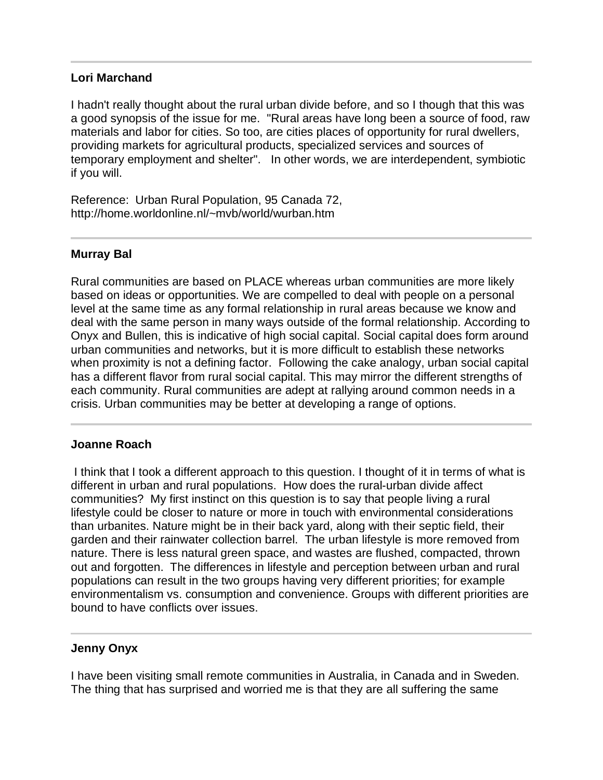## **Lori Marchand**

I hadn't really thought about the rural urban divide before, and so I though that this was a good synopsis of the issue for me. "Rural areas have long been a source of food, raw materials and labor for cities. So too, are cities places of opportunity for rural dwellers, providing markets for agricultural products, specialized services and sources of temporary employment and shelter". In other words, we are interdependent, symbiotic if you will.

Reference: Urban Rural Population, 95 Canada 72, http://home.worldonline.nl/~mvb/world/wurban.htm

# **Murray Bal**

Rural communities are based on PLACE whereas urban communities are more likely based on ideas or opportunities. We are compelled to deal with people on a personal level at the same time as any formal relationship in rural areas because we know and deal with the same person in many ways outside of the formal relationship. According to Onyx and Bullen, this is indicative of high social capital. Social capital does form around urban communities and networks, but it is more difficult to establish these networks when proximity is not a defining factor. Following the cake analogy, urban social capital has a different flavor from rural social capital. This may mirror the different strengths of each community. Rural communities are adept at rallying around common needs in a crisis. Urban communities may be better at developing a range of options.

# **Joanne Roach**

 I think that I took a different approach to this question. I thought of it in terms of what is different in urban and rural populations. How does the rural-urban divide affect communities? My first instinct on this question is to say that people living a rural lifestyle could be closer to nature or more in touch with environmental considerations than urbanites. Nature might be in their back yard, along with their septic field, their garden and their rainwater collection barrel. The urban lifestyle is more removed from nature. There is less natural green space, and wastes are flushed, compacted, thrown out and forgotten. The differences in lifestyle and perception between urban and rural populations can result in the two groups having very different priorities; for example environmentalism vs. consumption and convenience. Groups with different priorities are bound to have conflicts over issues.

# **Jenny Onyx**

j

I have been visiting small remote communities in Australia, in Canada and in Sweden. The thing that has surprised and worried me is that they are all suffering the same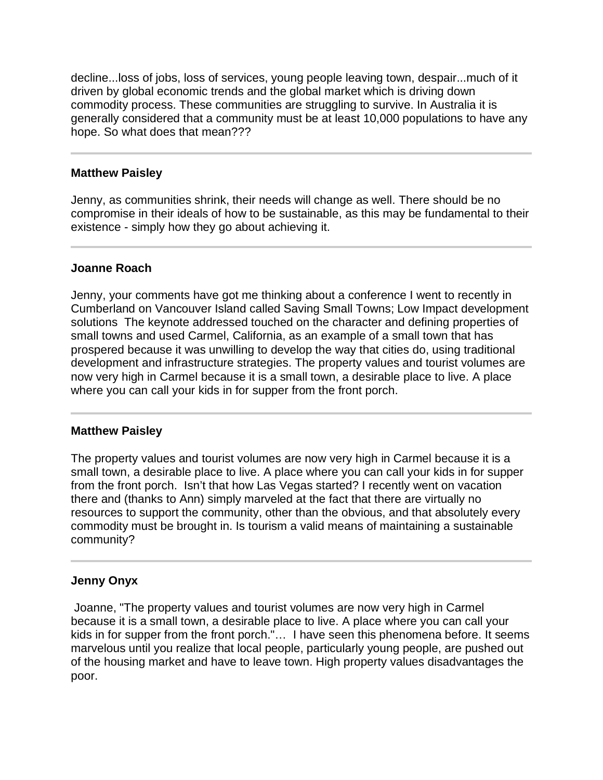decline...loss of jobs, loss of services, young people leaving town, despair...much of it driven by global economic trends and the global market which is driving down commodity process. These communities are struggling to survive. In Australia it is generally considered that a community must be at least 10,000 populations to have any hope. So what does that mean???

### **Matthew Paisley**

Jenny, as communities shrink, their needs will change as well. There should be no compromise in their ideals of how to be sustainable, as this may be fundamental to their existence - simply how they go about achieving it.

# **Joanne Roach**

Jenny, your comments have got me thinking about a conference I went to recently in Cumberland on Vancouver Island called Saving Small Towns; Low Impact development solutions The keynote addressed touched on the character and defining properties of small towns and used Carmel, California, as an example of a small town that has prospered because it was unwilling to develop the way that cities do, using traditional development and infrastructure strategies. The property values and tourist volumes are now very high in Carmel because it is a small town, a desirable place to live. A place where you can call your kids in for supper from the front porch.

#### **Matthew Paisley**

The property values and tourist volumes are now very high in Carmel because it is a small town, a desirable place to live. A place where you can call your kids in for supper from the front porch. Isn't that how Las Vegas started? I recently went on vacation there and (thanks to Ann) simply marveled at the fact that there are virtually no resources to support the community, other than the obvious, and that absolutely every commodity must be brought in. Is tourism a valid means of maintaining a sustainable community?

# **Jenny Onyx**

 Joanne, "The property values and tourist volumes are now very high in Carmel because it is a small town, a desirable place to live. A place where you can call your kids in for supper from the front porch."… I have seen this phenomena before. It seems marvelous until you realize that local people, particularly young people, are pushed out of the housing market and have to leave town. High property values disadvantages the poor.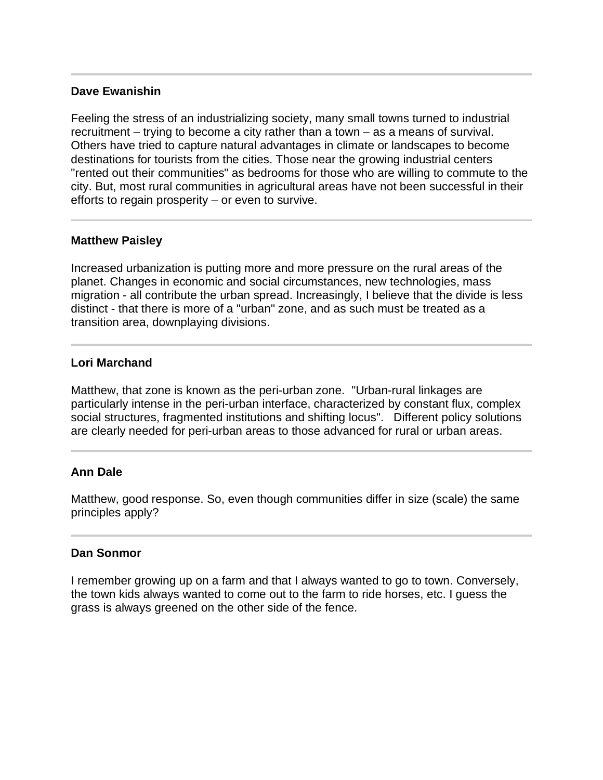## **Dave Ewanishin**

I

Feeling the stress of an industrializing society, many small towns turned to industrial recruitment – trying to become a city rather than a town – as a means of survival. Others have tried to capture natural advantages in climate or landscapes to become destinations for tourists from the cities. Those near the growing industrial centers "rented out their communities" as bedrooms for those who are willing to commute to the city. But, most rural communities in agricultural areas have not been successful in their efforts to regain prosperity – or even to survive.

### **Matthew Paisley**

Increased urbanization is putting more and more pressure on the rural areas of the planet. Changes in economic and social circumstances, new technologies, mass migration - all contribute the urban spread. Increasingly, I believe that the divide is less distinct - that there is more of a "urban" zone, and as such must be treated as a transition area, downplaying divisions.

### **Lori Marchand**

Ī

Matthew, that zone is known as the peri-urban zone. "Urban-rural linkages are particularly intense in the peri-urban interface, characterized by constant flux, complex social structures, fragmented institutions and shifting locus". Different policy solutions are clearly needed for peri-urban areas to those advanced for rural or urban areas.

# **Ann Dale**

Matthew, good response. So, even though communities differ in size (scale) the same principles apply?

#### **Dan Sonmor**

I remember growing up on a farm and that I always wanted to go to town. Conversely, the town kids always wanted to come out to the farm to ride horses, etc. I guess the grass is always greened on the other side of the fence.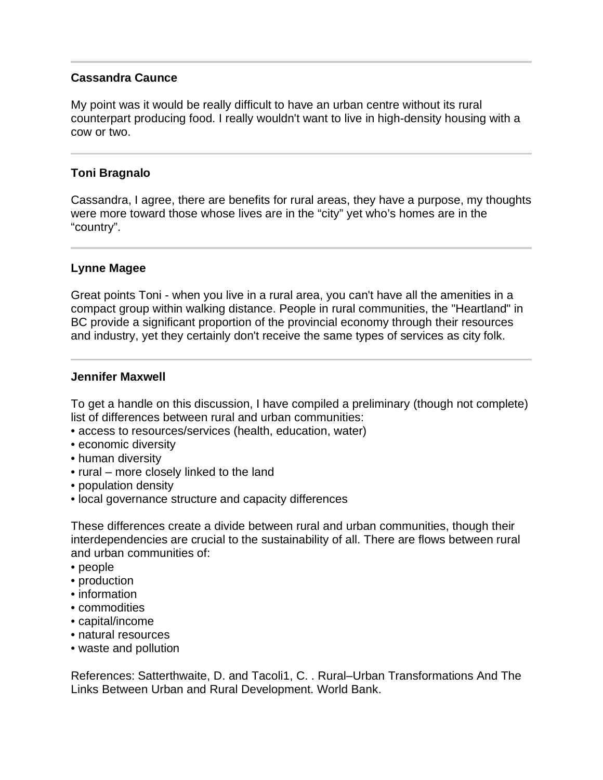# **Cassandra Caunce**

My point was it would be really difficult to have an urban centre without its rural counterpart producing food. I really wouldn't want to live in high-density housing with a cow or two.

# **Toni Bragnalo**

Cassandra, I agree, there are benefits for rural areas, they have a purpose, my thoughts were more toward those whose lives are in the "city" yet who's homes are in the "country".

# **Lynne Magee**

Great points Toni - when you live in a rural area, you can't have all the amenities in a compact group within walking distance. People in rural communities, the "Heartland" in BC provide a significant proportion of the provincial economy through their resources and industry, yet they certainly don't receive the same types of services as city folk.

# **Jennifer Maxwell**

To get a handle on this discussion, I have compiled a preliminary (though not complete) list of differences between rural and urban communities:

- access to resources/services (health, education, water)
- economic diversity
- human diversity
- rural more closely linked to the land
- population density
- local governance structure and capacity differences

These differences create a divide between rural and urban communities, though their interdependencies are crucial to the sustainability of all. There are flows between rural and urban communities of:

- people
- production
- information
- commodities
- capital/income
- natural resources
- waste and pollution

References: Satterthwaite, D. and Tacoli1, C. . Rural–Urban Transformations And The Links Between Urban and Rural Development. World Bank.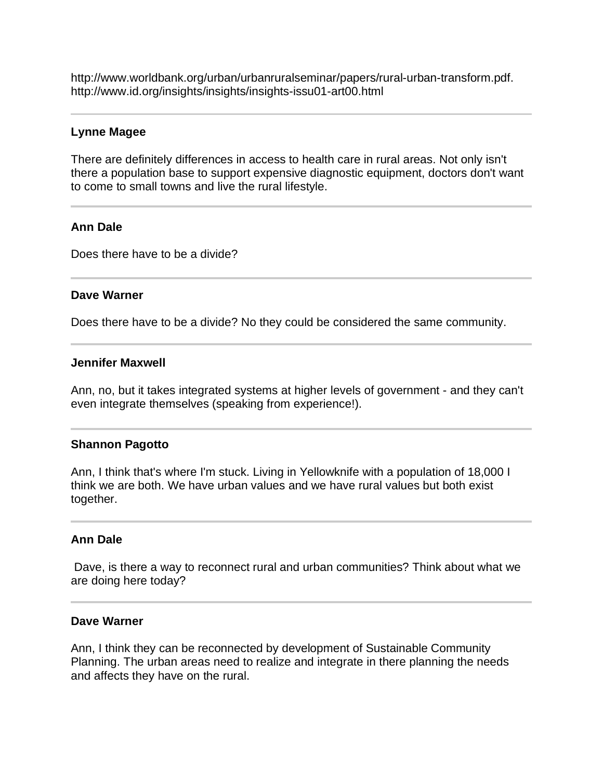http://www.worldbank.org/urban/urbanruralseminar/papers/rural-urban-transform.pdf. http://www.id.org/insights/insights/insights-issu01-art00.html

### **Lynne Magee**

There are definitely differences in access to health care in rural areas. Not only isn't there a population base to support expensive diagnostic equipment, doctors don't want to come to small towns and live the rural lifestyle.

### **Ann Dale**

Does there have to be a divide?

#### **Dave Warner**

Ī

Does there have to be a divide? No they could be considered the same community.

#### **Jennifer Maxwell**

Ann, no, but it takes integrated systems at higher levels of government - and they can't even integrate themselves (speaking from experience!).

#### **Shannon Pagotto**

Ann, I think that's where I'm stuck. Living in Yellowknife with a population of 18,000 I think we are both. We have urban values and we have rural values but both exist together.

#### **Ann Dale**

 Dave, is there a way to reconnect rural and urban communities? Think about what we are doing here today?

#### **Dave Warner**

Ann, I think they can be reconnected by development of Sustainable Community Planning. The urban areas need to realize and integrate in there planning the needs and affects they have on the rural.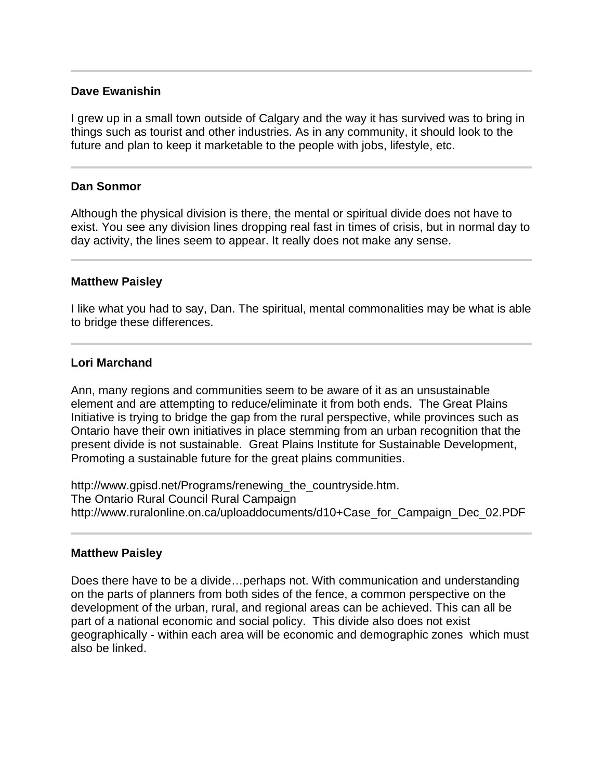## **Dave Ewanishin**

I grew up in a small town outside of Calgary and the way it has survived was to bring in things such as tourist and other industries. As in any community, it should look to the future and plan to keep it marketable to the people with jobs, lifestyle, etc.

### **Dan Sonmor**

Ī

l

Although the physical division is there, the mental or spiritual divide does not have to exist. You see any division lines dropping real fast in times of crisis, but in normal day to day activity, the lines seem to appear. It really does not make any sense.

#### **Matthew Paisley**

I like what you had to say, Dan. The spiritual, mental commonalities may be what is able to bridge these differences.

#### **Lori Marchand**

Ann, many regions and communities seem to be aware of it as an unsustainable element and are attempting to reduce/eliminate it from both ends. The Great Plains Initiative is trying to bridge the gap from the rural perspective, while provinces such as Ontario have their own initiatives in place stemming from an urban recognition that the present divide is not sustainable. Great Plains Institute for Sustainable Development, Promoting a sustainable future for the great plains communities.

http://www.gpisd.net/Programs/renewing\_the\_countryside.htm. The Ontario Rural Council Rural Campaign http://www.ruralonline.on.ca/uploaddocuments/d10+Case\_for\_Campaign\_Dec\_02.PDF

#### **Matthew Paisley**

Does there have to be a divide…perhaps not. With communication and understanding on the parts of planners from both sides of the fence, a common perspective on the development of the urban, rural, and regional areas can be achieved. This can all be part of a national economic and social policy. This divide also does not exist geographically - within each area will be economic and demographic zones which must also be linked.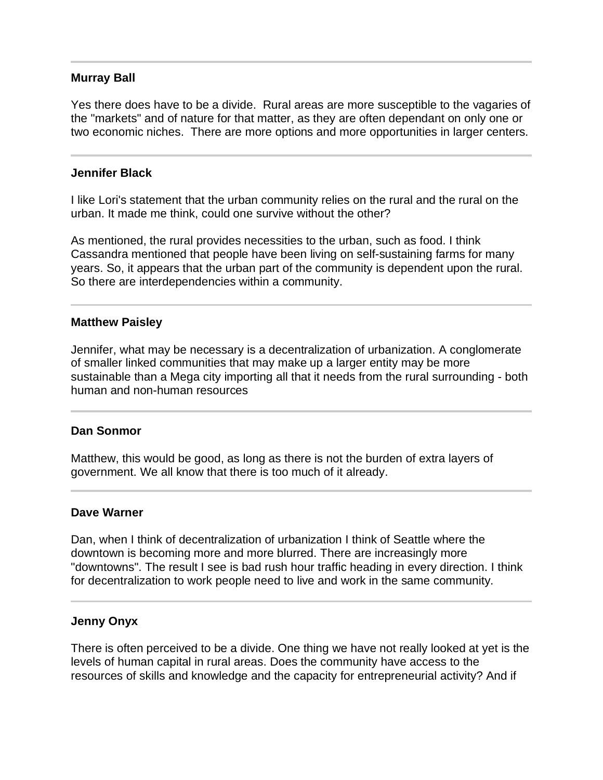### **Murray Ball**

Yes there does have to be a divide. Rural areas are more susceptible to the vagaries of the "markets" and of nature for that matter, as they are often dependant on only one or two economic niches. There are more options and more opportunities in larger centers.

#### **Jennifer Black**

I like Lori's statement that the urban community relies on the rural and the rural on the urban. It made me think, could one survive without the other?

As mentioned, the rural provides necessities to the urban, such as food. I think Cassandra mentioned that people have been living on self-sustaining farms for many years. So, it appears that the urban part of the community is dependent upon the rural. So there are interdependencies within a community.

### **Matthew Paisley**

Jennifer, what may be necessary is a decentralization of urbanization. A conglomerate of smaller linked communities that may make up a larger entity may be more sustainable than a Mega city importing all that it needs from the rural surrounding - both human and non-human resources

#### **Dan Sonmor**

Matthew, this would be good, as long as there is not the burden of extra layers of government. We all know that there is too much of it already.

#### **Dave Warner**

l

Dan, when I think of decentralization of urbanization I think of Seattle where the downtown is becoming more and more blurred. There are increasingly more "downtowns". The result I see is bad rush hour traffic heading in every direction. I think for decentralization to work people need to live and work in the same community.

#### **Jenny Onyx**

There is often perceived to be a divide. One thing we have not really looked at yet is the levels of human capital in rural areas. Does the community have access to the resources of skills and knowledge and the capacity for entrepreneurial activity? And if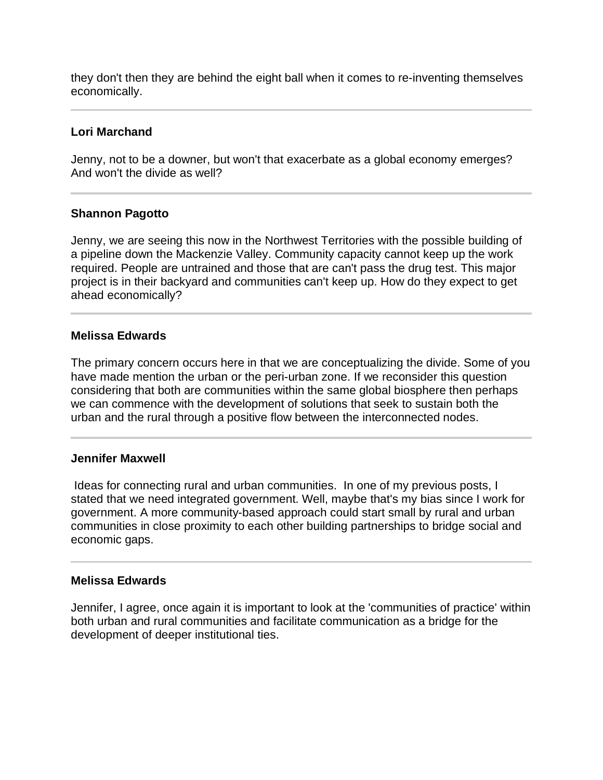they don't then they are behind the eight ball when it comes to re-inventing themselves economically.

# **Lori Marchand**

l

Jenny, not to be a downer, but won't that exacerbate as a global economy emerges? And won't the divide as well?

# **Shannon Pagotto**

Jenny, we are seeing this now in the Northwest Territories with the possible building of a pipeline down the Mackenzie Valley. Community capacity cannot keep up the work required. People are untrained and those that are can't pass the drug test. This major project is in their backyard and communities can't keep up. How do they expect to get ahead economically?

# **Melissa Edwards**

The primary concern occurs here in that we are conceptualizing the divide. Some of you have made mention the urban or the peri-urban zone. If we reconsider this question considering that both are communities within the same global biosphere then perhaps we can commence with the development of solutions that seek to sustain both the urban and the rural through a positive flow between the interconnected nodes.

# **Jennifer Maxwell**

 Ideas for connecting rural and urban communities. In one of my previous posts, I stated that we need integrated government. Well, maybe that's my bias since I work for government. A more community-based approach could start small by rural and urban communities in close proximity to each other building partnerships to bridge social and economic gaps.

# **Melissa Edwards**

Jennifer, I agree, once again it is important to look at the 'communities of practice' within both urban and rural communities and facilitate communication as a bridge for the development of deeper institutional ties.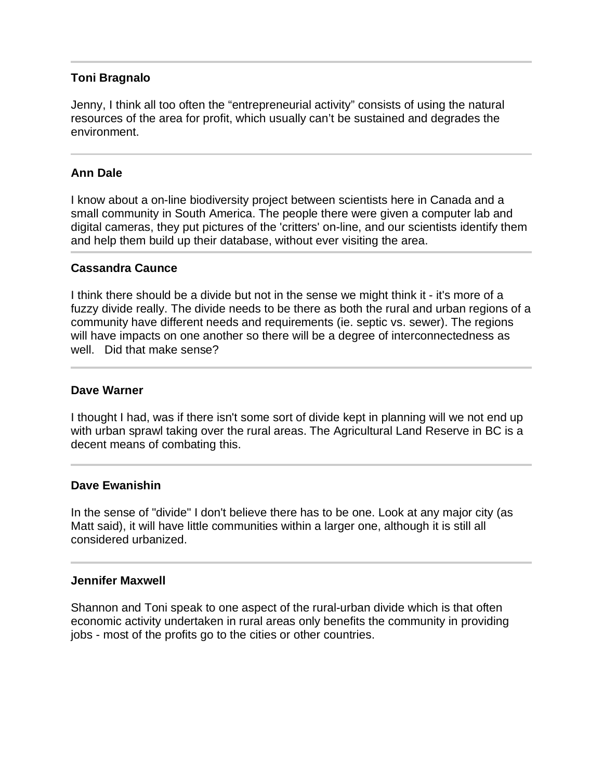### **Toni Bragnalo**

Jenny, I think all too often the "entrepreneurial activity" consists of using the natural resources of the area for profit, which usually can't be sustained and degrades the environment.

## **Ann Dale**

j

l

I know about a on-line biodiversity project between scientists here in Canada and a small community in South America. The people there were given a computer lab and digital cameras, they put pictures of the 'critters' on-line, and our scientists identify them and help them build up their database, without ever visiting the area.

#### **Cassandra Caunce**

I think there should be a divide but not in the sense we might think it - it's more of a fuzzy divide really. The divide needs to be there as both the rural and urban regions of a community have different needs and requirements (ie. septic vs. sewer). The regions will have impacts on one another so there will be a degree of interconnectedness as well. Did that make sense?

#### **Dave Warner**

I thought I had, was if there isn't some sort of divide kept in planning will we not end up with urban sprawl taking over the rural areas. The Agricultural Land Reserve in BC is a decent means of combating this.

#### **Dave Ewanishin**

In the sense of "divide" I don't believe there has to be one. Look at any major city (as Matt said), it will have little communities within a larger one, although it is still all considered urbanized.

#### **Jennifer Maxwell**

Shannon and Toni speak to one aspect of the rural-urban divide which is that often economic activity undertaken in rural areas only benefits the community in providing jobs - most of the profits go to the cities or other countries.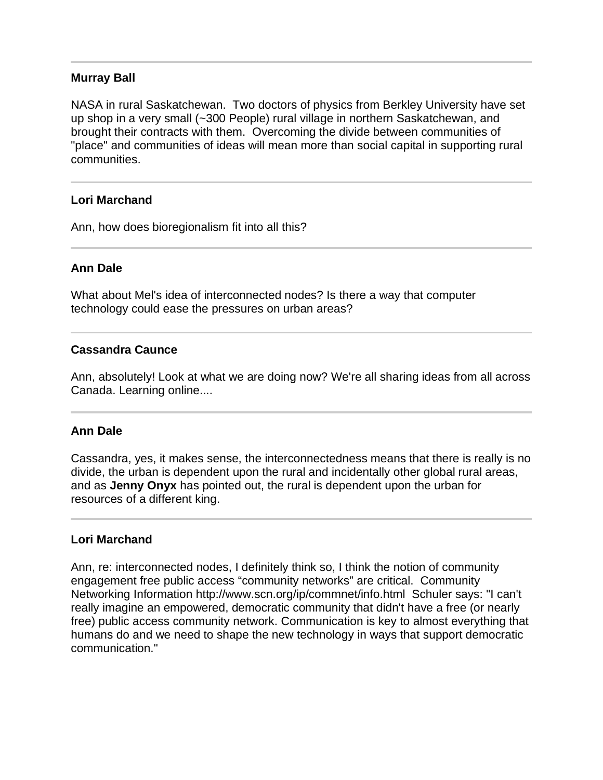### **Murray Ball**

NASA in rural Saskatchewan. Two doctors of physics from Berkley University have set up shop in a very small (~300 People) rural village in northern Saskatchewan, and brought their contracts with them. Overcoming the divide between communities of "place" and communities of ideas will mean more than social capital in supporting rural communities.

### **Lori Marchand**

Ann, how does bioregionalism fit into all this?

### **Ann Dale**

I

What about Mel's idea of interconnected nodes? Is there a way that computer technology could ease the pressures on urban areas?

#### **Cassandra Caunce**

Ann, absolutely! Look at what we are doing now? We're all sharing ideas from all across Canada. Learning online....

#### **Ann Dale**

Cassandra, yes, it makes sense, the interconnectedness means that there is really is no divide, the urban is dependent upon the rural and incidentally other global rural areas, and as **Jenny Onyx** has pointed out, the rural is dependent upon the urban for resources of a different king.

#### **Lori Marchand**

Ann, re: interconnected nodes, I definitely think so, I think the notion of community engagement free public access "community networks" are critical. Community Networking Information http://www.scn.org/ip/commnet/info.html Schuler says: "I can't really imagine an empowered, democratic community that didn't have a free (or nearly free) public access community network. Communication is key to almost everything that humans do and we need to shape the new technology in ways that support democratic communication."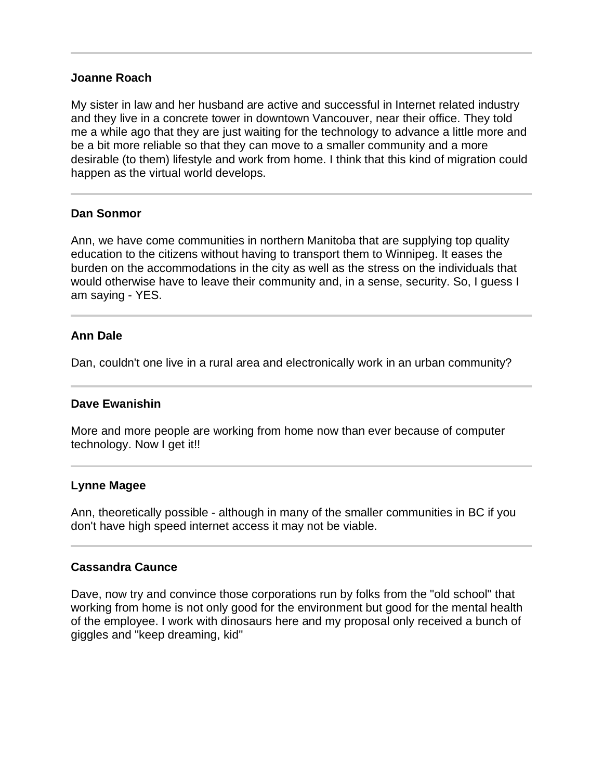#### **Joanne Roach**

My sister in law and her husband are active and successful in Internet related industry and they live in a concrete tower in downtown Vancouver, near their office. They told me a while ago that they are just waiting for the technology to advance a little more and be a bit more reliable so that they can move to a smaller community and a more desirable (to them) lifestyle and work from home. I think that this kind of migration could happen as the virtual world develops.

### **Dan Sonmor**

Ann, we have come communities in northern Manitoba that are supplying top quality education to the citizens without having to transport them to Winnipeg. It eases the burden on the accommodations in the city as well as the stress on the individuals that would otherwise have to leave their community and, in a sense, security. So, I guess I am saying - YES.

### **Ann Dale**

Dan, couldn't one live in a rural area and electronically work in an urban community?

#### **Dave Ewanishin**

More and more people are working from home now than ever because of computer technology. Now I get it!!

#### **Lynne Magee**

Ann, theoretically possible - although in many of the smaller communities in BC if you don't have high speed internet access it may not be viable.

# **Cassandra Caunce**

Dave, now try and convince those corporations run by folks from the "old school" that working from home is not only good for the environment but good for the mental health of the employee. I work with dinosaurs here and my proposal only received a bunch of giggles and "keep dreaming, kid"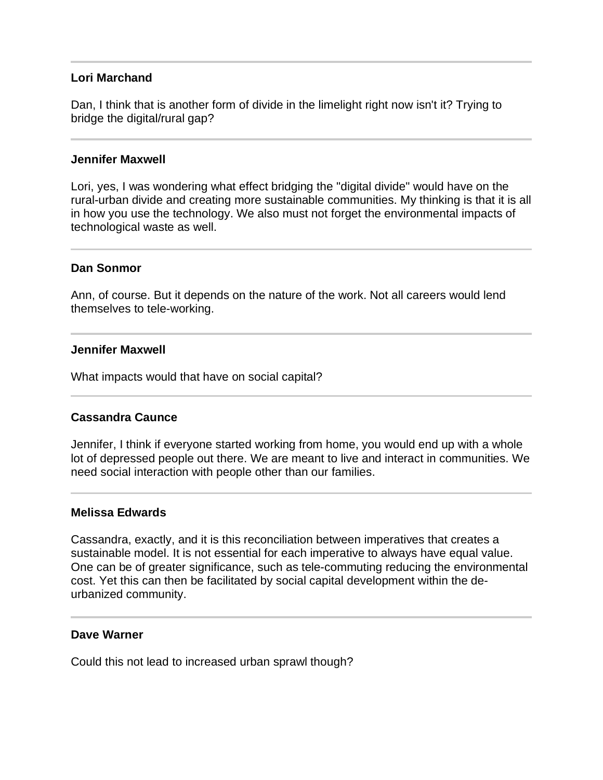### **Lori Marchand**

Dan, I think that is another form of divide in the limelight right now isn't it? Trying to bridge the digital/rural gap?

#### **Jennifer Maxwell**

Lori, yes, I was wondering what effect bridging the "digital divide" would have on the rural-urban divide and creating more sustainable communities. My thinking is that it is all in how you use the technology. We also must not forget the environmental impacts of technological waste as well.

#### **Dan Sonmor**

Ann, of course. But it depends on the nature of the work. Not all careers would lend themselves to tele-working.

#### **Jennifer Maxwell**

l

What impacts would that have on social capital?

#### **Cassandra Caunce**

Jennifer, I think if everyone started working from home, you would end up with a whole lot of depressed people out there. We are meant to live and interact in communities. We need social interaction with people other than our families.

#### **Melissa Edwards**

Cassandra, exactly, and it is this reconciliation between imperatives that creates a sustainable model. It is not essential for each imperative to always have equal value. One can be of greater significance, such as tele-commuting reducing the environmental cost. Yet this can then be facilitated by social capital development within the deurbanized community.

#### **Dave Warner**

Could this not lead to increased urban sprawl though?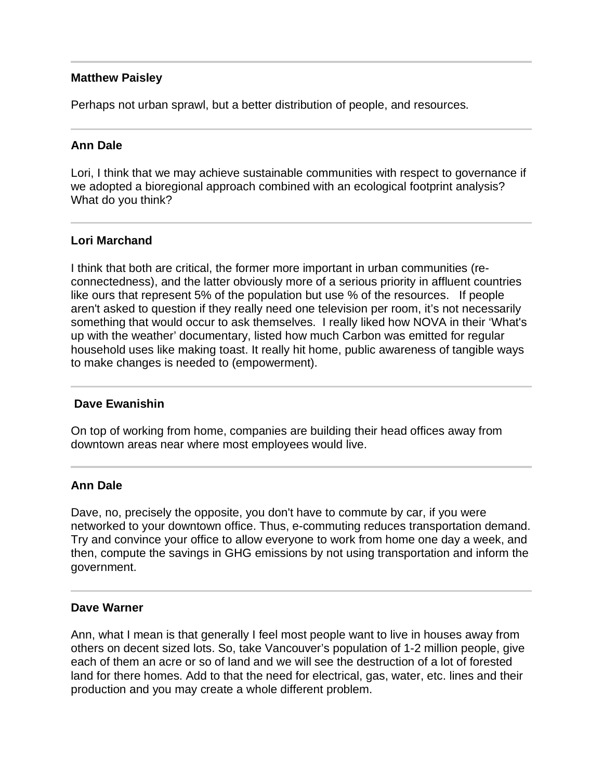## **Matthew Paisley**

Perhaps not urban sprawl, but a better distribution of people, and resources.

# **Ann Dale**

Lori, I think that we may achieve sustainable communities with respect to governance if we adopted a bioregional approach combined with an ecological footprint analysis? What do you think?

# **Lori Marchand**

I think that both are critical, the former more important in urban communities (reconnectedness), and the latter obviously more of a serious priority in affluent countries like ours that represent 5% of the population but use % of the resources. If people aren't asked to question if they really need one television per room, it's not necessarily something that would occur to ask themselves. I really liked how NOVA in their 'What's up with the weather' documentary, listed how much Carbon was emitted for regular household uses like making toast. It really hit home, public awareness of tangible ways to make changes is needed to (empowerment).

#### I **Dave Ewanishin**

On top of working from home, companies are building their head offices away from downtown areas near where most employees would live.

# **Ann Dale**

Dave, no, precisely the opposite, you don't have to commute by car, if you were networked to your downtown office. Thus, e-commuting reduces transportation demand. Try and convince your office to allow everyone to work from home one day a week, and then, compute the savings in GHG emissions by not using transportation and inform the government.

#### **Dave Warner**

Ann, what I mean is that generally I feel most people want to live in houses away from others on decent sized lots. So, take Vancouver's population of 1-2 million people, give each of them an acre or so of land and we will see the destruction of a lot of forested land for there homes. Add to that the need for electrical, gas, water, etc. lines and their production and you may create a whole different problem.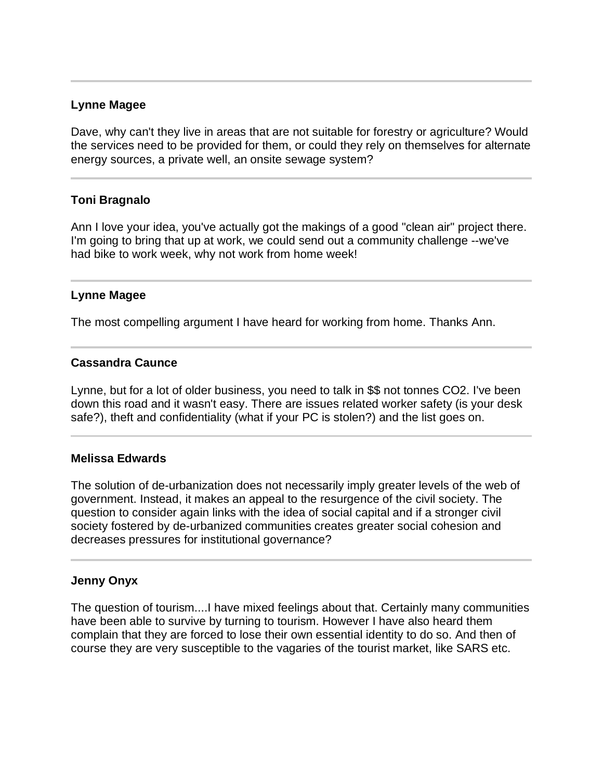### **Lynne Magee**

l

j

Dave, why can't they live in areas that are not suitable for forestry or agriculture? Would the services need to be provided for them, or could they rely on themselves for alternate energy sources, a private well, an onsite sewage system?

### **Toni Bragnalo**

Ann I love your idea, you've actually got the makings of a good "clean air" project there. I'm going to bring that up at work, we could send out a community challenge --we've had bike to work week, why not work from home week!

### **Lynne Magee**

The most compelling argument I have heard for working from home. Thanks Ann.

### **Cassandra Caunce**

Lynne, but for a lot of older business, you need to talk in \$\$ not tonnes CO2. I've been down this road and it wasn't easy. There are issues related worker safety (is your desk safe?), theft and confidentiality (what if your PC is stolen?) and the list goes on.

#### **Melissa Edwards**

The solution of de-urbanization does not necessarily imply greater levels of the web of government. Instead, it makes an appeal to the resurgence of the civil society. The question to consider again links with the idea of social capital and if a stronger civil society fostered by de-urbanized communities creates greater social cohesion and decreases pressures for institutional governance?

#### **Jenny Onyx**

The question of tourism....I have mixed feelings about that. Certainly many communities have been able to survive by turning to tourism. However I have also heard them complain that they are forced to lose their own essential identity to do so. And then of course they are very susceptible to the vagaries of the tourist market, like SARS etc.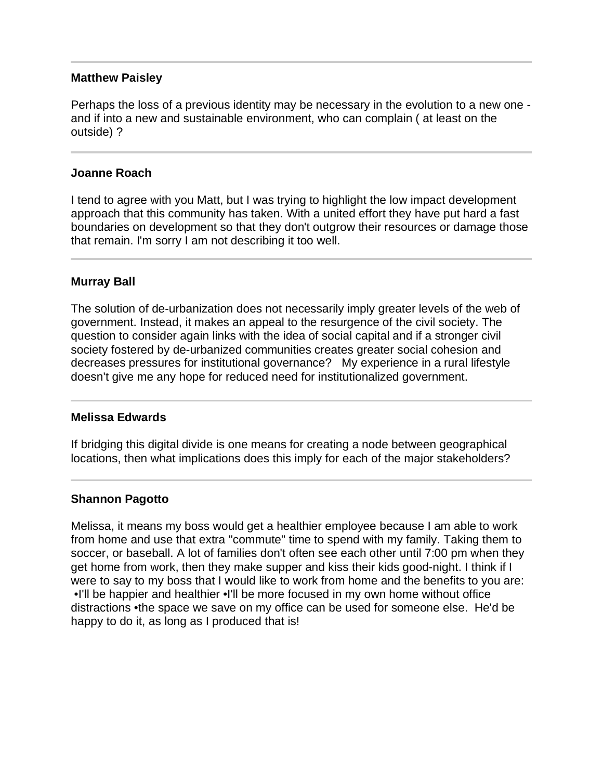### **Matthew Paisley**

Perhaps the loss of a previous identity may be necessary in the evolution to a new one and if into a new and sustainable environment, who can complain ( at least on the outside) ?

### **Joanne Roach**

I tend to agree with you Matt, but I was trying to highlight the low impact development approach that this community has taken. With a united effort they have put hard a fast boundaries on development so that they don't outgrow their resources or damage those that remain. I'm sorry I am not describing it too well.

# **Murray Ball**

The solution of de-urbanization does not necessarily imply greater levels of the web of government. Instead, it makes an appeal to the resurgence of the civil society. The question to consider again links with the idea of social capital and if a stronger civil society fostered by de-urbanized communities creates greater social cohesion and decreases pressures for institutional governance? My experience in a rural lifestyle doesn't give me any hope for reduced need for institutionalized government.

#### **Melissa Edwards**

I

If bridging this digital divide is one means for creating a node between geographical locations, then what implications does this imply for each of the major stakeholders?

# **Shannon Pagotto**

Melissa, it means my boss would get a healthier employee because I am able to work from home and use that extra "commute" time to spend with my family. Taking them to soccer, or baseball. A lot of families don't often see each other until 7:00 pm when they get home from work, then they make supper and kiss their kids good-night. I think if I were to say to my boss that I would like to work from home and the benefits to you are: •I'll be happier and healthier •I'll be more focused in my own home without office distractions •the space we save on my office can be used for someone else. He'd be happy to do it, as long as I produced that is!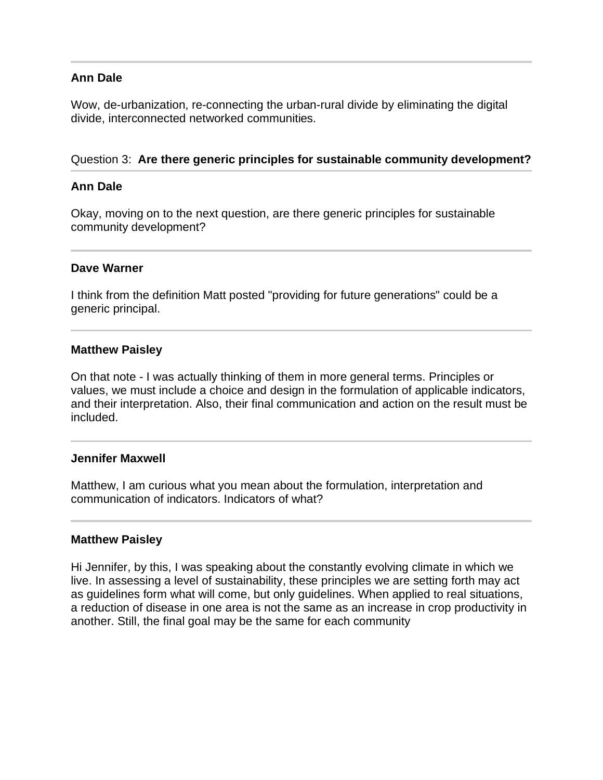### **Ann Dale**

Wow, de-urbanization, re-connecting the urban-rural divide by eliminating the digital divide, interconnected networked communities.

### Question 3: **Are there generic principles for sustainable community development?**

### **Ann Dale**

j

Ī

Okay, moving on to the next question, are there generic principles for sustainable community development?

#### **Dave Warner**

I think from the definition Matt posted "providing for future generations" could be a generic principal.

#### **Matthew Paisley**

On that note - I was actually thinking of them in more general terms. Principles or values, we must include a choice and design in the formulation of applicable indicators, and their interpretation. Also, their final communication and action on the result must be included.

#### **Jennifer Maxwell**

Matthew, I am curious what you mean about the formulation, interpretation and communication of indicators. Indicators of what?

#### **Matthew Paisley**

Hi Jennifer, by this, I was speaking about the constantly evolving climate in which we live. In assessing a level of sustainability, these principles we are setting forth may act as guidelines form what will come, but only guidelines. When applied to real situations, a reduction of disease in one area is not the same as an increase in crop productivity in another. Still, the final goal may be the same for each community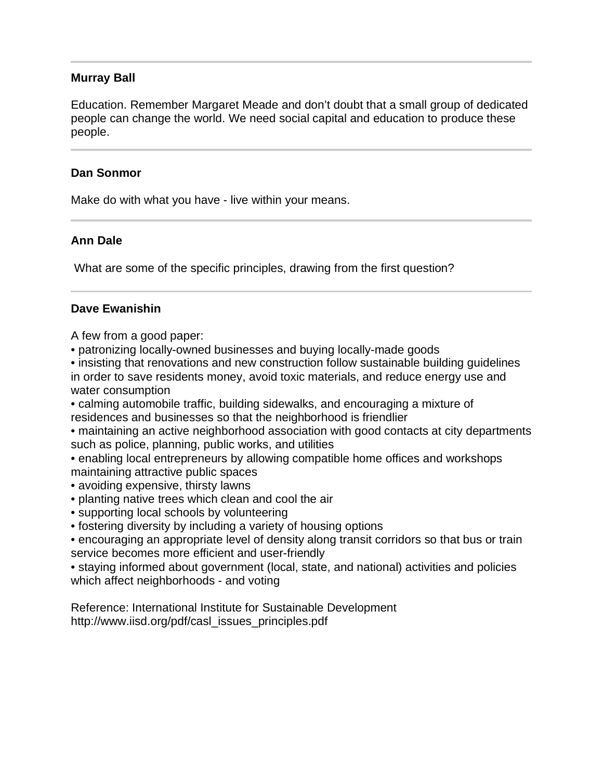# **Murray Ball**

Education. Remember Margaret Meade and don't doubt that a small group of dedicated people can change the world. We need social capital and education to produce these people.

### **Dan Sonmor**

Make do with what you have - live within your means.

# **Ann Dale**

What are some of the specific principles, drawing from the first question?

# **Dave Ewanishin**

A few from a good paper:

• patronizing locally-owned businesses and buying locally-made goods

• insisting that renovations and new construction follow sustainable building guidelines in order to save residents money, avoid toxic materials, and reduce energy use and water consumption

• calming automobile traffic, building sidewalks, and encouraging a mixture of residences and businesses so that the neighborhood is friendlier

• maintaining an active neighborhood association with good contacts at city departments such as police, planning, public works, and utilities

• enabling local entrepreneurs by allowing compatible home offices and workshops maintaining attractive public spaces

- avoiding expensive, thirsty lawns
- planting native trees which clean and cool the air
- supporting local schools by volunteering
- fostering diversity by including a variety of housing options
- encouraging an appropriate level of density along transit corridors so that bus or train service becomes more efficient and user-friendly

• staying informed about government (local, state, and national) activities and policies which affect neighborhoods - and voting

Reference: International Institute for Sustainable Development http://www.iisd.org/pdf/casl\_issues\_principles.pdf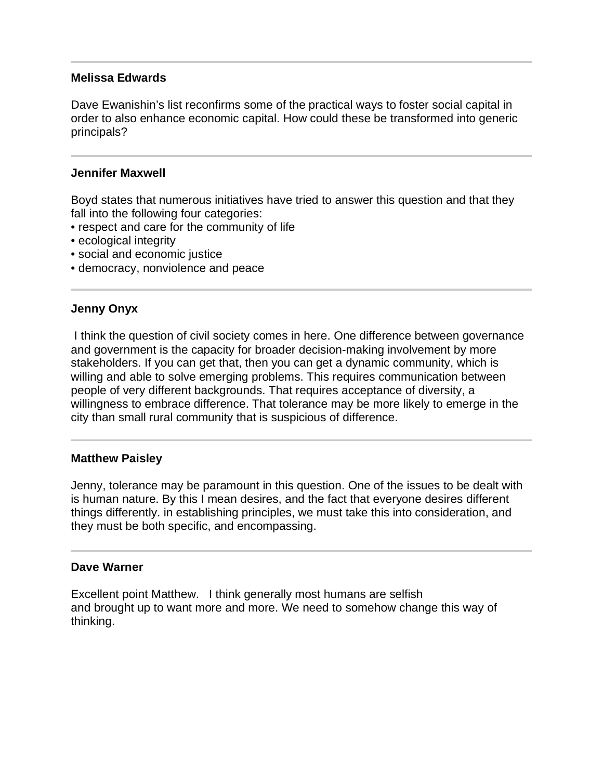### **Melissa Edwards**

Dave Ewanishin's list reconfirms some of the practical ways to foster social capital in order to also enhance economic capital. How could these be transformed into generic principals?

### **Jennifer Maxwell**

Boyd states that numerous initiatives have tried to answer this question and that they fall into the following four categories:

- respect and care for the community of life
- ecological integrity
- social and economic justice
- democracy, nonviolence and peace

# **Jenny Onyx**

 I think the question of civil society comes in here. One difference between governance and government is the capacity for broader decision-making involvement by more stakeholders. If you can get that, then you can get a dynamic community, which is willing and able to solve emerging problems. This requires communication between people of very different backgrounds. That requires acceptance of diversity, a willingness to embrace difference. That tolerance may be more likely to emerge in the city than small rural community that is suspicious of difference.

#### **Matthew Paisley**

Ī

Jenny, tolerance may be paramount in this question. One of the issues to be dealt with is human nature. By this I mean desires, and the fact that everyone desires different things differently. in establishing principles, we must take this into consideration, and they must be both specific, and encompassing.

#### **Dave Warner**

Excellent point Matthew. I think generally most humans are selfish and brought up to want more and more. We need to somehow change this way of thinking.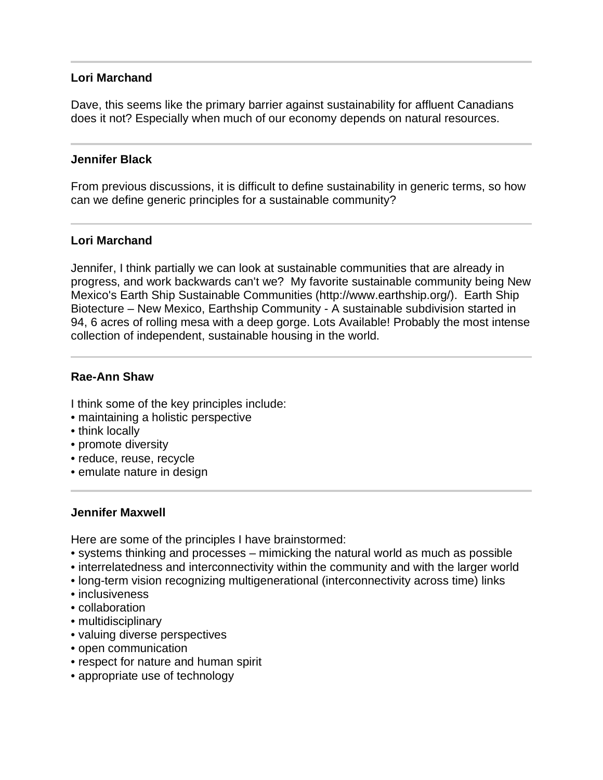### **Lori Marchand**

Dave, this seems like the primary barrier against sustainability for affluent Canadians does it not? Especially when much of our economy depends on natural resources.

### **Jennifer Black**

From previous discussions, it is difficult to define sustainability in generic terms, so how can we define generic principles for a sustainable community?

### **Lori Marchand**

Jennifer, I think partially we can look at sustainable communities that are already in progress, and work backwards can't we? My favorite sustainable community being New Mexico's Earth Ship Sustainable Communities (http://www.earthship.org/). Earth Ship Biotecture – New Mexico, Earthship Community - A sustainable subdivision started in 94, 6 acres of rolling mesa with a deep gorge. Lots Available! Probably the most intense collection of independent, sustainable housing in the world.

# **Rae-Ann Shaw**

I think some of the key principles include:

- maintaining a holistic perspective
- think locally

l

- promote diversity
- reduce, reuse, recycle
- emulate nature in design

#### **Jennifer Maxwell**

Here are some of the principles I have brainstormed:

- systems thinking and processes mimicking the natural world as much as possible
- interrelatedness and interconnectivity within the community and with the larger world
- long-term vision recognizing multigenerational (interconnectivity across time) links
- inclusiveness
- collaboration
- multidisciplinary
- valuing diverse perspectives
- open communication
- respect for nature and human spirit
- appropriate use of technology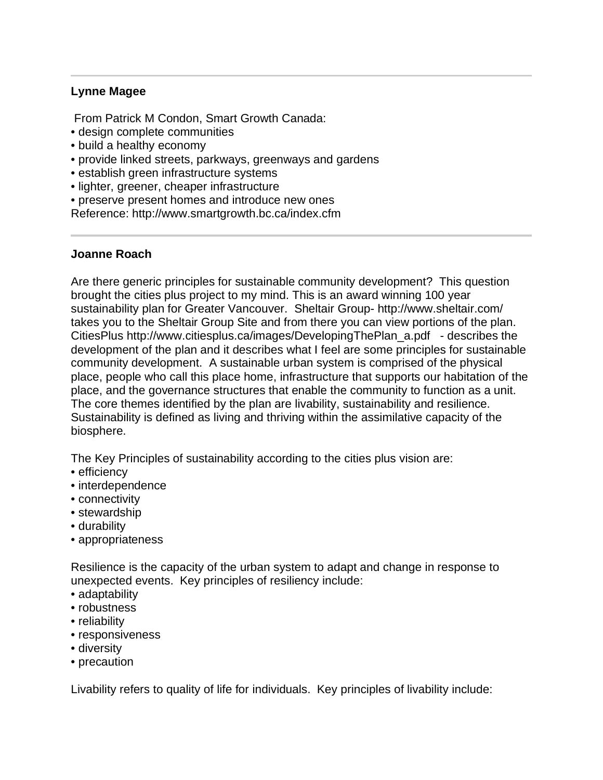# **Lynne Magee**

From Patrick M Condon, Smart Growth Canada:

- design complete communities
- build a healthy economy
- provide linked streets, parkways, greenways and gardens
- establish green infrastructure systems
- lighter, greener, cheaper infrastructure
- preserve present homes and introduce new ones

Reference: http://www.smartgrowth.bc.ca/index.cfm

### **Joanne Roach**

Are there generic principles for sustainable community development? This question brought the cities plus project to my mind. This is an award winning 100 year sustainability plan for Greater Vancouver. Sheltair Group- http://www.sheltair.com/ takes you to the Sheltair Group Site and from there you can view portions of the plan. CitiesPlus http://www.citiesplus.ca/images/DevelopingThePlan\_a.pdf - describes the development of the plan and it describes what I feel are some principles for sustainable community development. A sustainable urban system is comprised of the physical place, people who call this place home, infrastructure that supports our habitation of the place, and the governance structures that enable the community to function as a unit. The core themes identified by the plan are livability, sustainability and resilience. Sustainability is defined as living and thriving within the assimilative capacity of the biosphere.

The Key Principles of sustainability according to the cities plus vision are:

- efficiency
- interdependence
- connectivity
- stewardship
- durability
- appropriateness

Resilience is the capacity of the urban system to adapt and change in response to unexpected events. Key principles of resiliency include:

- adaptability
- robustness
- reliability
- responsiveness
- diversity
- precaution

Livability refers to quality of life for individuals. Key principles of livability include: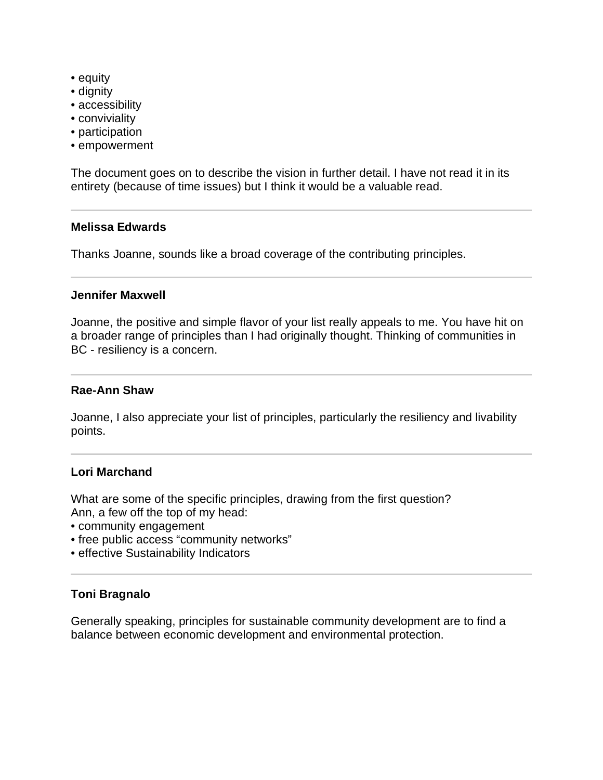- equity
- dignity
- accessibility
- conviviality
- participation
- empowerment

The document goes on to describe the vision in further detail. I have not read it in its entirety (because of time issues) but I think it would be a valuable read.

### **Melissa Edwards**

Thanks Joanne, sounds like a broad coverage of the contributing principles.

#### **Jennifer Maxwell**

Joanne, the positive and simple flavor of your list really appeals to me. You have hit on a broader range of principles than I had originally thought. Thinking of communities in BC - resiliency is a concern.

### **Rae-Ann Shaw**

Joanne, I also appreciate your list of principles, particularly the resiliency and livability points.

# **Lori Marchand**

What are some of the specific principles, drawing from the first question? Ann, a few off the top of my head:

- community engagement
- free public access "community networks"
- effective Sustainability Indicators

# **Toni Bragnalo**

Generally speaking, principles for sustainable community development are to find a balance between economic development and environmental protection.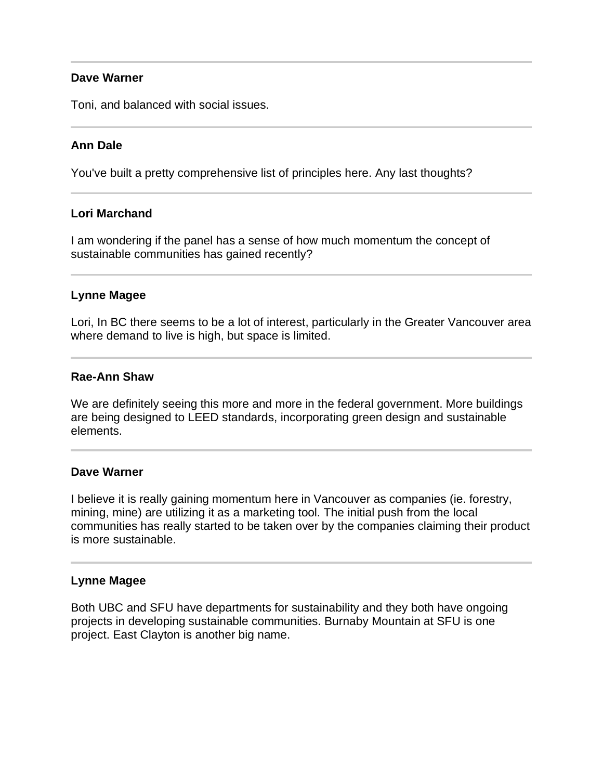# **Dave Warner**

Toni, and balanced with social issues.

# **Ann Dale**

You've built a pretty comprehensive list of principles here. Any last thoughts?

### **Lori Marchand**

I am wondering if the panel has a sense of how much momentum the concept of sustainable communities has gained recently?

### **Lynne Magee**

Lori, In BC there seems to be a lot of interest, particularly in the Greater Vancouver area where demand to live is high, but space is limited.

### **Rae-Ann Shaw**

We are definitely seeing this more and more in the federal government. More buildings are being designed to LEED standards, incorporating green design and sustainable elements.

#### **Dave Warner**

I believe it is really gaining momentum here in Vancouver as companies (ie. forestry, mining, mine) are utilizing it as a marketing tool. The initial push from the local communities has really started to be taken over by the companies claiming their product is more sustainable.

# **Lynne Magee**

Both UBC and SFU have departments for sustainability and they both have ongoing projects in developing sustainable communities. Burnaby Mountain at SFU is one project. East Clayton is another big name.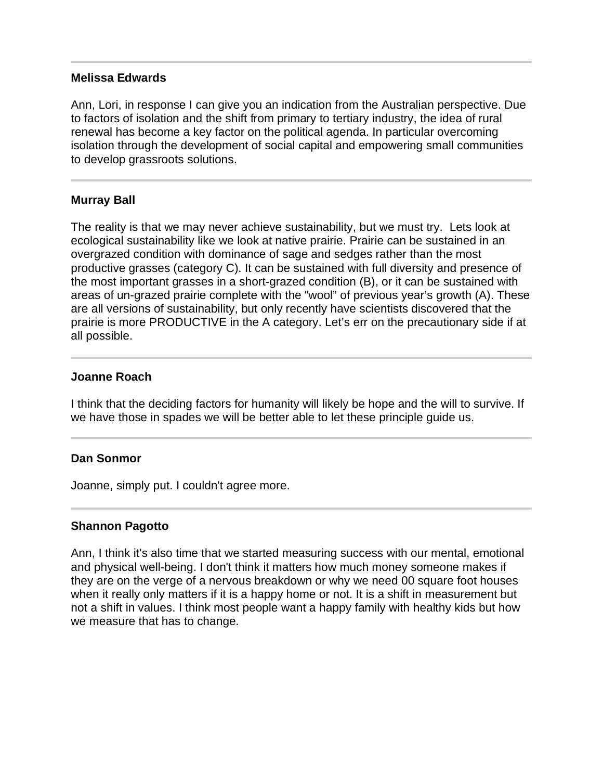### **Melissa Edwards**

Ann, Lori, in response I can give you an indication from the Australian perspective. Due to factors of isolation and the shift from primary to tertiary industry, the idea of rural renewal has become a key factor on the political agenda. In particular overcoming isolation through the development of social capital and empowering small communities to develop grassroots solutions.

# **Murray Ball**

The reality is that we may never achieve sustainability, but we must try. Lets look at ecological sustainability like we look at native prairie. Prairie can be sustained in an overgrazed condition with dominance of sage and sedges rather than the most productive grasses (category C). It can be sustained with full diversity and presence of the most important grasses in a short-grazed condition (B), or it can be sustained with areas of un-grazed prairie complete with the "wool" of previous year's growth (A). These are all versions of sustainability, but only recently have scientists discovered that the prairie is more PRODUCTIVE in the A category. Let's err on the precautionary side if at all possible.

### **Joanne Roach**

I think that the deciding factors for humanity will likely be hope and the will to survive. If we have those in spades we will be better able to let these principle guide us.

# **Dan Sonmor**

Joanne, simply put. I couldn't agree more.

# **Shannon Pagotto**

Ann, I think it's also time that we started measuring success with our mental, emotional and physical well-being. I don't think it matters how much money someone makes if they are on the verge of a nervous breakdown or why we need 00 square foot houses when it really only matters if it is a happy home or not. It is a shift in measurement but not a shift in values. I think most people want a happy family with healthy kids but how we measure that has to change.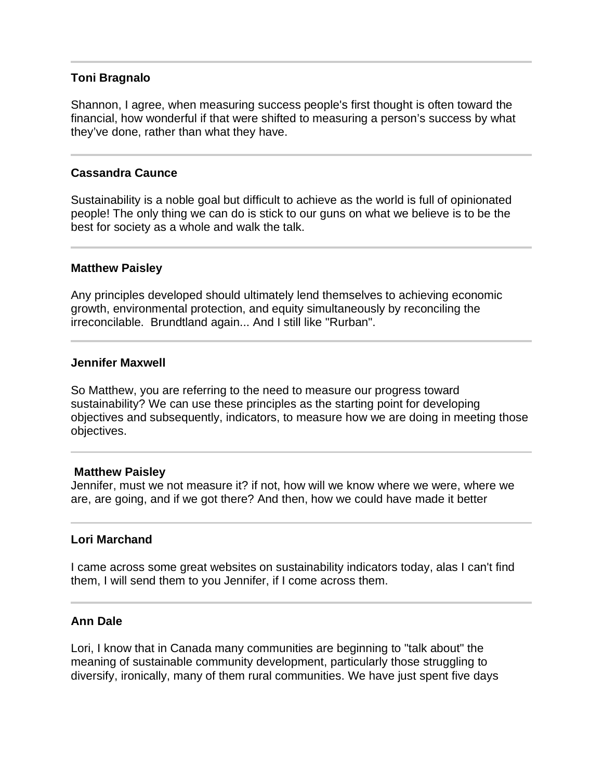## **Toni Bragnalo**

Shannon, I agree, when measuring success people's first thought is often toward the financial, how wonderful if that were shifted to measuring a person's success by what they've done, rather than what they have.

### **Cassandra Caunce**

Sustainability is a noble goal but difficult to achieve as the world is full of opinionated people! The only thing we can do is stick to our guns on what we believe is to be the best for society as a whole and walk the talk.

### **Matthew Paisley**

Any principles developed should ultimately lend themselves to achieving economic growth, environmental protection, and equity simultaneously by reconciling the irreconcilable. Brundtland again... And I still like "Rurban".

### **Jennifer Maxwell**

So Matthew, you are referring to the need to measure our progress toward sustainability? We can use these principles as the starting point for developing objectives and subsequently, indicators, to measure how we are doing in meeting those objectives.

### **Matthew Paisley**

Jennifer, must we not measure it? if not, how will we know where we were, where we are, are going, and if we got there? And then, how we could have made it better

### **Lori Marchand**

I came across some great websites on sustainability indicators today, alas I can't find them, I will send them to you Jennifer, if I come across them.

### **Ann Dale**

Lori, I know that in Canada many communities are beginning to "talk about" the meaning of sustainable community development, particularly those struggling to diversify, ironically, many of them rural communities. We have just spent five days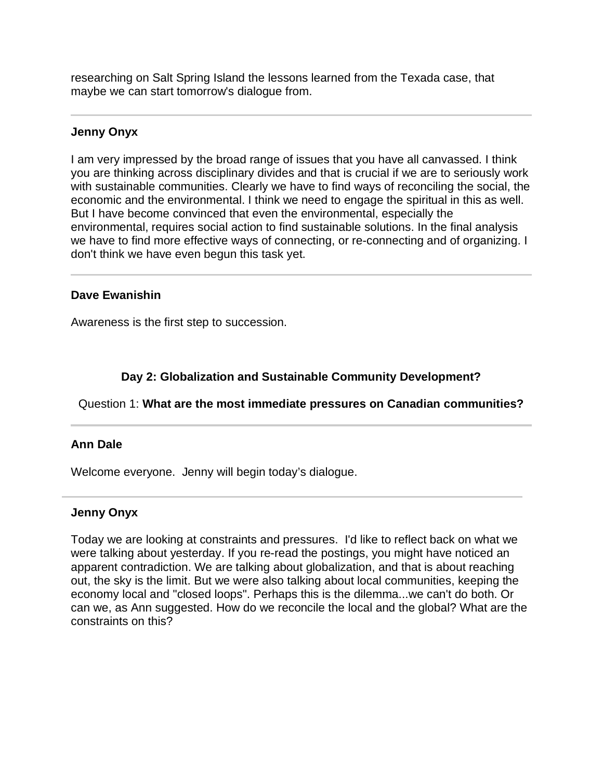researching on Salt Spring Island the lessons learned from the Texada case, that maybe we can start tomorrow's dialogue from.

## **Jenny Onyx**

I

I am very impressed by the broad range of issues that you have all canvassed. I think you are thinking across disciplinary divides and that is crucial if we are to seriously work with sustainable communities. Clearly we have to find ways of reconciling the social, the economic and the environmental. I think we need to engage the spiritual in this as well. But I have become convinced that even the environmental, especially the environmental, requires social action to find sustainable solutions. In the final analysis we have to find more effective ways of connecting, or re-connecting and of organizing. I don't think we have even begun this task yet.

### **Dave Ewanishin**

Awareness is the first step to succession.

# **Day 2: Globalization and Sustainable Community Development?**

# Question 1: **What are the most immediate pressures on Canadian communities?**

### **Ann Dale**

j

Welcome everyone. Jenny will begin today's dialogue.

### **Jenny Onyx**

Today we are looking at constraints and pressures. I'd like to reflect back on what we were talking about yesterday. If you re-read the postings, you might have noticed an apparent contradiction. We are talking about globalization, and that is about reaching out, the sky is the limit. But we were also talking about local communities, keeping the economy local and "closed loops". Perhaps this is the dilemma...we can't do both. Or can we, as Ann suggested. How do we reconcile the local and the global? What are the constraints on this?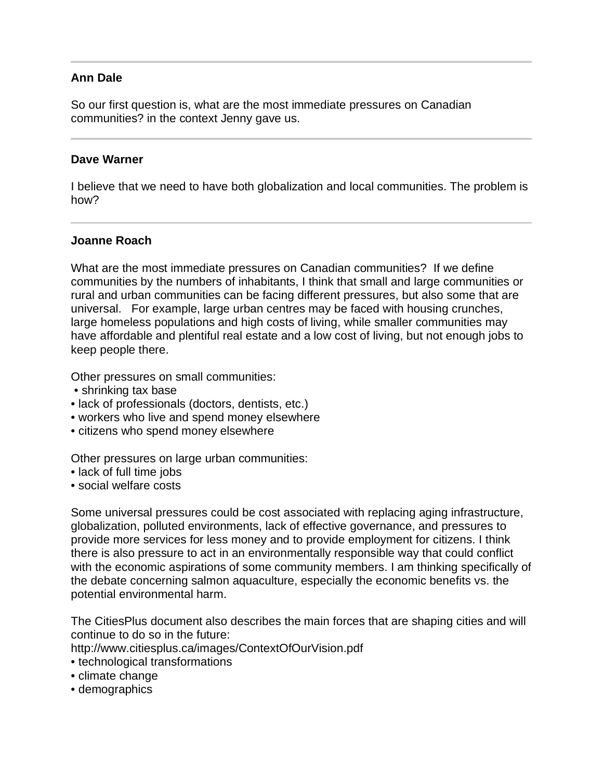# **Ann Dale**

So our first question is, what are the most immediate pressures on Canadian communities? in the context Jenny gave us.

### **Dave Warner**

I believe that we need to have both globalization and local communities. The problem is how?

### **Joanne Roach**

What are the most immediate pressures on Canadian communities? If we define communities by the numbers of inhabitants, I think that small and large communities or rural and urban communities can be facing different pressures, but also some that are universal. For example, large urban centres may be faced with housing crunches, large homeless populations and high costs of living, while smaller communities may have affordable and plentiful real estate and a low cost of living, but not enough jobs to keep people there.

Other pressures on small communities:

- shrinking tax base
- lack of professionals (doctors, dentists, etc.)
- workers who live and spend money elsewhere
- citizens who spend money elsewhere

Other pressures on large urban communities:

- lack of full time jobs
- social welfare costs

Some universal pressures could be cost associated with replacing aging infrastructure, globalization, polluted environments, lack of effective governance, and pressures to provide more services for less money and to provide employment for citizens. I think there is also pressure to act in an environmentally responsible way that could conflict with the economic aspirations of some community members. I am thinking specifically of the debate concerning salmon aquaculture, especially the economic benefits vs. the potential environmental harm.

The CitiesPlus document also describes the main forces that are shaping cities and will continue to do so in the future:

http://www.citiesplus.ca/images/ContextOfOurVision.pdf

- technological transformations
- climate change
- demographics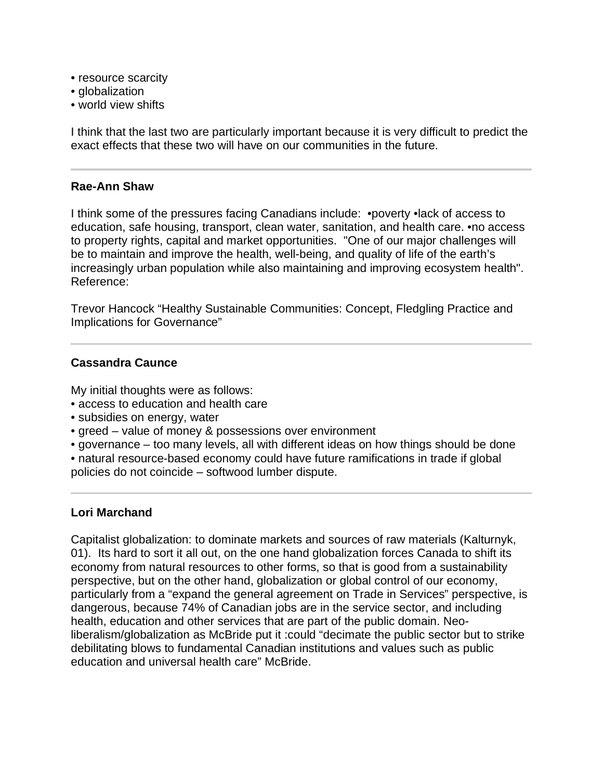- resource scarcity
- globalization
- world view shifts

I think that the last two are particularly important because it is very difficult to predict the exact effects that these two will have on our communities in the future.

# **Rae-Ann Shaw**

I think some of the pressures facing Canadians include: •poverty •lack of access to education, safe housing, transport, clean water, sanitation, and health care. •no access to property rights, capital and market opportunities. "One of our major challenges will be to maintain and improve the health, well-being, and quality of life of the earth's increasingly urban population while also maintaining and improving ecosystem health". Reference:

Trevor Hancock "Healthy Sustainable Communities: Concept, Fledgling Practice and Implications for Governance"

# **Cassandra Caunce**

My initial thoughts were as follows:

- access to education and health care
- subsidies on energy, water
- greed value of money & possessions over environment
- governance too many levels, all with different ideas on how things should be done

• natural resource-based economy could have future ramifications in trade if global policies do not coincide – softwood lumber dispute.

# **Lori Marchand**

Capitalist globalization: to dominate markets and sources of raw materials (Kalturnyk, 01). Its hard to sort it all out, on the one hand globalization forces Canada to shift its economy from natural resources to other forms, so that is good from a sustainability perspective, but on the other hand, globalization or global control of our economy, particularly from a "expand the general agreement on Trade in Services" perspective, is dangerous, because 74% of Canadian jobs are in the service sector, and including health, education and other services that are part of the public domain. Neoliberalism/globalization as McBride put it :could "decimate the public sector but to strike debilitating blows to fundamental Canadian institutions and values such as public education and universal health care" McBride.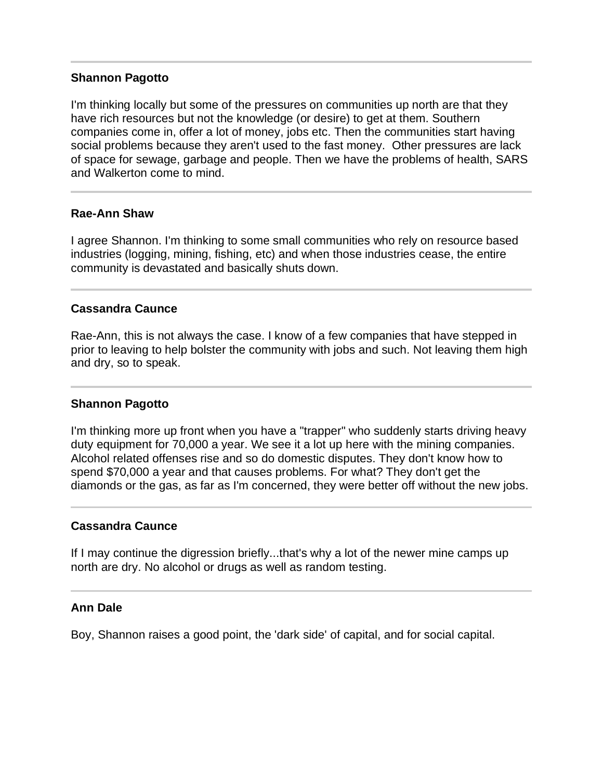## **Shannon Pagotto**

I'm thinking locally but some of the pressures on communities up north are that they have rich resources but not the knowledge (or desire) to get at them. Southern companies come in, offer a lot of money, jobs etc. Then the communities start having social problems because they aren't used to the fast money. Other pressures are lack of space for sewage, garbage and people. Then we have the problems of health, SARS and Walkerton come to mind.

## **Rae-Ann Shaw**

l

I agree Shannon. I'm thinking to some small communities who rely on resource based industries (logging, mining, fishing, etc) and when those industries cease, the entire community is devastated and basically shuts down.

# **Cassandra Caunce**

Rae-Ann, this is not always the case. I know of a few companies that have stepped in prior to leaving to help bolster the community with jobs and such. Not leaving them high and dry, so to speak.

### **Shannon Pagotto**

I'm thinking more up front when you have a "trapper" who suddenly starts driving heavy duty equipment for 70,000 a year. We see it a lot up here with the mining companies. Alcohol related offenses rise and so do domestic disputes. They don't know how to spend \$70,000 a year and that causes problems. For what? They don't get the diamonds or the gas, as far as I'm concerned, they were better off without the new jobs.

### **Cassandra Caunce**

If I may continue the digression briefly...that's why a lot of the newer mine camps up north are dry. No alcohol or drugs as well as random testing.

### **Ann Dale**

Boy, Shannon raises a good point, the 'dark side' of capital, and for social capital.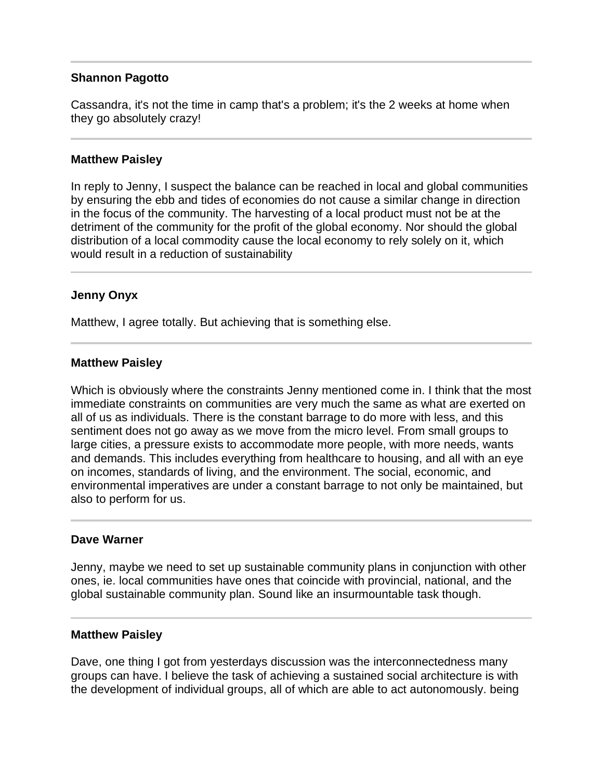## **Shannon Pagotto**

Cassandra, it's not the time in camp that's a problem; it's the 2 weeks at home when they go absolutely crazy!

### **Matthew Paisley**

In reply to Jenny, I suspect the balance can be reached in local and global communities by ensuring the ebb and tides of economies do not cause a similar change in direction in the focus of the community. The harvesting of a local product must not be at the detriment of the community for the profit of the global economy. Nor should the global distribution of a local commodity cause the local economy to rely solely on it, which would result in a reduction of sustainability

## **Jenny Onyx**

Matthew, I agree totally. But achieving that is something else.

### **Matthew Paisley**

Which is obviously where the constraints Jenny mentioned come in. I think that the most immediate constraints on communities are very much the same as what are exerted on all of us as individuals. There is the constant barrage to do more with less, and this sentiment does not go away as we move from the micro level. From small groups to large cities, a pressure exists to accommodate more people, with more needs, wants and demands. This includes everything from healthcare to housing, and all with an eye on incomes, standards of living, and the environment. The social, economic, and environmental imperatives are under a constant barrage to not only be maintained, but also to perform for us.

### **Dave Warner**

Jenny, maybe we need to set up sustainable community plans in conjunction with other ones, ie. local communities have ones that coincide with provincial, national, and the global sustainable community plan. Sound like an insurmountable task though.

#### **Matthew Paisley**

Dave, one thing I got from yesterdays discussion was the interconnectedness many groups can have. I believe the task of achieving a sustained social architecture is with the development of individual groups, all of which are able to act autonomously. being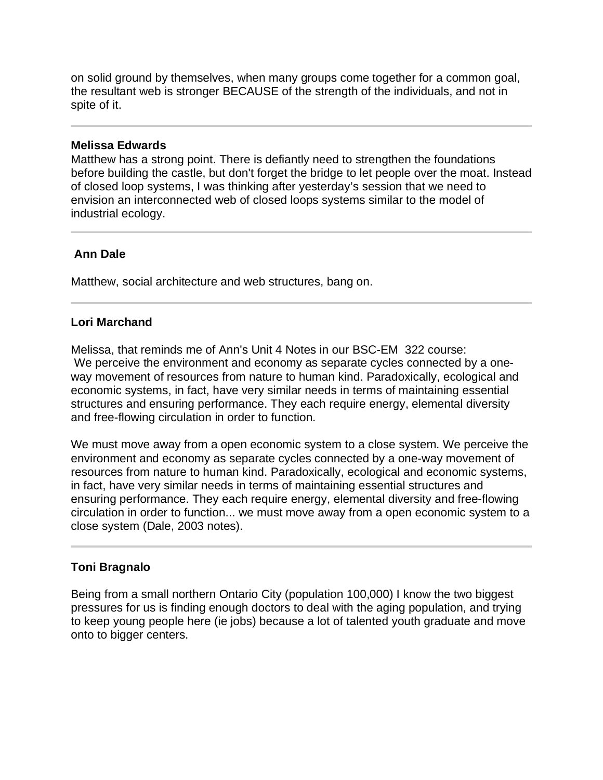on solid ground by themselves, when many groups come together for a common goal, the resultant web is stronger BECAUSE of the strength of the individuals, and not in spite of it.

### **Melissa Edwards**

Matthew has a strong point. There is defiantly need to strengthen the foundations before building the castle, but don't forget the bridge to let people over the moat. Instead of closed loop systems, I was thinking after yesterday's session that we need to envision an interconnected web of closed loops systems similar to the model of industrial ecology.

# **Ann Dale**

Matthew, social architecture and web structures, bang on.

# **Lori Marchand**

Melissa, that reminds me of Ann's Unit 4 Notes in our BSC-EM 322 course: We perceive the environment and economy as separate cycles connected by a oneway movement of resources from nature to human kind. Paradoxically, ecological and economic systems, in fact, have very similar needs in terms of maintaining essential structures and ensuring performance. They each require energy, elemental diversity and free-flowing circulation in order to function.

We must move away from a open economic system to a close system. We perceive the environment and economy as separate cycles connected by a one-way movement of resources from nature to human kind. Paradoxically, ecological and economic systems, in fact, have very similar needs in terms of maintaining essential structures and ensuring performance. They each require energy, elemental diversity and free-flowing circulation in order to function... we must move away from a open economic system to a close system (Dale, 2003 notes).

# **Toni Bragnalo**

Being from a small northern Ontario City (population 100,000) I know the two biggest pressures for us is finding enough doctors to deal with the aging population, and trying to keep young people here (ie jobs) because a lot of talented youth graduate and move onto to bigger centers.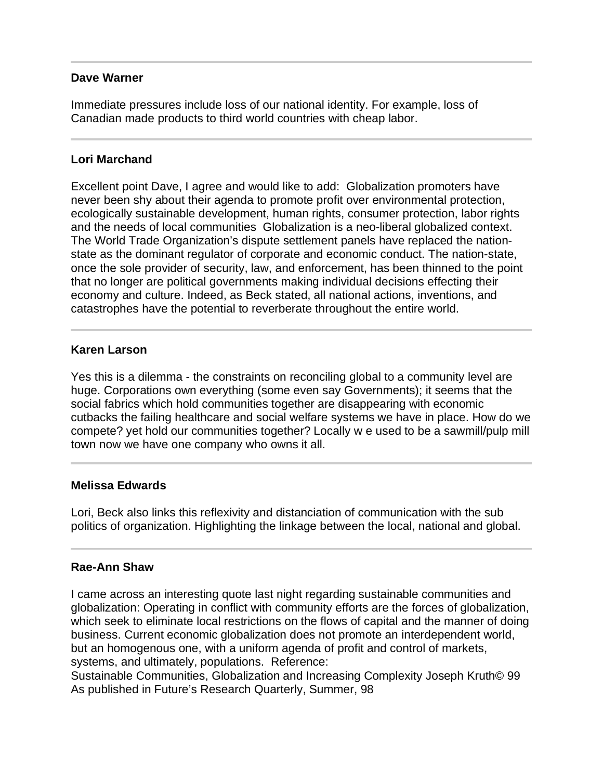# **Dave Warner**

Immediate pressures include loss of our national identity. For example, loss of Canadian made products to third world countries with cheap labor.

# **Lori Marchand**

Excellent point Dave, I agree and would like to add: Globalization promoters have never been shy about their agenda to promote profit over environmental protection, ecologically sustainable development, human rights, consumer protection, labor rights and the needs of local communities Globalization is a neo-liberal globalized context. The World Trade Organization's dispute settlement panels have replaced the nationstate as the dominant regulator of corporate and economic conduct. The nation-state, once the sole provider of security, law, and enforcement, has been thinned to the point that no longer are political governments making individual decisions effecting their economy and culture. Indeed, as Beck stated, all national actions, inventions, and catastrophes have the potential to reverberate throughout the entire world.

## **Karen Larson**

Yes this is a dilemma - the constraints on reconciling global to a community level are huge. Corporations own everything (some even say Governments); it seems that the social fabrics which hold communities together are disappearing with economic cutbacks the failing healthcare and social welfare systems we have in place. How do we compete? yet hold our communities together? Locally w e used to be a sawmill/pulp mill town now we have one company who owns it all.

### **Melissa Edwards**

l

Lori, Beck also links this reflexivity and distanciation of communication with the sub politics of organization. Highlighting the linkage between the local, national and global.

### **Rae-Ann Shaw**

I came across an interesting quote last night regarding sustainable communities and globalization: Operating in conflict with community efforts are the forces of globalization, which seek to eliminate local restrictions on the flows of capital and the manner of doing business. Current economic globalization does not promote an interdependent world, but an homogenous one, with a uniform agenda of profit and control of markets, systems, and ultimately, populations. Reference:

Sustainable Communities, Globalization and Increasing Complexity Joseph Kruth© 99 As published in Future's Research Quarterly, Summer, 98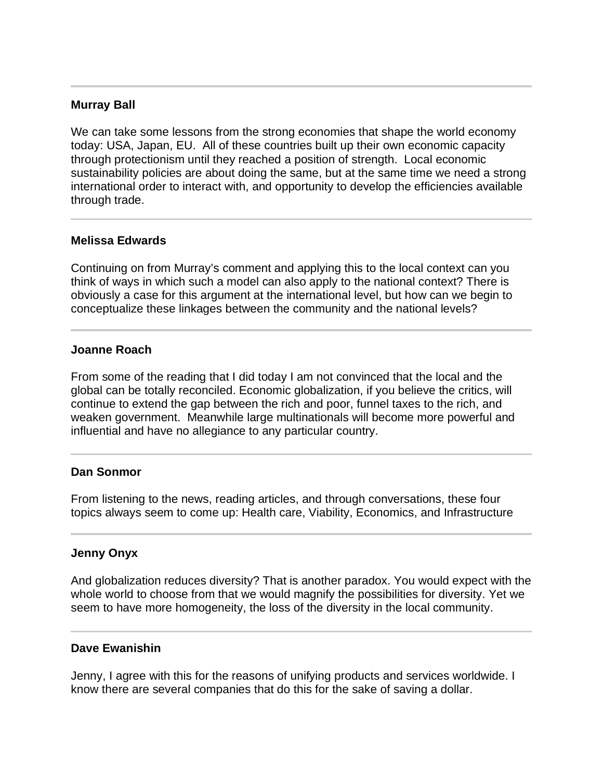# **Murray Ball**

We can take some lessons from the strong economies that shape the world economy today: USA, Japan, EU. All of these countries built up their own economic capacity through protectionism until they reached a position of strength. Local economic sustainability policies are about doing the same, but at the same time we need a strong international order to interact with, and opportunity to develop the efficiencies available through trade.

### **Melissa Edwards**

l

Continuing on from Murray's comment and applying this to the local context can you think of ways in which such a model can also apply to the national context? There is obviously a case for this argument at the international level, but how can we begin to conceptualize these linkages between the community and the national levels?

#### **Joanne Roach**

From some of the reading that I did today I am not convinced that the local and the global can be totally reconciled. Economic globalization, if you believe the critics, will continue to extend the gap between the rich and poor, funnel taxes to the rich, and weaken government. Meanwhile large multinationals will become more powerful and influential and have no allegiance to any particular country.

### **Dan Sonmor**

I

From listening to the news, reading articles, and through conversations, these four topics always seem to come up: Health care, Viability, Economics, and Infrastructure

#### **Jenny Onyx**

And globalization reduces diversity? That is another paradox. You would expect with the whole world to choose from that we would magnify the possibilities for diversity. Yet we seem to have more homogeneity, the loss of the diversity in the local community.

#### **Dave Ewanishin**

Jenny, I agree with this for the reasons of unifying products and services worldwide. I know there are several companies that do this for the sake of saving a dollar.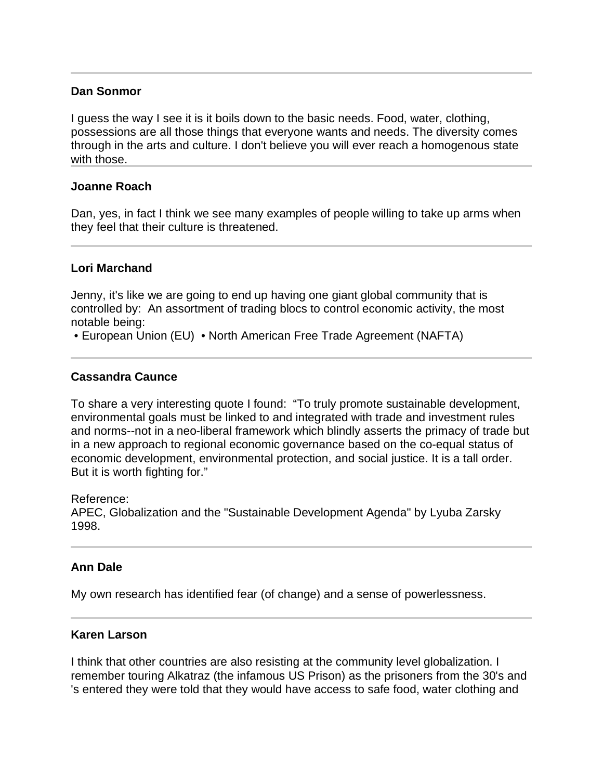### **Dan Sonmor**

I guess the way I see it is it boils down to the basic needs. Food, water, clothing, possessions are all those things that everyone wants and needs. The diversity comes through in the arts and culture. I don't believe you will ever reach a homogenous state with those.

## **Joanne Roach**

Dan, yes, in fact I think we see many examples of people willing to take up arms when they feel that their culture is threatened.

## **Lori Marchand**

l

Jenny, it's like we are going to end up having one giant global community that is controlled by: An assortment of trading blocs to control economic activity, the most notable being:

• European Union (EU) • North American Free Trade Agreement (NAFTA)

## **Cassandra Caunce**

To share a very interesting quote I found: "To truly promote sustainable development, environmental goals must be linked to and integrated with trade and investment rules and norms--not in a neo-liberal framework which blindly asserts the primacy of trade but in a new approach to regional economic governance based on the co-equal status of economic development, environmental protection, and social justice. It is a tall order. But it is worth fighting for."

Reference:

APEC, Globalization and the "Sustainable Development Agenda" by Lyuba Zarsky 1998.

### **Ann Dale**

My own research has identified fear (of change) and a sense of powerlessness.

### **Karen Larson**

I think that other countries are also resisting at the community level globalization. I remember touring Alkatraz (the infamous US Prison) as the prisoners from the 30's and 's entered they were told that they would have access to safe food, water clothing and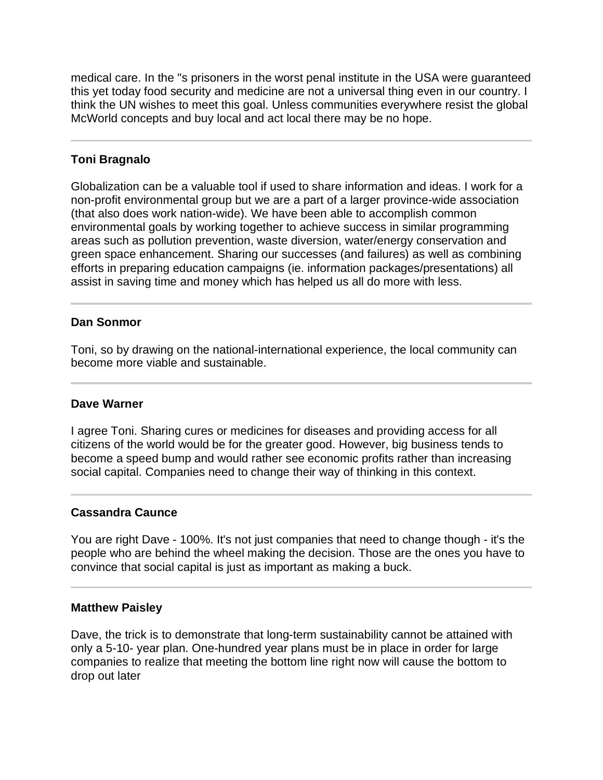medical care. In the "s prisoners in the worst penal institute in the USA were guaranteed this yet today food security and medicine are not a universal thing even in our country. I think the UN wishes to meet this goal. Unless communities everywhere resist the global McWorld concepts and buy local and act local there may be no hope.

# **Toni Bragnalo**

Ī

Globalization can be a valuable tool if used to share information and ideas. I work for a non-profit environmental group but we are a part of a larger province-wide association (that also does work nation-wide). We have been able to accomplish common environmental goals by working together to achieve success in similar programming areas such as pollution prevention, waste diversion, water/energy conservation and green space enhancement. Sharing our successes (and failures) as well as combining efforts in preparing education campaigns (ie. information packages/presentations) all assist in saving time and money which has helped us all do more with less.

## **Dan Sonmor**

Toni, so by drawing on the national-international experience, the local community can become more viable and sustainable.

### **Dave Warner**

I agree Toni. Sharing cures or medicines for diseases and providing access for all citizens of the world would be for the greater good. However, big business tends to become a speed bump and would rather see economic profits rather than increasing social capital. Companies need to change their way of thinking in this context.

### **Cassandra Caunce**

You are right Dave - 100%. It's not just companies that need to change though - it's the people who are behind the wheel making the decision. Those are the ones you have to convince that social capital is just as important as making a buck.

### **Matthew Paisley**

Dave, the trick is to demonstrate that long-term sustainability cannot be attained with only a 5-10- year plan. One-hundred year plans must be in place in order for large companies to realize that meeting the bottom line right now will cause the bottom to drop out later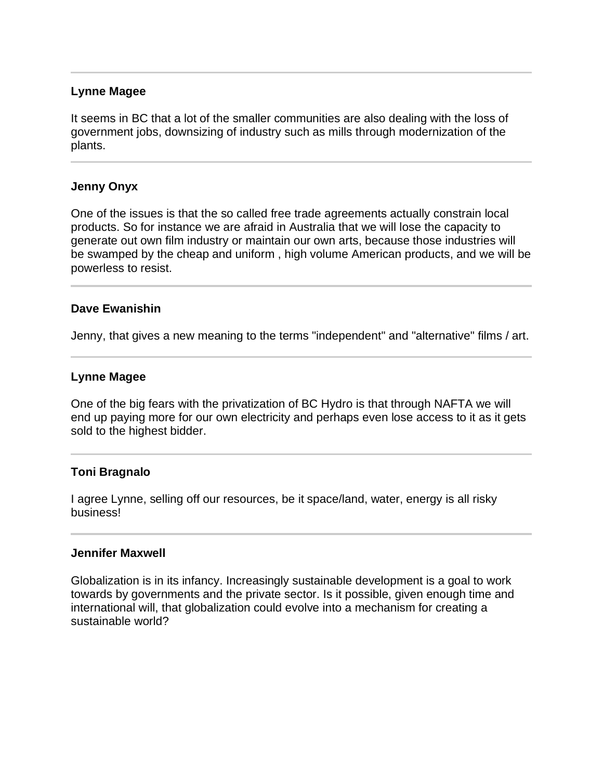## **Lynne Magee**

It seems in BC that a lot of the smaller communities are also dealing with the loss of government jobs, downsizing of industry such as mills through modernization of the plants.

### **Jenny Onyx**

One of the issues is that the so called free trade agreements actually constrain local products. So for instance we are afraid in Australia that we will lose the capacity to generate out own film industry or maintain our own arts, because those industries will be swamped by the cheap and uniform , high volume American products, and we will be powerless to resist.

## **Dave Ewanishin**

l

Jenny, that gives a new meaning to the terms "independent" and "alternative" films / art.

### **Lynne Magee**

One of the big fears with the privatization of BC Hydro is that through NAFTA we will end up paying more for our own electricity and perhaps even lose access to it as it gets sold to the highest bidder.

### **Toni Bragnalo**

I agree Lynne, selling off our resources, be it space/land, water, energy is all risky business!

### **Jennifer Maxwell**

Globalization is in its infancy. Increasingly sustainable development is a goal to work towards by governments and the private sector. Is it possible, given enough time and international will, that globalization could evolve into a mechanism for creating a sustainable world?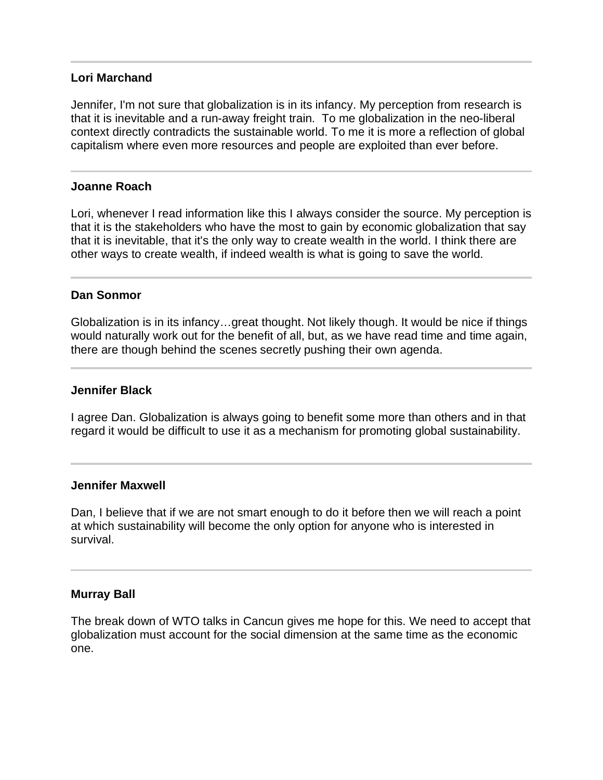# **Lori Marchand**

Jennifer, I'm not sure that globalization is in its infancy. My perception from research is that it is inevitable and a run-away freight train. To me globalization in the neo-liberal context directly contradicts the sustainable world. To me it is more a reflection of global capitalism where even more resources and people are exploited than ever before.

## **Joanne Roach**

Lori, whenever I read information like this I always consider the source. My perception is that it is the stakeholders who have the most to gain by economic globalization that say that it is inevitable, that it's the only way to create wealth in the world. I think there are other ways to create wealth, if indeed wealth is what is going to save the world.

### **Dan Sonmor**

Globalization is in its infancy…great thought. Not likely though. It would be nice if things would naturally work out for the benefit of all, but, as we have read time and time again, there are though behind the scenes secretly pushing their own agenda.

#### **Jennifer Black**

I agree Dan. Globalization is always going to benefit some more than others and in that regard it would be difficult to use it as a mechanism for promoting global sustainability.

#### **Jennifer Maxwell**

Dan, I believe that if we are not smart enough to do it before then we will reach a point at which sustainability will become the only option for anyone who is interested in survival.

#### **Murray Ball**

The break down of WTO talks in Cancun gives me hope for this. We need to accept that globalization must account for the social dimension at the same time as the economic one.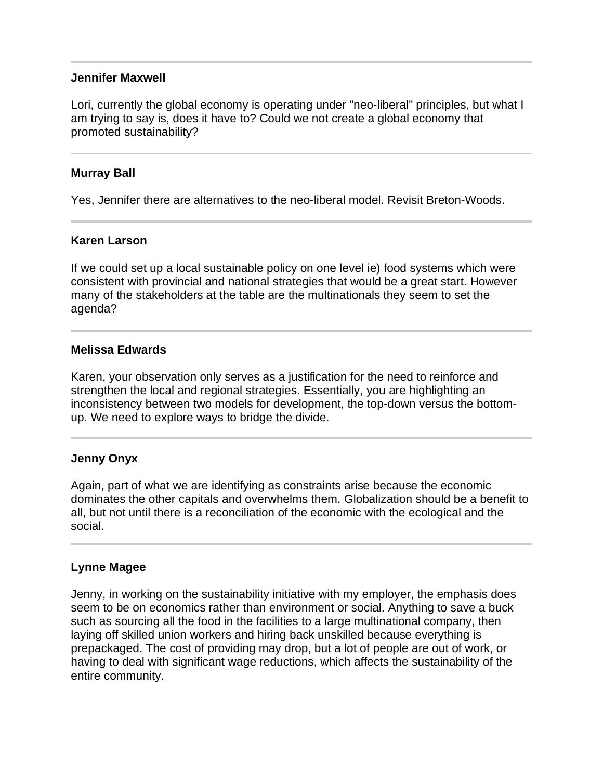### **Jennifer Maxwell**

Lori, currently the global economy is operating under "neo-liberal" principles, but what I am trying to say is, does it have to? Could we not create a global economy that promoted sustainability?

### **Murray Ball**

Yes, Jennifer there are alternatives to the neo-liberal model. Revisit Breton-Woods.

### **Karen Larson**

If we could set up a local sustainable policy on one level ie) food systems which were consistent with provincial and national strategies that would be a great start. However many of the stakeholders at the table are the multinationals they seem to set the agenda?

#### **Melissa Edwards**

Karen, your observation only serves as a justification for the need to reinforce and strengthen the local and regional strategies. Essentially, you are highlighting an inconsistency between two models for development, the top-down versus the bottomup. We need to explore ways to bridge the divide.

### **Jenny Onyx**

Again, part of what we are identifying as constraints arise because the economic dominates the other capitals and overwhelms them. Globalization should be a benefit to all, but not until there is a reconciliation of the economic with the ecological and the social.

### **Lynne Magee**

l

Jenny, in working on the sustainability initiative with my employer, the emphasis does seem to be on economics rather than environment or social. Anything to save a buck such as sourcing all the food in the facilities to a large multinational company, then laying off skilled union workers and hiring back unskilled because everything is prepackaged. The cost of providing may drop, but a lot of people are out of work, or having to deal with significant wage reductions, which affects the sustainability of the entire community.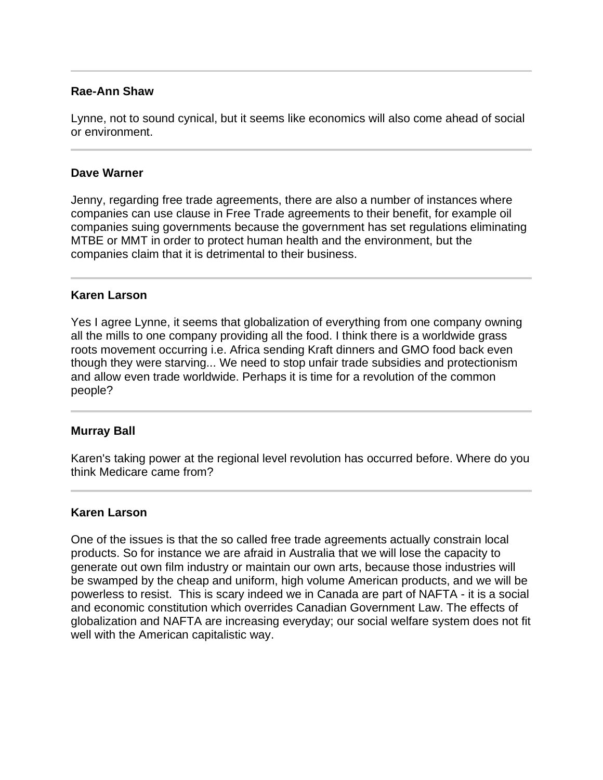## **Rae-Ann Shaw**

Lynne, not to sound cynical, but it seems like economics will also come ahead of social or environment.

### **Dave Warner**

l

I

Jenny, regarding free trade agreements, there are also a number of instances where companies can use clause in Free Trade agreements to their benefit, for example oil companies suing governments because the government has set regulations eliminating MTBE or MMT in order to protect human health and the environment, but the companies claim that it is detrimental to their business.

## **Karen Larson**

Yes I agree Lynne, it seems that globalization of everything from one company owning all the mills to one company providing all the food. I think there is a worldwide grass roots movement occurring i.e. Africa sending Kraft dinners and GMO food back even though they were starving... We need to stop unfair trade subsidies and protectionism and allow even trade worldwide. Perhaps it is time for a revolution of the common people?

### **Murray Ball**

Karen's taking power at the regional level revolution has occurred before. Where do you think Medicare came from?

#### **Karen Larson**

One of the issues is that the so called free trade agreements actually constrain local products. So for instance we are afraid in Australia that we will lose the capacity to generate out own film industry or maintain our own arts, because those industries will be swamped by the cheap and uniform, high volume American products, and we will be powerless to resist. This is scary indeed we in Canada are part of NAFTA - it is a social and economic constitution which overrides Canadian Government Law. The effects of globalization and NAFTA are increasing everyday; our social welfare system does not fit well with the American capitalistic way.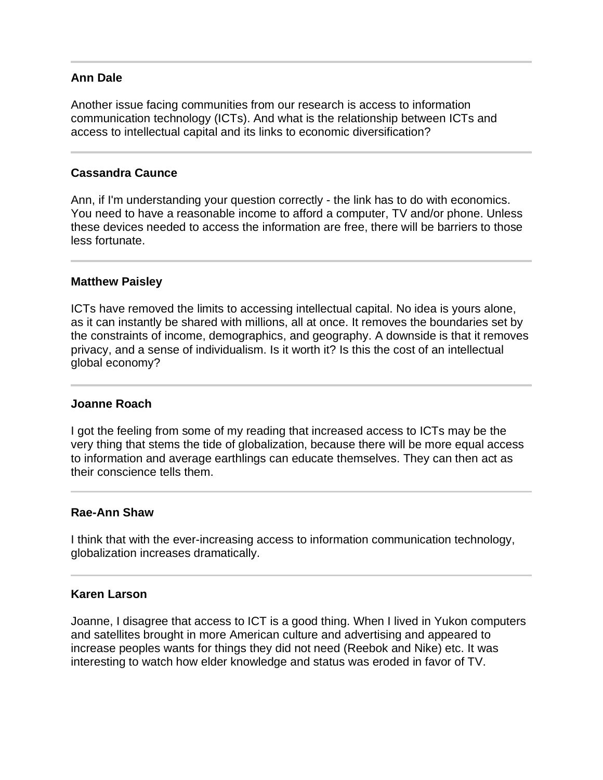# **Ann Dale**

Another issue facing communities from our research is access to information communication technology (ICTs). And what is the relationship between ICTs and access to intellectual capital and its links to economic diversification?

## **Cassandra Caunce**

Ann, if I'm understanding your question correctly - the link has to do with economics. You need to have a reasonable income to afford a computer, TV and/or phone. Unless these devices needed to access the information are free, there will be barriers to those less fortunate.

### **Matthew Paisley**

ICTs have removed the limits to accessing intellectual capital. No idea is yours alone, as it can instantly be shared with millions, all at once. It removes the boundaries set by the constraints of income, demographics, and geography. A downside is that it removes privacy, and a sense of individualism. Is it worth it? Is this the cost of an intellectual global economy?

### **Joanne Roach**

I got the feeling from some of my reading that increased access to ICTs may be the very thing that stems the tide of globalization, because there will be more equal access to information and average earthlings can educate themselves. They can then act as their conscience tells them.

#### **Rae-Ann Shaw**

I think that with the ever-increasing access to information communication technology, globalization increases dramatically.

#### **Karen Larson**

Joanne, I disagree that access to ICT is a good thing. When I lived in Yukon computers and satellites brought in more American culture and advertising and appeared to increase peoples wants for things they did not need (Reebok and Nike) etc. It was interesting to watch how elder knowledge and status was eroded in favor of TV.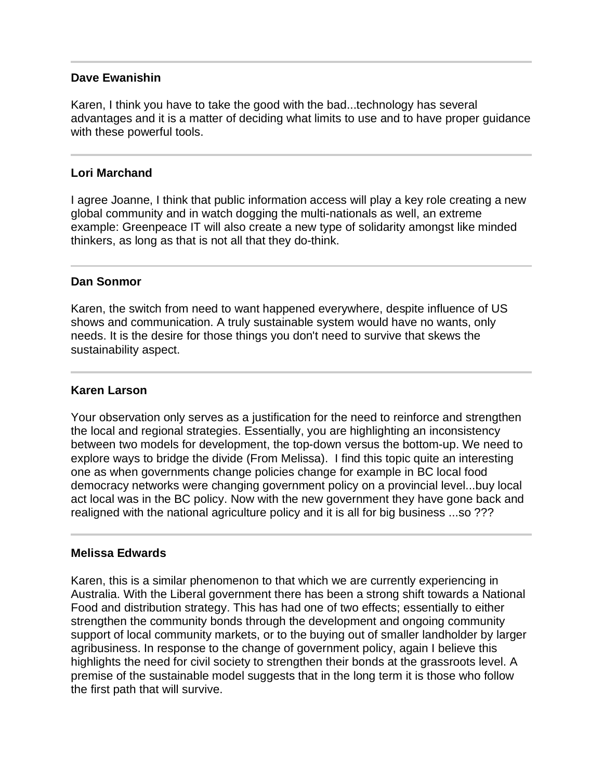### **Dave Ewanishin**

Karen, I think you have to take the good with the bad...technology has several advantages and it is a matter of deciding what limits to use and to have proper guidance with these powerful tools.

#### Ĩ **Lori Marchand**

I agree Joanne, I think that public information access will play a key role creating a new global community and in watch dogging the multi-nationals as well, an extreme example: Greenpeace IT will also create a new type of solidarity amongst like minded thinkers, as long as that is not all that they do-think.

## **Dan Sonmor**

Karen, the switch from need to want happened everywhere, despite influence of US shows and communication. A truly sustainable system would have no wants, only needs. It is the desire for those things you don't need to survive that skews the sustainability aspect.

# **Karen Larson**

Your observation only serves as a justification for the need to reinforce and strengthen the local and regional strategies. Essentially, you are highlighting an inconsistency between two models for development, the top-down versus the bottom-up. We need to explore ways to bridge the divide (From Melissa). I find this topic quite an interesting one as when governments change policies change for example in BC local food democracy networks were changing government policy on a provincial level...buy local act local was in the BC policy. Now with the new government they have gone back and realigned with the national agriculture policy and it is all for big business ...so ???

### **Melissa Edwards**

Ī

Karen, this is a similar phenomenon to that which we are currently experiencing in Australia. With the Liberal government there has been a strong shift towards a National Food and distribution strategy. This has had one of two effects; essentially to either strengthen the community bonds through the development and ongoing community support of local community markets, or to the buying out of smaller landholder by larger agribusiness. In response to the change of government policy, again I believe this highlights the need for civil society to strengthen their bonds at the grassroots level. A premise of the sustainable model suggests that in the long term it is those who follow the first path that will survive.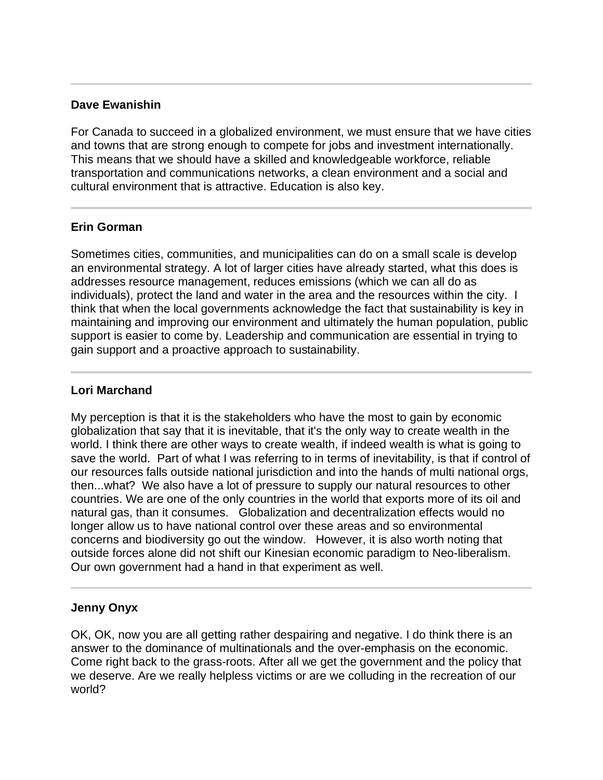# **Dave Ewanishin**

For Canada to succeed in a globalized environment, we must ensure that we have cities and towns that are strong enough to compete for jobs and investment internationally. This means that we should have a skilled and knowledgeable workforce, reliable transportation and communications networks, a clean environment and a social and cultural environment that is attractive. Education is also key.

# **Erin Gorman**

Sometimes cities, communities, and municipalities can do on a small scale is develop an environmental strategy. A lot of larger cities have already started, what this does is addresses resource management, reduces emissions (which we can all do as individuals), protect the land and water in the area and the resources within the city. I think that when the local governments acknowledge the fact that sustainability is key in maintaining and improving our environment and ultimately the human population, public support is easier to come by. Leadership and communication are essential in trying to gain support and a proactive approach to sustainability.

### Ī **Lori Marchand**

My perception is that it is the stakeholders who have the most to gain by economic globalization that say that it is inevitable, that it's the only way to create wealth in the world. I think there are other ways to create wealth, if indeed wealth is what is going to save the world. Part of what I was referring to in terms of inevitability, is that if control of our resources falls outside national jurisdiction and into the hands of multi national orgs, then...what? We also have a lot of pressure to supply our natural resources to other countries. We are one of the only countries in the world that exports more of its oil and natural gas, than it consumes. Globalization and decentralization effects would no longer allow us to have national control over these areas and so environmental concerns and biodiversity go out the window. However, it is also worth noting that outside forces alone did not shift our Kinesian economic paradigm to Neo-liberalism. Our own government had a hand in that experiment as well.

# **Jenny Onyx**

OK, OK, now you are all getting rather despairing and negative. I do think there is an answer to the dominance of multinationals and the over-emphasis on the economic. Come right back to the grass-roots. After all we get the government and the policy that we deserve. Are we really helpless victims or are we colluding in the recreation of our world?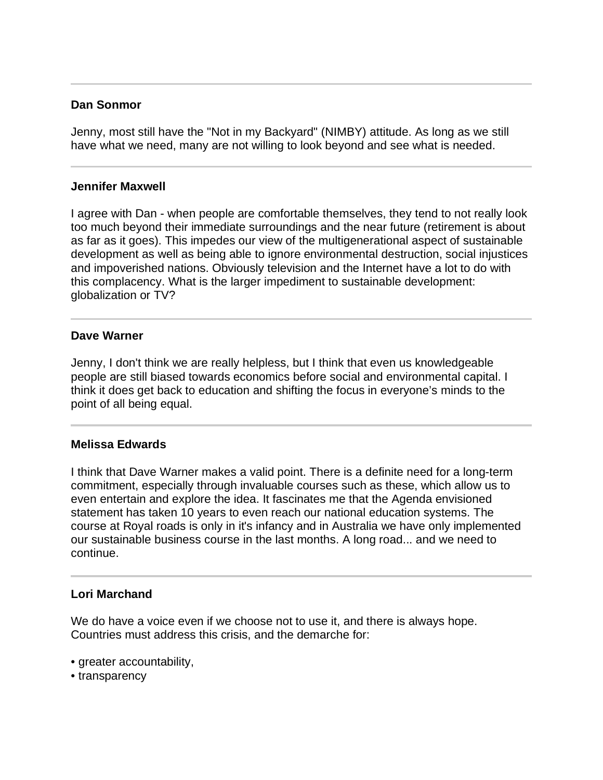# **Dan Sonmor**

 $\overline{a}$ 

Jenny, most still have the "Not in my Backyard" (NIMBY) attitude. As long as we still have what we need, many are not willing to look beyond and see what is needed.

### **Jennifer Maxwell**

I agree with Dan - when people are comfortable themselves, they tend to not really look too much beyond their immediate surroundings and the near future (retirement is about as far as it goes). This impedes our view of the multigenerational aspect of sustainable development as well as being able to ignore environmental destruction, social injustices and impoverished nations. Obviously television and the Internet have a lot to do with this complacency. What is the larger impediment to sustainable development: globalization or TV?

## **Dave Warner**

Jenny, I don't think we are really helpless, but I think that even us knowledgeable people are still biased towards economics before social and environmental capital. I think it does get back to education and shifting the focus in everyone's minds to the point of all being equal.

### **Melissa Edwards**

I think that Dave Warner makes a valid point. There is a definite need for a long-term commitment, especially through invaluable courses such as these, which allow us to even entertain and explore the idea. It fascinates me that the Agenda envisioned statement has taken 10 years to even reach our national education systems. The course at Royal roads is only in it's infancy and in Australia we have only implemented our sustainable business course in the last months. A long road... and we need to continue.

### **Lori Marchand**

We do have a voice even if we choose not to use it, and there is always hope. Countries must address this crisis, and the demarche for:

- greater accountability,
- transparency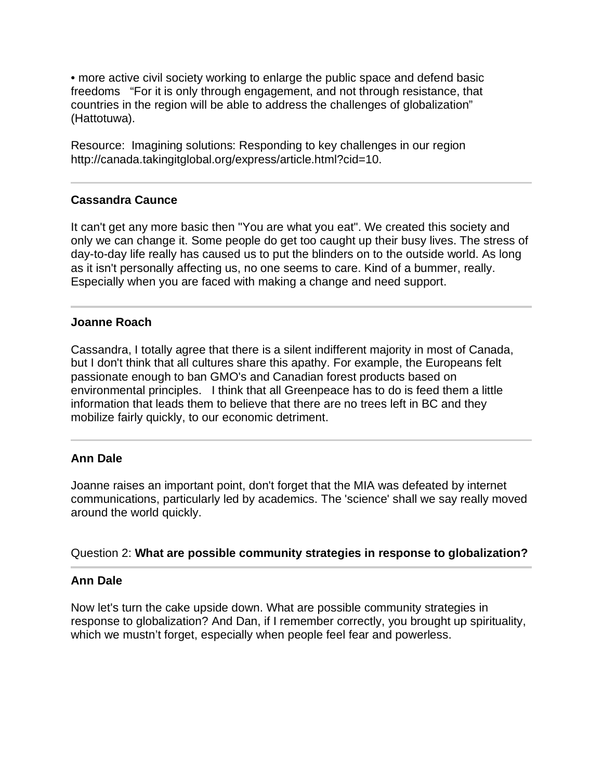• more active civil society working to enlarge the public space and defend basic freedoms "For it is only through engagement, and not through resistance, that countries in the region will be able to address the challenges of globalization" (Hattotuwa).

Resource: Imagining solutions: Responding to key challenges in our region http://canada.takingitglobal.org/express/article.html?cid=10.

# **Cassandra Caunce**

It can't get any more basic then "You are what you eat". We created this society and only we can change it. Some people do get too caught up their busy lives. The stress of day-to-day life really has caused us to put the blinders on to the outside world. As long as it isn't personally affecting us, no one seems to care. Kind of a bummer, really. Especially when you are faced with making a change and need support.

# **Joanne Roach**

Cassandra, I totally agree that there is a silent indifferent majority in most of Canada, but I don't think that all cultures share this apathy. For example, the Europeans felt passionate enough to ban GMO's and Canadian forest products based on environmental principles. I think that all Greenpeace has to do is feed them a little information that leads them to believe that there are no trees left in BC and they mobilize fairly quickly, to our economic detriment.

# **Ann Dale**

Joanne raises an important point, don't forget that the MIA was defeated by internet communications, particularly led by academics. The 'science' shall we say really moved around the world quickly.

### Question 2: **What are possible community strategies in response to globalization?**

#### $\overline{a}$ **Ann Dale**

Now let's turn the cake upside down. What are possible community strategies in response to globalization? And Dan, if I remember correctly, you brought up spirituality, which we mustn't forget, especially when people feel fear and powerless.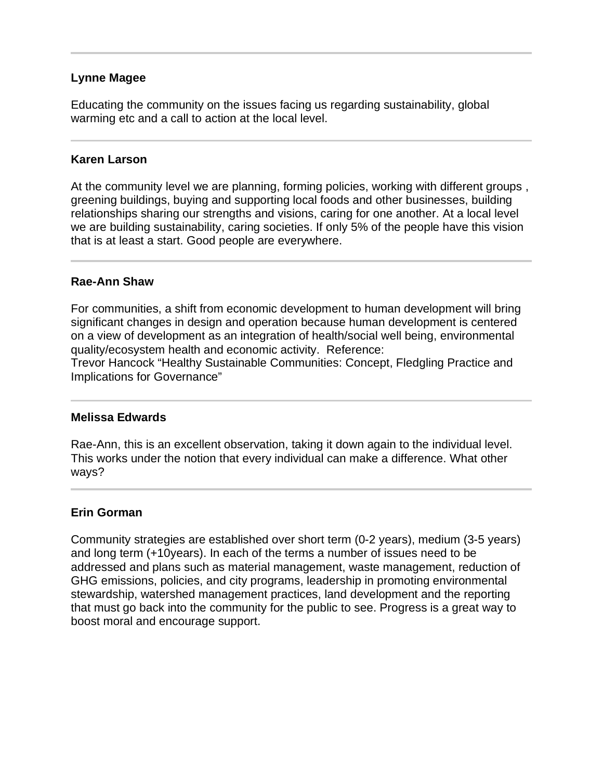# **Lynne Magee**

Educating the community on the issues facing us regarding sustainability, global warming etc and a call to action at the local level.

## **Karen Larson**

At the community level we are planning, forming policies, working with different groups , greening buildings, buying and supporting local foods and other businesses, building relationships sharing our strengths and visions, caring for one another. At a local level we are building sustainability, caring societies. If only 5% of the people have this vision that is at least a start. Good people are everywhere.

## **Rae-Ann Shaw**

For communities, a shift from economic development to human development will bring significant changes in design and operation because human development is centered on a view of development as an integration of health/social well being, environmental quality/ecosystem health and economic activity. Reference:

Trevor Hancock "Healthy Sustainable Communities: Concept, Fledgling Practice and Implications for Governance"

### **Melissa Edwards**

Rae-Ann, this is an excellent observation, taking it down again to the individual level. This works under the notion that every individual can make a difference. What other ways?

### **Erin Gorman**

Community strategies are established over short term (0-2 years), medium (3-5 years) and long term (+10years). In each of the terms a number of issues need to be addressed and plans such as material management, waste management, reduction of GHG emissions, policies, and city programs, leadership in promoting environmental stewardship, watershed management practices, land development and the reporting that must go back into the community for the public to see. Progress is a great way to boost moral and encourage support.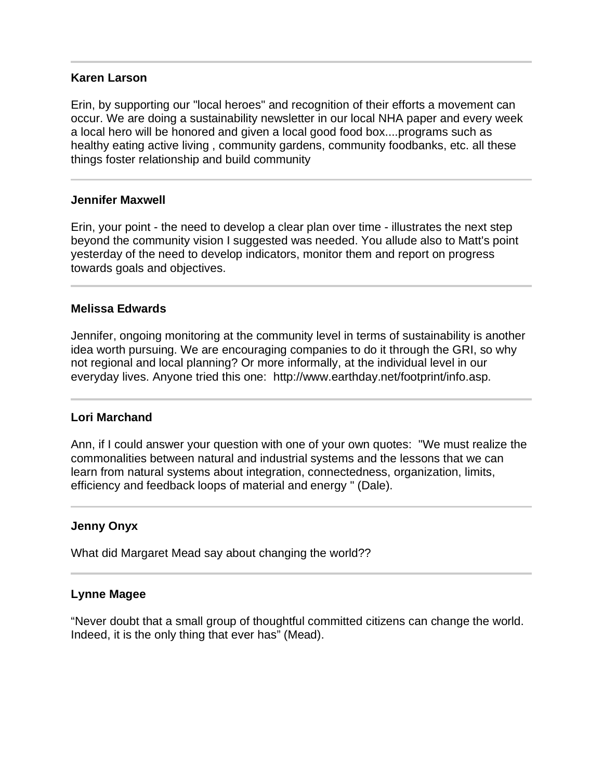### **Karen Larson**

Erin, by supporting our "local heroes" and recognition of their efforts a movement can occur. We are doing a sustainability newsletter in our local NHA paper and every week a local hero will be honored and given a local good food box....programs such as healthy eating active living , community gardens, community foodbanks, etc. all these things foster relationship and build community

#### **Jennifer Maxwell**

Erin, your point - the need to develop a clear plan over time - illustrates the next step beyond the community vision I suggested was needed. You allude also to Matt's point yesterday of the need to develop indicators, monitor them and report on progress towards goals and objectives.

### **Melissa Edwards**

Jennifer, ongoing monitoring at the community level in terms of sustainability is another idea worth pursuing. We are encouraging companies to do it through the GRI, so why not regional and local planning? Or more informally, at the individual level in our everyday lives. Anyone tried this one: http://www.earthday.net/footprint/info.asp.

#### **Lori Marchand**

Ann, if I could answer your question with one of your own quotes: "We must realize the commonalities between natural and industrial systems and the lessons that we can learn from natural systems about integration, connectedness, organization, limits, efficiency and feedback loops of material and energy " (Dale).

### **Jenny Onyx**

What did Margaret Mead say about changing the world??

#### **Lynne Magee**

"Never doubt that a small group of thoughtful committed citizens can change the world. Indeed, it is the only thing that ever has" (Mead).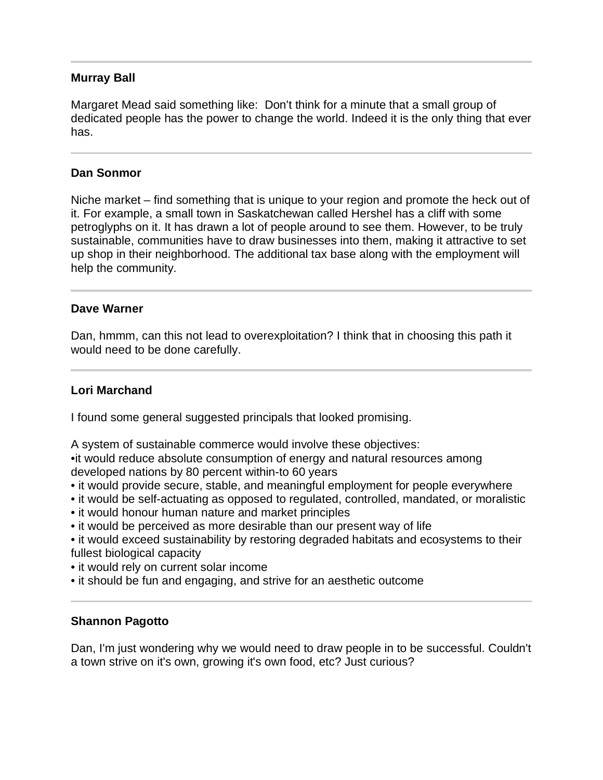# **Murray Ball**

Margaret Mead said something like: Don't think for a minute that a small group of dedicated people has the power to change the world. Indeed it is the only thing that ever has.

# **Dan Sonmor**

Niche market – find something that is unique to your region and promote the heck out of it. For example, a small town in Saskatchewan called Hershel has a cliff with some petroglyphs on it. It has drawn a lot of people around to see them. However, to be truly sustainable, communities have to draw businesses into them, making it attractive to set up shop in their neighborhood. The additional tax base along with the employment will help the community.

## **Dave Warner**

Dan, hmmm, can this not lead to overexploitation? I think that in choosing this path it would need to be done carefully.

# **Lori Marchand**

I found some general suggested principals that looked promising.

A system of sustainable commerce would involve these objectives:

•it would reduce absolute consumption of energy and natural resources among developed nations by 80 percent within-to 60 years

- it would provide secure, stable, and meaningful employment for people everywhere
- it would be self-actuating as opposed to regulated, controlled, mandated, or moralistic
- it would honour human nature and market principles
- it would be perceived as more desirable than our present way of life
- it would exceed sustainability by restoring degraded habitats and ecosystems to their fullest biological capacity
- it would rely on current solar income
- it should be fun and engaging, and strive for an aesthetic outcome

# **Shannon Pagotto**

Dan, I'm just wondering why we would need to draw people in to be successful. Couldn't a town strive on it's own, growing it's own food, etc? Just curious?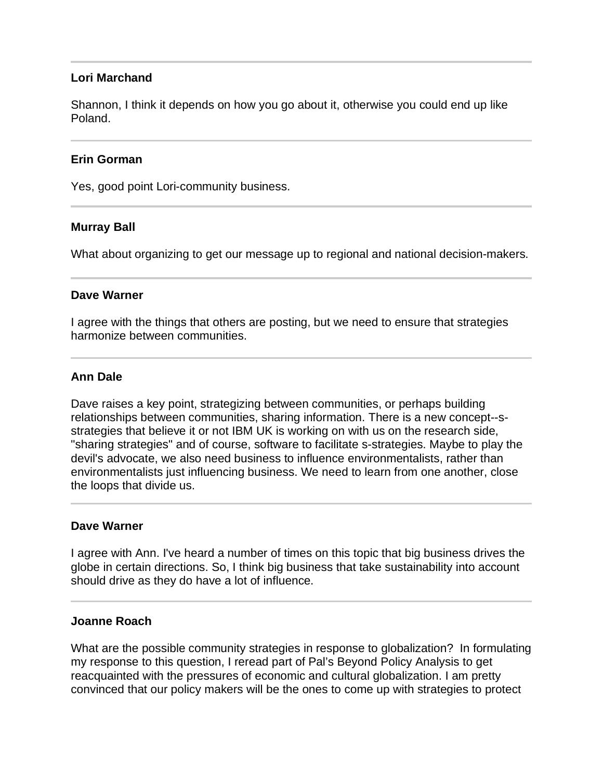# **Lori Marchand**

Shannon, I think it depends on how you go about it, otherwise you could end up like Poland.

## **Erin Gorman**

Yes, good point Lori-community business.

## **Murray Ball**

What about organizing to get our message up to regional and national decision-makers.

### **Dave Warner**

I agree with the things that others are posting, but we need to ensure that strategies harmonize between communities.

## **Ann Dale**

Dave raises a key point, strategizing between communities, or perhaps building relationships between communities, sharing information. There is a new concept--sstrategies that believe it or not IBM UK is working on with us on the research side, "sharing strategies" and of course, software to facilitate s-strategies. Maybe to play the devil's advocate, we also need business to influence environmentalists, rather than environmentalists just influencing business. We need to learn from one another, close the loops that divide us.

### **Dave Warner**

I agree with Ann. I've heard a number of times on this topic that big business drives the globe in certain directions. So, I think big business that take sustainability into account should drive as they do have a lot of influence.

### **Joanne Roach**

What are the possible community strategies in response to globalization? In formulating my response to this question, I reread part of Pal's Beyond Policy Analysis to get reacquainted with the pressures of economic and cultural globalization. I am pretty convinced that our policy makers will be the ones to come up with strategies to protect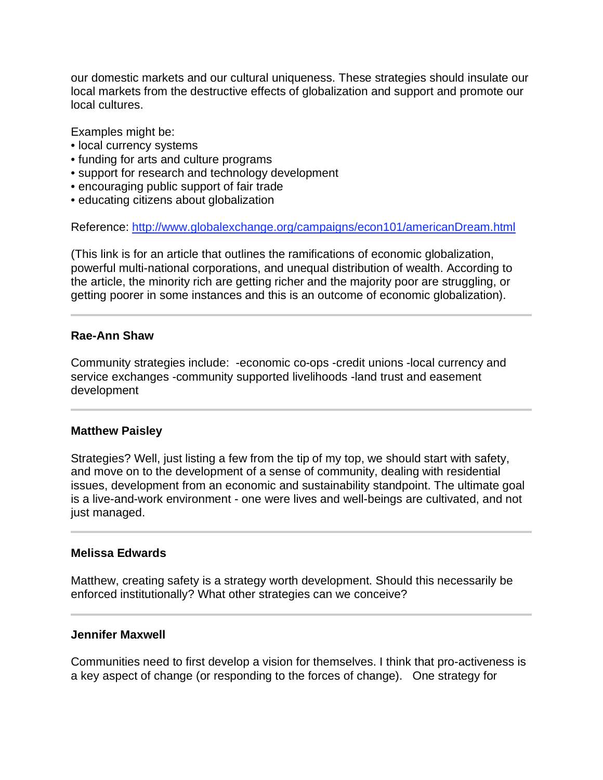our domestic markets and our cultural uniqueness. These strategies should insulate our local markets from the destructive effects of globalization and support and promote our local cultures.

Examples might be:

- local currency systems
- funding for arts and culture programs
- support for research and technology development
- encouraging public support of fair trade
- educating citizens about globalization

Reference: http://www.globalexchange.org/campaigns/econ101/americanDream.html

(This link is for an article that outlines the ramifications of economic globalization, powerful multi-national corporations, and unequal distribution of wealth. According to the article, the minority rich are getting richer and the majority poor are struggling, or getting poorer in some instances and this is an outcome of economic globalization).

### **Rae-Ann Shaw**

Community strategies include: -economic co-ops -credit unions -local currency and service exchanges -community supported livelihoods -land trust and easement development

### **Matthew Paisley**

l

l

Strategies? Well, just listing a few from the tip of my top, we should start with safety, and move on to the development of a sense of community, dealing with residential issues, development from an economic and sustainability standpoint. The ultimate goal is a live-and-work environment - one were lives and well-beings are cultivated, and not just managed.

## **Melissa Edwards**

Matthew, creating safety is a strategy worth development. Should this necessarily be enforced institutionally? What other strategies can we conceive?

### **Jennifer Maxwell**

Communities need to first develop a vision for themselves. I think that pro-activeness is a key aspect of change (or responding to the forces of change). One strategy for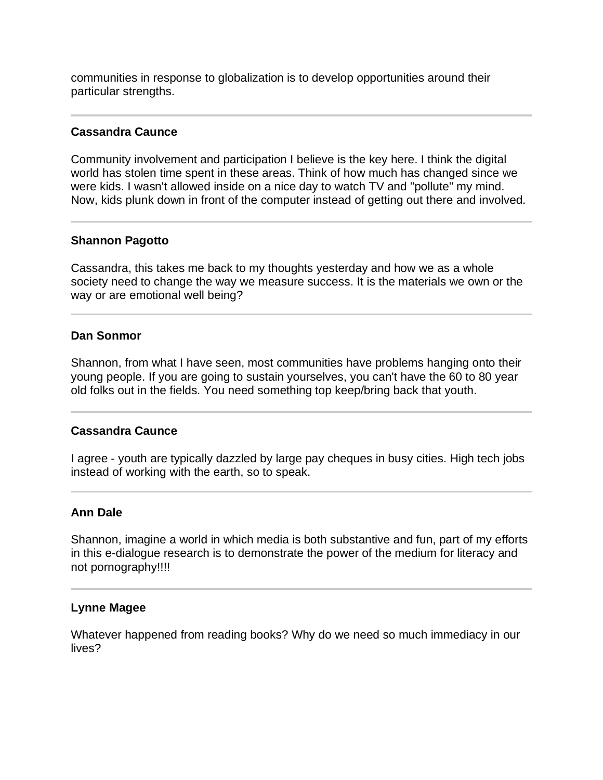communities in response to globalization is to develop opportunities around their particular strengths.

# **Cassandra Caunce**

Community involvement and participation I believe is the key here. I think the digital world has stolen time spent in these areas. Think of how much has changed since we were kids. I wasn't allowed inside on a nice day to watch TV and "pollute" my mind. Now, kids plunk down in front of the computer instead of getting out there and involved.

## **Shannon Pagotto**

Ī

l

Cassandra, this takes me back to my thoughts yesterday and how we as a whole society need to change the way we measure success. It is the materials we own or the way or are emotional well being?

### **Dan Sonmor**

Shannon, from what I have seen, most communities have problems hanging onto their young people. If you are going to sustain yourselves, you can't have the 60 to 80 year old folks out in the fields. You need something top keep/bring back that youth.

### **Cassandra Caunce**

I agree - youth are typically dazzled by large pay cheques in busy cities. High tech jobs instead of working with the earth, so to speak.

# **Ann Dale**

Shannon, imagine a world in which media is both substantive and fun, part of my efforts in this e-dialogue research is to demonstrate the power of the medium for literacy and not pornography!!!!

### **Lynne Magee**

Whatever happened from reading books? Why do we need so much immediacy in our lives?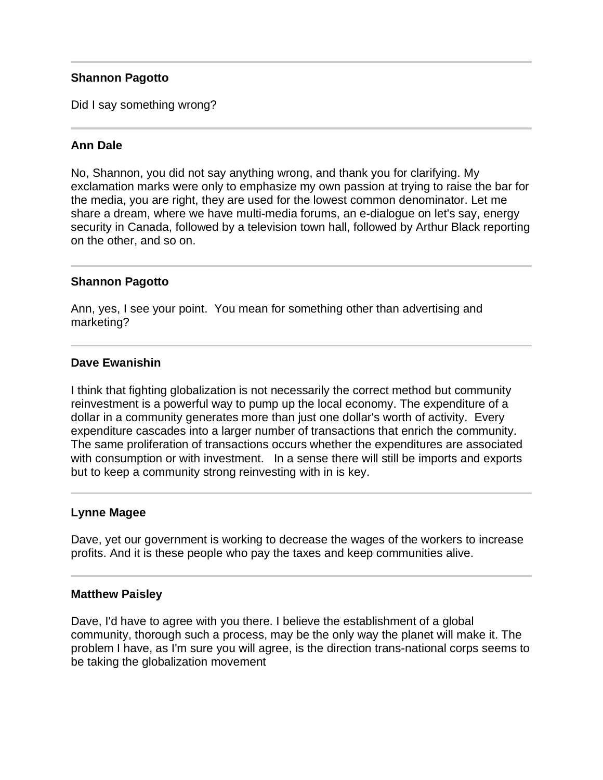# **Shannon Pagotto**

Did I say something wrong?

# **Ann Dale**

No, Shannon, you did not say anything wrong, and thank you for clarifying. My exclamation marks were only to emphasize my own passion at trying to raise the bar for the media, you are right, they are used for the lowest common denominator. Let me share a dream, where we have multi-media forums, an e-dialogue on let's say, energy security in Canada, followed by a television town hall, followed by Arthur Black reporting on the other, and so on.

## **Shannon Pagotto**

Ann, yes, I see your point. You mean for something other than advertising and marketing?

## **Dave Ewanishin**

I think that fighting globalization is not necessarily the correct method but community reinvestment is a powerful way to pump up the local economy. The expenditure of a dollar in a community generates more than just one dollar's worth of activity. Every expenditure cascades into a larger number of transactions that enrich the community. The same proliferation of transactions occurs whether the expenditures are associated with consumption or with investment. In a sense there will still be imports and exports but to keep a community strong reinvesting with in is key.

### **Lynne Magee**

Dave, yet our government is working to decrease the wages of the workers to increase profits. And it is these people who pay the taxes and keep communities alive.

### **Matthew Paisley**

Dave, I'd have to agree with you there. I believe the establishment of a global community, thorough such a process, may be the only way the planet will make it. The problem I have, as I'm sure you will agree, is the direction trans-national corps seems to be taking the globalization movement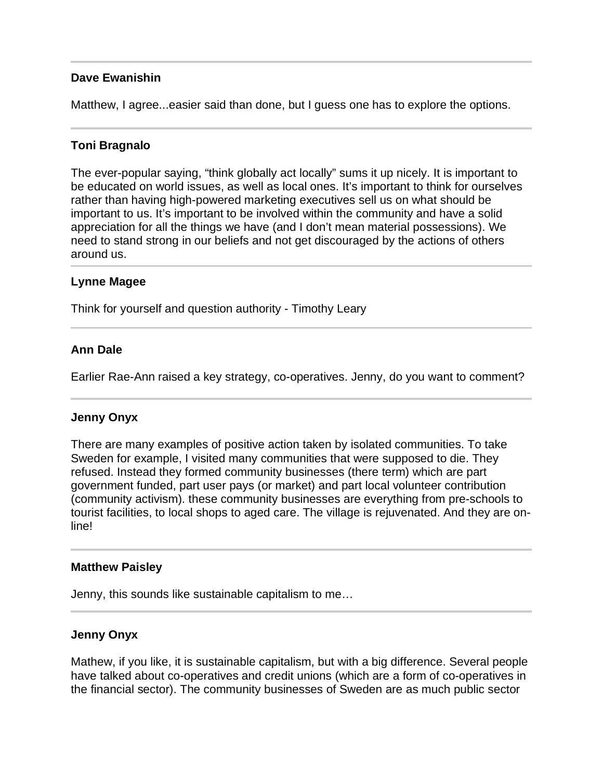# **Dave Ewanishin**

Matthew, I agree...easier said than done, but I guess one has to explore the options.

### **Toni Bragnalo**

The ever-popular saying, "think globally act locally" sums it up nicely. It is important to be educated on world issues, as well as local ones. It's important to think for ourselves rather than having high-powered marketing executives sell us on what should be important to us. It's important to be involved within the community and have a solid appreciation for all the things we have (and I don't mean material possessions). We need to stand strong in our beliefs and not get discouraged by the actions of others around us.

### **Lynne Magee**

j

Think for yourself and question authority - Timothy Leary

### **Ann Dale**

Earlier Rae-Ann raised a key strategy, co-operatives. Jenny, do you want to comment?

### **Jenny Onyx**

There are many examples of positive action taken by isolated communities. To take Sweden for example, I visited many communities that were supposed to die. They refused. Instead they formed community businesses (there term) which are part government funded, part user pays (or market) and part local volunteer contribution (community activism). these community businesses are everything from pre-schools to tourist facilities, to local shops to aged care. The village is rejuvenated. And they are online!

#### **Matthew Paisley**

Jenny, this sounds like sustainable capitalism to me…

#### **Jenny Onyx**

Mathew, if you like, it is sustainable capitalism, but with a big difference. Several people have talked about co-operatives and credit unions (which are a form of co-operatives in the financial sector). The community businesses of Sweden are as much public sector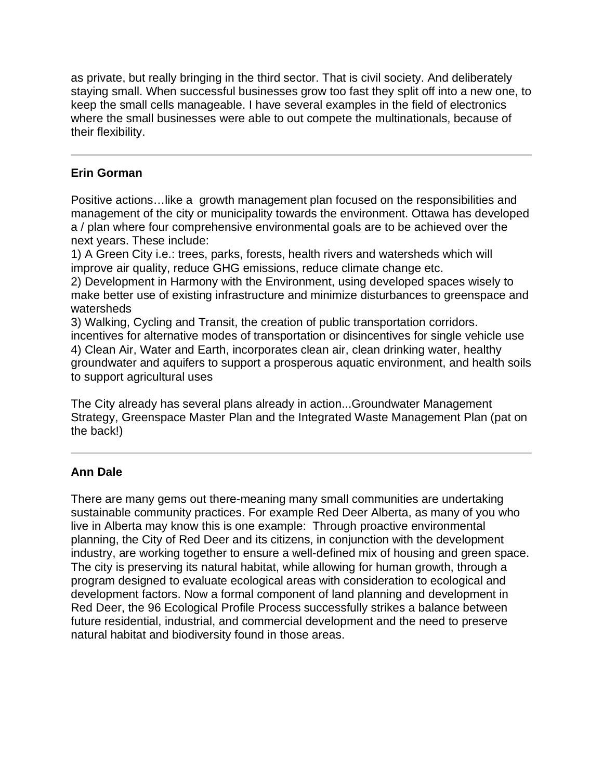as private, but really bringing in the third sector. That is civil society. And deliberately staying small. When successful businesses grow too fast they split off into a new one, to keep the small cells manageable. I have several examples in the field of electronics where the small businesses were able to out compete the multinationals, because of their flexibility.

# **Erin Gorman**

Positive actions…like a growth management plan focused on the responsibilities and management of the city or municipality towards the environment. Ottawa has developed a / plan where four comprehensive environmental goals are to be achieved over the next years. These include:

1) A Green City i.e.: trees, parks, forests, health rivers and watersheds which will improve air quality, reduce GHG emissions, reduce climate change etc.

2) Development in Harmony with the Environment, using developed spaces wisely to make better use of existing infrastructure and minimize disturbances to greenspace and watersheds

3) Walking, Cycling and Transit, the creation of public transportation corridors. incentives for alternative modes of transportation or disincentives for single vehicle use 4) Clean Air, Water and Earth, incorporates clean air, clean drinking water, healthy groundwater and aquifers to support a prosperous aquatic environment, and health soils to support agricultural uses

The City already has several plans already in action...Groundwater Management Strategy, Greenspace Master Plan and the Integrated Waste Management Plan (pat on the back!)

#### Ī **Ann Dale**

There are many gems out there-meaning many small communities are undertaking sustainable community practices. For example Red Deer Alberta, as many of you who live in Alberta may know this is one example: Through proactive environmental planning, the City of Red Deer and its citizens, in conjunction with the development industry, are working together to ensure a well-defined mix of housing and green space. The city is preserving its natural habitat, while allowing for human growth, through a program designed to evaluate ecological areas with consideration to ecological and development factors. Now a formal component of land planning and development in Red Deer, the 96 Ecological Profile Process successfully strikes a balance between future residential, industrial, and commercial development and the need to preserve natural habitat and biodiversity found in those areas.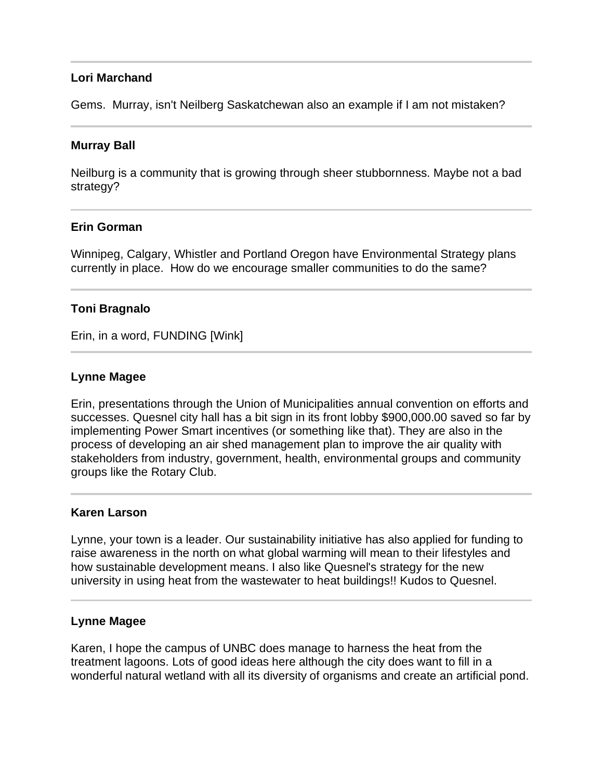# **Lori Marchand**

Gems. Murray, isn't Neilberg Saskatchewan also an example if I am not mistaken?

### **Murray Ball**

Neilburg is a community that is growing through sheer stubbornness. Maybe not a bad strategy?

## **Erin Gorman**

Winnipeg, Calgary, Whistler and Portland Oregon have Environmental Strategy plans currently in place. How do we encourage smaller communities to do the same?

## **Toni Bragnalo**

Erin, in a word, FUNDING [Wink]

### **Lynne Magee**

Erin, presentations through the Union of Municipalities annual convention on efforts and successes. Quesnel city hall has a bit sign in its front lobby \$900,000.00 saved so far by implementing Power Smart incentives (or something like that). They are also in the process of developing an air shed management plan to improve the air quality with stakeholders from industry, government, health, environmental groups and community groups like the Rotary Club.

### **Karen Larson**

Lynne, your town is a leader. Our sustainability initiative has also applied for funding to raise awareness in the north on what global warming will mean to their lifestyles and how sustainable development means. I also like Quesnel's strategy for the new university in using heat from the wastewater to heat buildings!! Kudos to Quesnel.

### **Lynne Magee**

Karen, I hope the campus of UNBC does manage to harness the heat from the treatment lagoons. Lots of good ideas here although the city does want to fill in a wonderful natural wetland with all its diversity of organisms and create an artificial pond.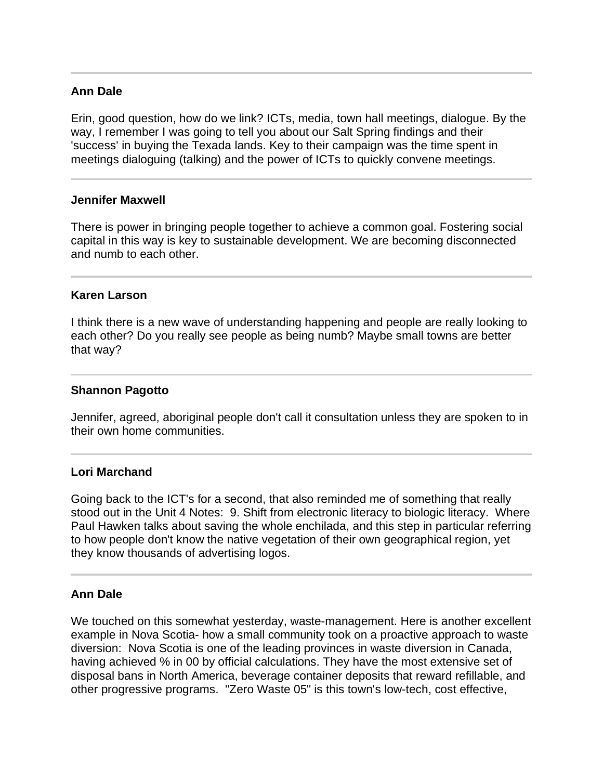# **Ann Dale**

Erin, good question, how do we link? ICTs, media, town hall meetings, dialogue. By the way, I remember I was going to tell you about our Salt Spring findings and their 'success' in buying the Texada lands. Key to their campaign was the time spent in meetings dialoguing (talking) and the power of ICTs to quickly convene meetings.

#### **Jennifer Maxwell**

There is power in bringing people together to achieve a common goal. Fostering social capital in this way is key to sustainable development. We are becoming disconnected and numb to each other.

#### **Karen Larson**

I think there is a new wave of understanding happening and people are really looking to each other? Do you really see people as being numb? Maybe small towns are better that way?

#### **Shannon Pagotto**

Jennifer, agreed, aboriginal people don't call it consultation unless they are spoken to in their own home communities.

### **Lori Marchand**

Going back to the ICT's for a second, that also reminded me of something that really stood out in the Unit 4 Notes: 9. Shift from electronic literacy to biologic literacy. Where Paul Hawken talks about saving the whole enchilada, and this step in particular referring to how people don't know the native vegetation of their own geographical region, yet they know thousands of advertising logos.

### **Ann Dale**

We touched on this somewhat yesterday, waste-management. Here is another excellent example in Nova Scotia- how a small community took on a proactive approach to waste diversion: Nova Scotia is one of the leading provinces in waste diversion in Canada, having achieved % in 00 by official calculations. They have the most extensive set of disposal bans in North America, beverage container deposits that reward refillable, and other progressive programs. "Zero Waste 05" is this town's low-tech, cost effective,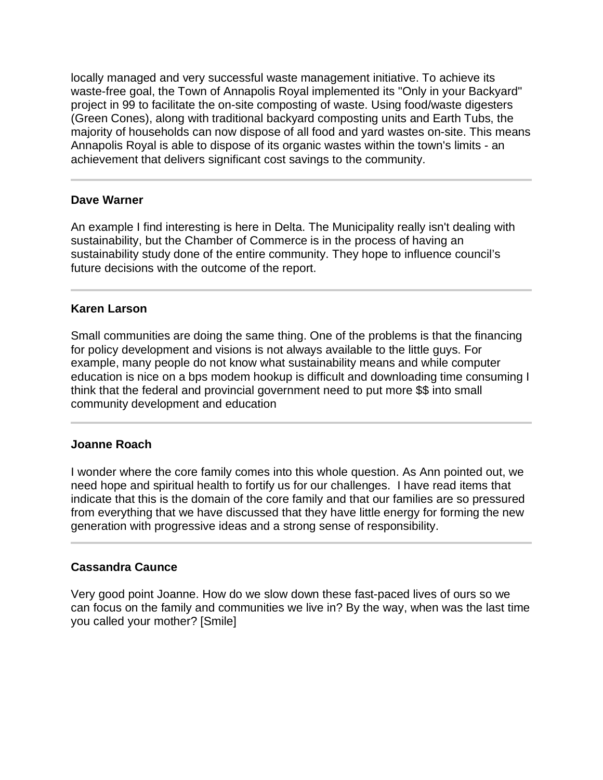locally managed and very successful waste management initiative. To achieve its waste-free goal, the Town of Annapolis Royal implemented its "Only in your Backyard" project in 99 to facilitate the on-site composting of waste. Using food/waste digesters (Green Cones), along with traditional backyard composting units and Earth Tubs, the majority of households can now dispose of all food and yard wastes on-site. This means Annapolis Royal is able to dispose of its organic wastes within the town's limits - an achievement that delivers significant cost savings to the community.

# **Dave Warner**

An example I find interesting is here in Delta. The Municipality really isn't dealing with sustainability, but the Chamber of Commerce is in the process of having an sustainability study done of the entire community. They hope to influence council's future decisions with the outcome of the report.

# **Karen Larson**

Small communities are doing the same thing. One of the problems is that the financing for policy development and visions is not always available to the little guys. For example, many people do not know what sustainability means and while computer education is nice on a bps modem hookup is difficult and downloading time consuming I think that the federal and provincial government need to put more \$\$ into small community development and education

### **Joanne Roach**

I wonder where the core family comes into this whole question. As Ann pointed out, we need hope and spiritual health to fortify us for our challenges. I have read items that indicate that this is the domain of the core family and that our families are so pressured from everything that we have discussed that they have little energy for forming the new generation with progressive ideas and a strong sense of responsibility.

# **Cassandra Caunce**

l

Very good point Joanne. How do we slow down these fast-paced lives of ours so we can focus on the family and communities we live in? By the way, when was the last time you called your mother? [Smile]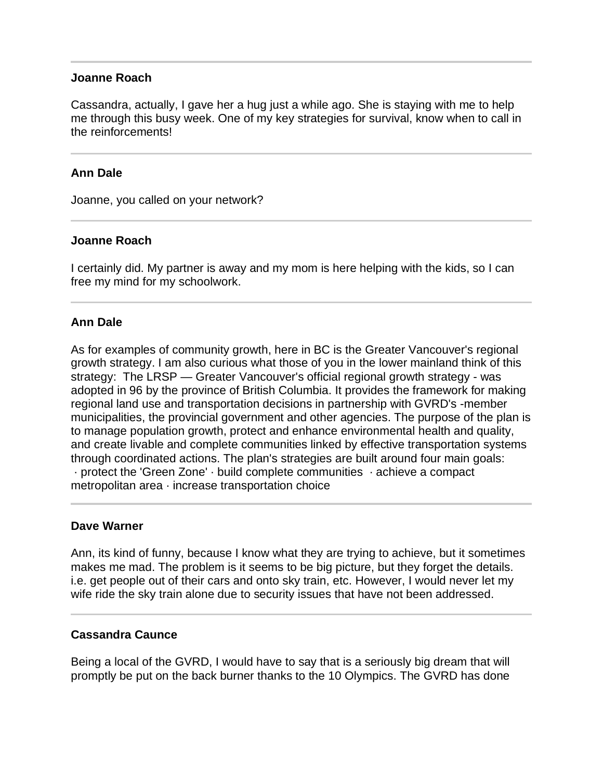### **Joanne Roach**

Cassandra, actually, I gave her a hug just a while ago. She is staying with me to help me through this busy week. One of my key strategies for survival, know when to call in the reinforcements!

## **Ann Dale**

Joanne, you called on your network?

### **Joanne Roach**

I certainly did. My partner is away and my mom is here helping with the kids, so I can free my mind for my schoolwork.

### **Ann Dale**

As for examples of community growth, here in BC is the Greater Vancouver's regional growth strategy. I am also curious what those of you in the lower mainland think of this strategy: The LRSP — Greater Vancouver's official regional growth strategy - was adopted in 96 by the province of British Columbia. It provides the framework for making regional land use and transportation decisions in partnership with GVRD's -member municipalities, the provincial government and other agencies. The purpose of the plan is to manage population growth, protect and enhance environmental health and quality, and create livable and complete communities linked by effective transportation systems through coordinated actions. The plan's strategies are built around four main goals: · protect the 'Green Zone' · build complete communities · achieve a compact metropolitan area · increase transportation choice

### **Dave Warner**

l

Ann, its kind of funny, because I know what they are trying to achieve, but it sometimes makes me mad. The problem is it seems to be big picture, but they forget the details. i.e. get people out of their cars and onto sky train, etc. However, I would never let my wife ride the sky train alone due to security issues that have not been addressed.

### **Cassandra Caunce**

Being a local of the GVRD, I would have to say that is a seriously big dream that will promptly be put on the back burner thanks to the 10 Olympics. The GVRD has done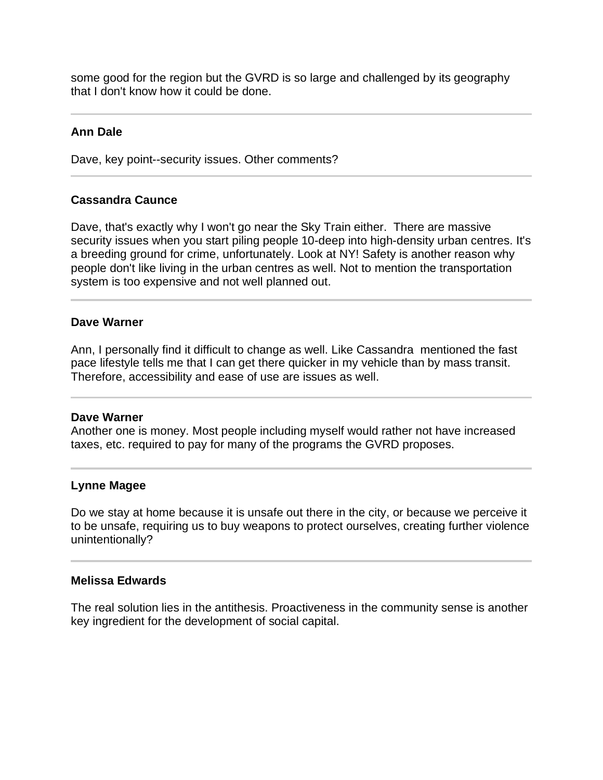some good for the region but the GVRD is so large and challenged by its geography that I don't know how it could be done.

# **Ann Dale**

Dave, key point--security issues. Other comments?

### **Cassandra Caunce**

Dave, that's exactly why I won't go near the Sky Train either. There are massive security issues when you start piling people 10-deep into high-density urban centres. It's a breeding ground for crime, unfortunately. Look at NY! Safety is another reason why people don't like living in the urban centres as well. Not to mention the transportation system is too expensive and not well planned out.

### **Dave Warner**

Ann, I personally find it difficult to change as well. Like Cassandra mentioned the fast pace lifestyle tells me that I can get there quicker in my vehicle than by mass transit. Therefore, accessibility and ease of use are issues as well.

#### **Dave Warner**

Another one is money. Most people including myself would rather not have increased taxes, etc. required to pay for many of the programs the GVRD proposes.

#### **Lynne Magee**

Do we stay at home because it is unsafe out there in the city, or because we perceive it to be unsafe, requiring us to buy weapons to protect ourselves, creating further violence unintentionally?

#### **Melissa Edwards**

The real solution lies in the antithesis. Proactiveness in the community sense is another key ingredient for the development of social capital.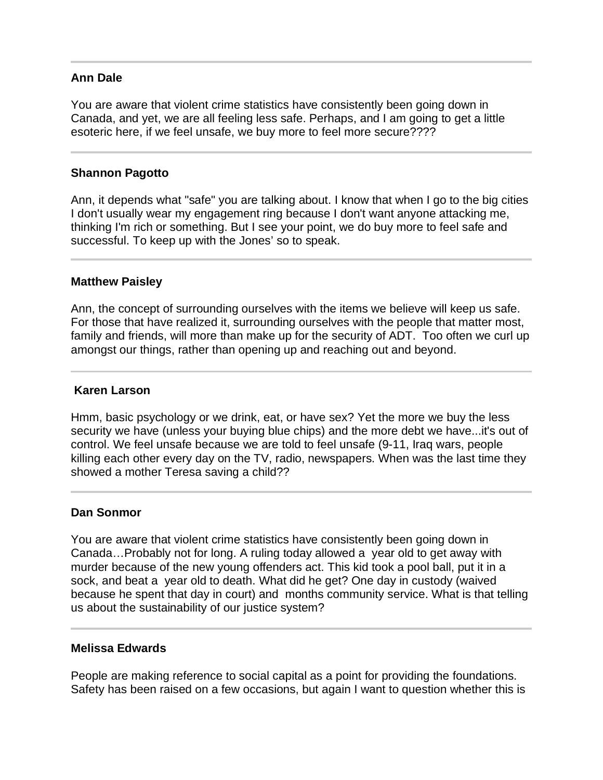## **Ann Dale**

You are aware that violent crime statistics have consistently been going down in Canada, and yet, we are all feeling less safe. Perhaps, and I am going to get a little esoteric here, if we feel unsafe, we buy more to feel more secure????

## **Shannon Pagotto**

Ann, it depends what "safe" you are talking about. I know that when I go to the big cities I don't usually wear my engagement ring because I don't want anyone attacking me, thinking I'm rich or something. But I see your point, we do buy more to feel safe and successful. To keep up with the Jones' so to speak.

### **Matthew Paisley**

l

Ann, the concept of surrounding ourselves with the items we believe will keep us safe. For those that have realized it, surrounding ourselves with the people that matter most, family and friends, will more than make up for the security of ADT. Too often we curl up amongst our things, rather than opening up and reaching out and beyond.

# **Karen Larson**

Hmm, basic psychology or we drink, eat, or have sex? Yet the more we buy the less security we have (unless your buying blue chips) and the more debt we have...it's out of control. We feel unsafe because we are told to feel unsafe (9-11, Iraq wars, people killing each other every day on the TV, radio, newspapers. When was the last time they showed a mother Teresa saving a child??

### **Dan Sonmor**

You are aware that violent crime statistics have consistently been going down in Canada…Probably not for long. A ruling today allowed a year old to get away with murder because of the new young offenders act. This kid took a pool ball, put it in a sock, and beat a year old to death. What did he get? One day in custody (waived because he spent that day in court) and months community service. What is that telling us about the sustainability of our justice system?

### **Melissa Edwards**

People are making reference to social capital as a point for providing the foundations. Safety has been raised on a few occasions, but again I want to question whether this is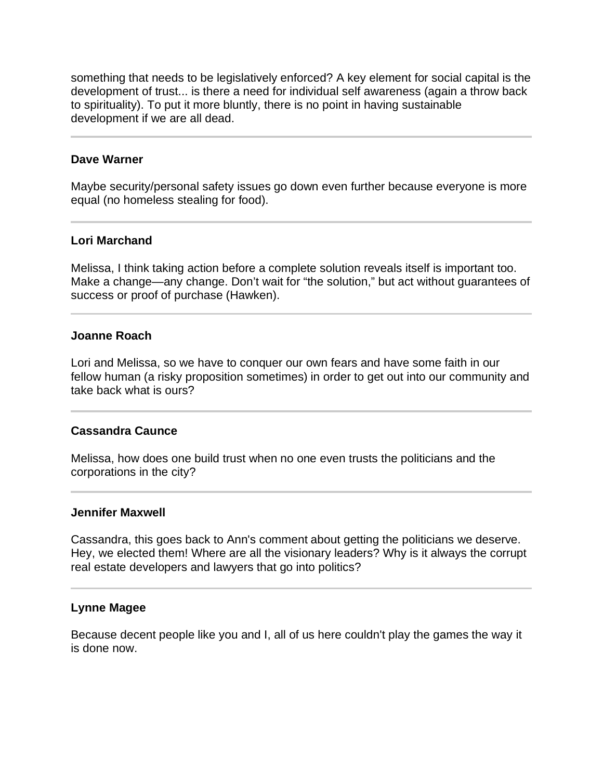something that needs to be legislatively enforced? A key element for social capital is the development of trust... is there a need for individual self awareness (again a throw back to spirituality). To put it more bluntly, there is no point in having sustainable development if we are all dead.

## **Dave Warner**

l

l

Maybe security/personal safety issues go down even further because everyone is more equal (no homeless stealing for food).

### **Lori Marchand**

Melissa, I think taking action before a complete solution reveals itself is important too. Make a change—any change. Don't wait for "the solution," but act without guarantees of success or proof of purchase (Hawken).

## **Joanne Roach**

Lori and Melissa, so we have to conquer our own fears and have some faith in our fellow human (a risky proposition sometimes) in order to get out into our community and take back what is ours?

# **Cassandra Caunce**

Melissa, how does one build trust when no one even trusts the politicians and the corporations in the city?

### **Jennifer Maxwell**

Cassandra, this goes back to Ann's comment about getting the politicians we deserve. Hey, we elected them! Where are all the visionary leaders? Why is it always the corrupt real estate developers and lawyers that go into politics?

### **Lynne Magee**

Because decent people like you and I, all of us here couldn't play the games the way it is done now.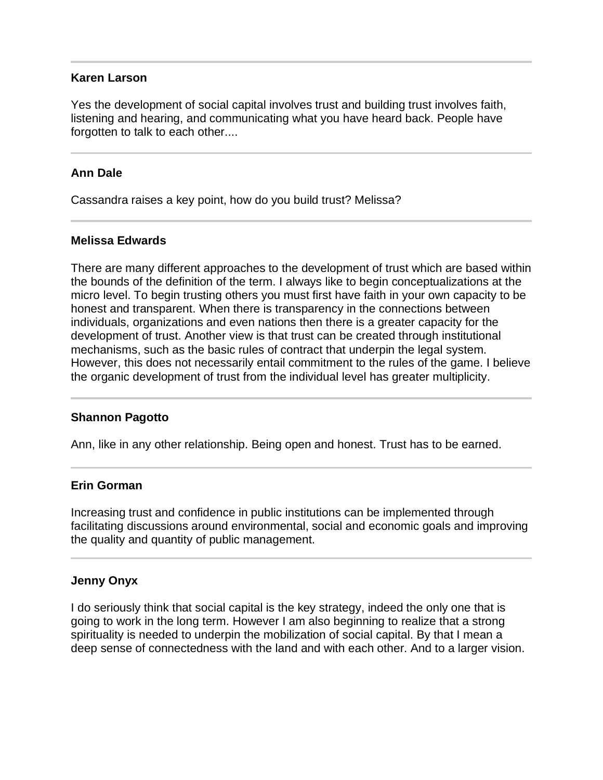### **Karen Larson**

Yes the development of social capital involves trust and building trust involves faith, listening and hearing, and communicating what you have heard back. People have forgotten to talk to each other....

# **Ann Dale**

Cassandra raises a key point, how do you build trust? Melissa?

# **Melissa Edwards**

There are many different approaches to the development of trust which are based within the bounds of the definition of the term. I always like to begin conceptualizations at the micro level. To begin trusting others you must first have faith in your own capacity to be honest and transparent. When there is transparency in the connections between individuals, organizations and even nations then there is a greater capacity for the development of trust. Another view is that trust can be created through institutional mechanisms, such as the basic rules of contract that underpin the legal system. However, this does not necessarily entail commitment to the rules of the game. I believe the organic development of trust from the individual level has greater multiplicity.

# **Shannon Pagotto**

Ann, like in any other relationship. Being open and honest. Trust has to be earned.

# **Erin Gorman**

Increasing trust and confidence in public institutions can be implemented through facilitating discussions around environmental, social and economic goals and improving the quality and quantity of public management.

# **Jenny Onyx**

I do seriously think that social capital is the key strategy, indeed the only one that is going to work in the long term. However I am also beginning to realize that a strong spirituality is needed to underpin the mobilization of social capital. By that I mean a deep sense of connectedness with the land and with each other. And to a larger vision.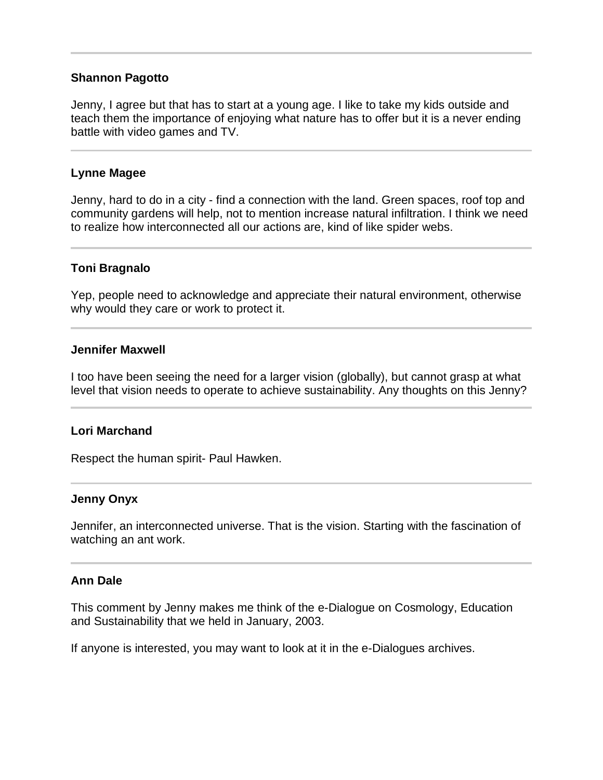## **Shannon Pagotto**

Jenny, I agree but that has to start at a young age. I like to take my kids outside and teach them the importance of enjoying what nature has to offer but it is a never ending battle with video games and TV.

### **Lynne Magee**

l

Jenny, hard to do in a city - find a connection with the land. Green spaces, roof top and community gardens will help, not to mention increase natural infiltration. I think we need to realize how interconnected all our actions are, kind of like spider webs.

## **Toni Bragnalo**

Yep, people need to acknowledge and appreciate their natural environment, otherwise why would they care or work to protect it.

### **Jennifer Maxwell**

I too have been seeing the need for a larger vision (globally), but cannot grasp at what level that vision needs to operate to achieve sustainability. Any thoughts on this Jenny?

### **Lori Marchand**

Respect the human spirit- Paul Hawken.

### **Jenny Onyx**

Jennifer, an interconnected universe. That is the vision. Starting with the fascination of watching an ant work.

### **Ann Dale**

This comment by Jenny makes me think of the e-Dialogue on Cosmology, Education and Sustainability that we held in January, 2003.

If anyone is interested, you may want to look at it in the e-Dialogues archives.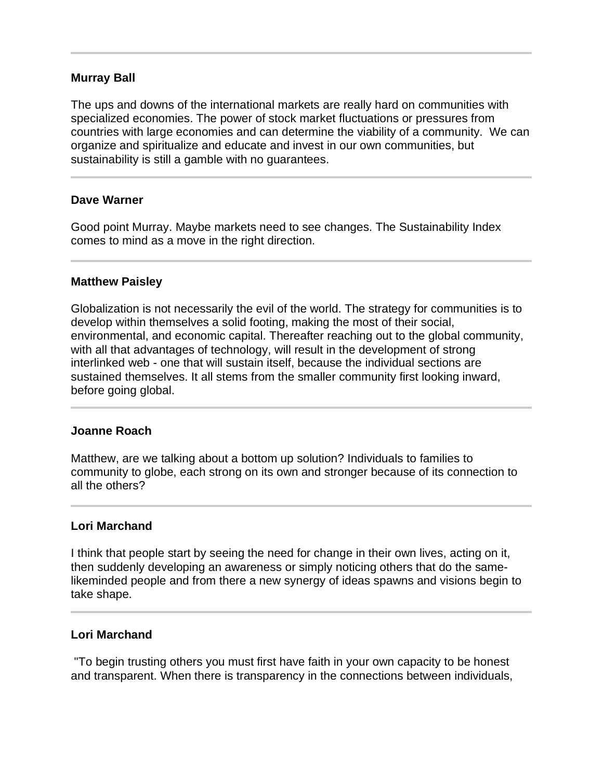## **Murray Ball**

The ups and downs of the international markets are really hard on communities with specialized economies. The power of stock market fluctuations or pressures from countries with large economies and can determine the viability of a community. We can organize and spiritualize and educate and invest in our own communities, but sustainability is still a gamble with no guarantees.

### **Dave Warner**

l

Good point Murray. Maybe markets need to see changes. The Sustainability Index comes to mind as a move in the right direction.

#### **Matthew Paisley**

Globalization is not necessarily the evil of the world. The strategy for communities is to develop within themselves a solid footing, making the most of their social, environmental, and economic capital. Thereafter reaching out to the global community, with all that advantages of technology, will result in the development of strong interlinked web - one that will sustain itself, because the individual sections are sustained themselves. It all stems from the smaller community first looking inward, before going global.

### **Joanne Roach**

ı

Matthew, are we talking about a bottom up solution? Individuals to families to community to globe, each strong on its own and stronger because of its connection to all the others?

### **Lori Marchand**

I think that people start by seeing the need for change in their own lives, acting on it, then suddenly developing an awareness or simply noticing others that do the samelikeminded people and from there a new synergy of ideas spawns and visions begin to take shape.

### **Lori Marchand**

 "To begin trusting others you must first have faith in your own capacity to be honest and transparent. When there is transparency in the connections between individuals,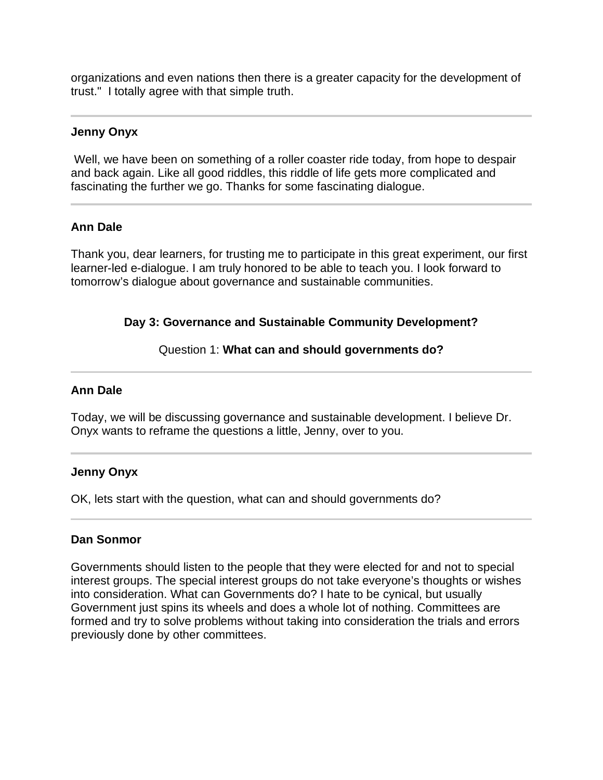organizations and even nations then there is a greater capacity for the development of trust." I totally agree with that simple truth.

## **Jenny Onyx**

 Well, we have been on something of a roller coaster ride today, from hope to despair and back again. Like all good riddles, this riddle of life gets more complicated and fascinating the further we go. Thanks for some fascinating dialogue.

## **Ann Dale**

Thank you, dear learners, for trusting me to participate in this great experiment, our first learner-led e-dialogue. I am truly honored to be able to teach you. I look forward to tomorrow's dialogue about governance and sustainable communities.

### **Day 3: Governance and Sustainable Community Development?**

### Question 1: **What can and should governments do?**

### **Ann Dale**

Ī

Today, we will be discussing governance and sustainable development. I believe Dr. Onyx wants to reframe the questions a little, Jenny, over to you.

### **Jenny Onyx**

OK, lets start with the question, what can and should governments do?

### **Dan Sonmor**

Governments should listen to the people that they were elected for and not to special interest groups. The special interest groups do not take everyone's thoughts or wishes into consideration. What can Governments do? I hate to be cynical, but usually Government just spins its wheels and does a whole lot of nothing. Committees are formed and try to solve problems without taking into consideration the trials and errors previously done by other committees.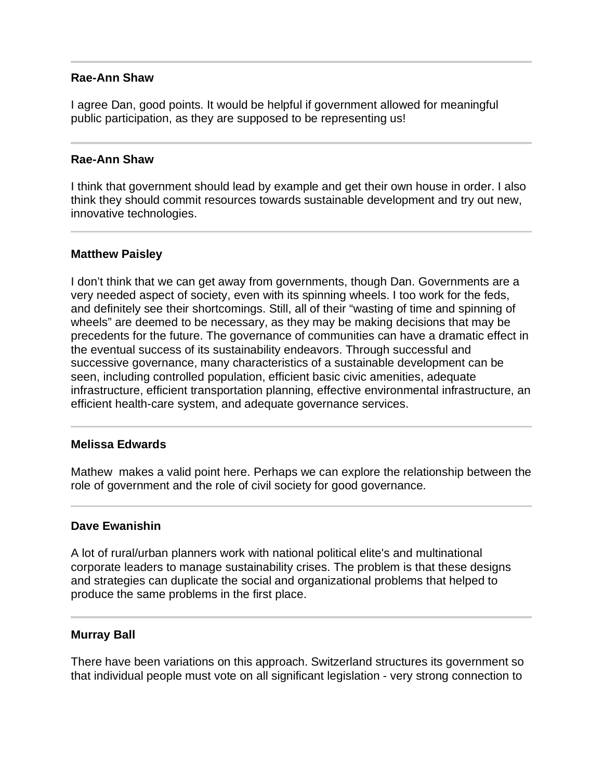### **Rae-Ann Shaw**

I agree Dan, good points. It would be helpful if government allowed for meaningful public participation, as they are supposed to be representing us!

#### **Rae-Ann Shaw**

I think that government should lead by example and get their own house in order. I also think they should commit resources towards sustainable development and try out new, innovative technologies.

### **Matthew Paisley**

l

I don't think that we can get away from governments, though Dan. Governments are a very needed aspect of society, even with its spinning wheels. I too work for the feds, and definitely see their shortcomings. Still, all of their "wasting of time and spinning of wheels" are deemed to be necessary, as they may be making decisions that may be precedents for the future. The governance of communities can have a dramatic effect in the eventual success of its sustainability endeavors. Through successful and successive governance, many characteristics of a sustainable development can be seen, including controlled population, efficient basic civic amenities, adequate infrastructure, efficient transportation planning, effective environmental infrastructure, an efficient health-care system, and adequate governance services.

### **Melissa Edwards**

Mathew makes a valid point here. Perhaps we can explore the relationship between the role of government and the role of civil society for good governance.

### **Dave Ewanishin**

A lot of rural/urban planners work with national political elite's and multinational corporate leaders to manage sustainability crises. The problem is that these designs and strategies can duplicate the social and organizational problems that helped to produce the same problems in the first place.

#### **Murray Ball**

There have been variations on this approach. Switzerland structures its government so that individual people must vote on all significant legislation - very strong connection to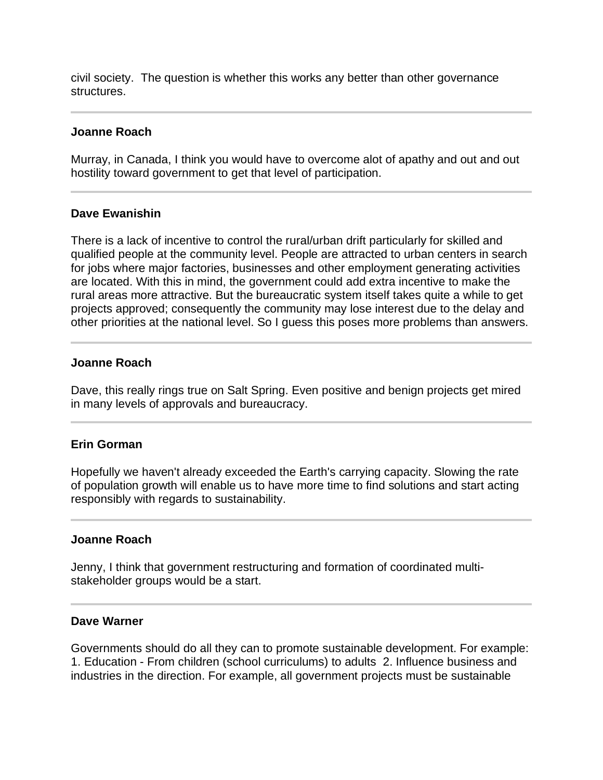civil society. The question is whether this works any better than other governance structures.

### **Joanne Roach**

Murray, in Canada, I think you would have to overcome alot of apathy and out and out hostility toward government to get that level of participation.

## **Dave Ewanishin**

There is a lack of incentive to control the rural/urban drift particularly for skilled and qualified people at the community level. People are attracted to urban centers in search for jobs where major factories, businesses and other employment generating activities are located. With this in mind, the government could add extra incentive to make the rural areas more attractive. But the bureaucratic system itself takes quite a while to get projects approved; consequently the community may lose interest due to the delay and other priorities at the national level. So I guess this poses more problems than answers.

### **Joanne Roach**

Dave, this really rings true on Salt Spring. Even positive and benign projects get mired in many levels of approvals and bureaucracy.

### **Erin Gorman**

Hopefully we haven't already exceeded the Earth's carrying capacity. Slowing the rate of population growth will enable us to have more time to find solutions and start acting responsibly with regards to sustainability.

#### **Joanne Roach**

Jenny, I think that government restructuring and formation of coordinated multistakeholder groups would be a start.

#### **Dave Warner**

I

Governments should do all they can to promote sustainable development. For example: 1. Education - From children (school curriculums) to adults 2. Influence business and industries in the direction. For example, all government projects must be sustainable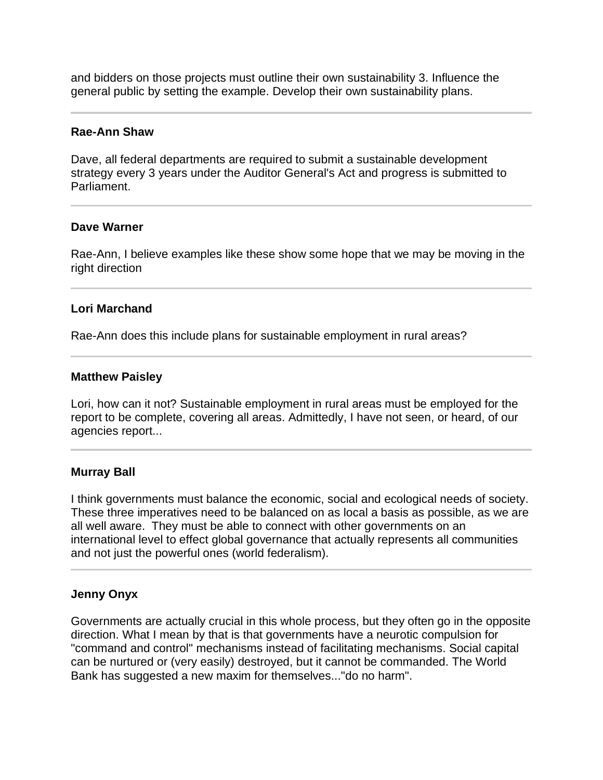and bidders on those projects must outline their own sustainability 3. Influence the general public by setting the example. Develop their own sustainability plans.

#### **Rae-Ann Shaw**

Dave, all federal departments are required to submit a sustainable development strategy every 3 years under the Auditor General's Act and progress is submitted to Parliament.

### **Dave Warner**

֦

Rae-Ann, I believe examples like these show some hope that we may be moving in the right direction

### **Lori Marchand**

Rae-Ann does this include plans for sustainable employment in rural areas?

#### **Matthew Paisley**

Lori, how can it not? Sustainable employment in rural areas must be employed for the report to be complete, covering all areas. Admittedly, I have not seen, or heard, of our agencies report...

#### **Murray Ball**

I think governments must balance the economic, social and ecological needs of society. These three imperatives need to be balanced on as local a basis as possible, as we are all well aware. They must be able to connect with other governments on an international level to effect global governance that actually represents all communities and not just the powerful ones (world federalism).

#### **Jenny Onyx**

Governments are actually crucial in this whole process, but they often go in the opposite direction. What I mean by that is that governments have a neurotic compulsion for "command and control" mechanisms instead of facilitating mechanisms. Social capital can be nurtured or (very easily) destroyed, but it cannot be commanded. The World Bank has suggested a new maxim for themselves..."do no harm".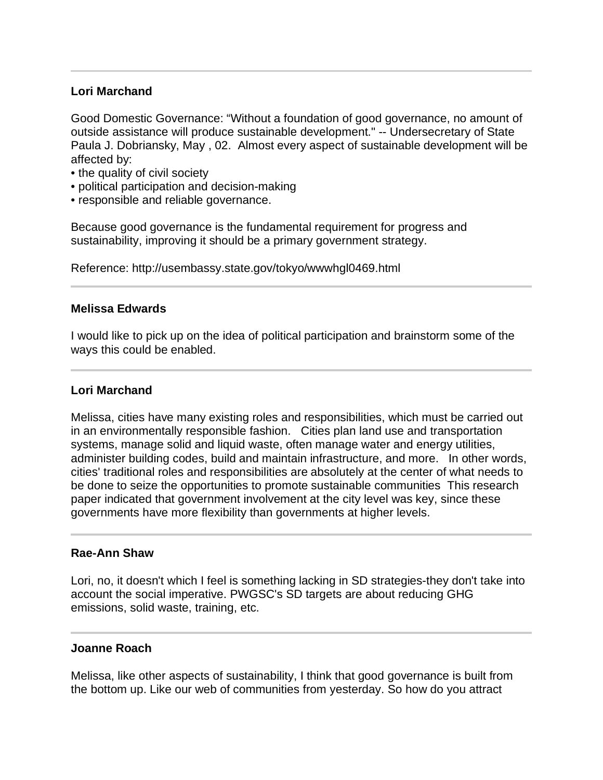# **Lori Marchand**

Good Domestic Governance: "Without a foundation of good governance, no amount of outside assistance will produce sustainable development." -- Undersecretary of State Paula J. Dobriansky, May , 02. Almost every aspect of sustainable development will be affected by:

- the quality of civil society
- political participation and decision-making
- responsible and reliable governance.

Because good governance is the fundamental requirement for progress and sustainability, improving it should be a primary government strategy.

Reference: http://usembassy.state.gov/tokyo/wwwhgl0469.html

### **Melissa Edwards**

I would like to pick up on the idea of political participation and brainstorm some of the ways this could be enabled.

### **Lori Marchand**

Melissa, cities have many existing roles and responsibilities, which must be carried out in an environmentally responsible fashion. Cities plan land use and transportation systems, manage solid and liquid waste, often manage water and energy utilities, administer building codes, build and maintain infrastructure, and more. In other words, cities' traditional roles and responsibilities are absolutely at the center of what needs to be done to seize the opportunities to promote sustainable communities This research paper indicated that government involvement at the city level was key, since these governments have more flexibility than governments at higher levels.

### **Rae-Ann Shaw**

Lori, no, it doesn't which I feel is something lacking in SD strategies-they don't take into account the social imperative. PWGSC's SD targets are about reducing GHG emissions, solid waste, training, etc.

### **Joanne Roach**

Melissa, like other aspects of sustainability, I think that good governance is built from the bottom up. Like our web of communities from yesterday. So how do you attract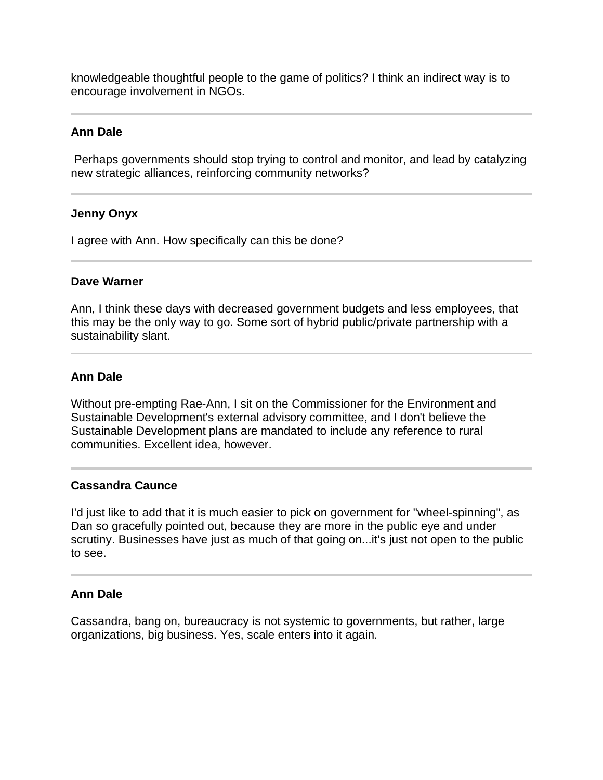knowledgeable thoughtful people to the game of politics? I think an indirect way is to encourage involvement in NGOs.

## **Ann Dale**

 Perhaps governments should stop trying to control and monitor, and lead by catalyzing new strategic alliances, reinforcing community networks?

## **Jenny Onyx**

I agree with Ann. How specifically can this be done?

### **Dave Warner**

Ann, I think these days with decreased government budgets and less employees, that this may be the only way to go. Some sort of hybrid public/private partnership with a sustainability slant.

# **Ann Dale**

ı

Without pre-empting Rae-Ann, I sit on the Commissioner for the Environment and Sustainable Development's external advisory committee, and I don't believe the Sustainable Development plans are mandated to include any reference to rural communities. Excellent idea, however.

# **Cassandra Caunce**

I'd just like to add that it is much easier to pick on government for "wheel-spinning", as Dan so gracefully pointed out, because they are more in the public eye and under scrutiny. Businesses have just as much of that going on...it's just not open to the public to see.

### **Ann Dale**

Cassandra, bang on, bureaucracy is not systemic to governments, but rather, large organizations, big business. Yes, scale enters into it again.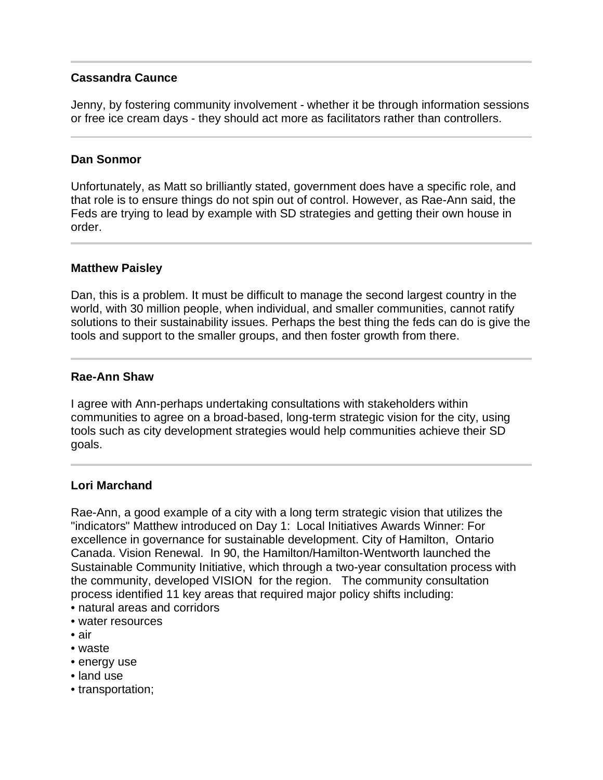# **Cassandra Caunce**

Jenny, by fostering community involvement - whether it be through information sessions or free ice cream days - they should act more as facilitators rather than controllers.

## **Dan Sonmor**

 $\overline{a}$ 

Unfortunately, as Matt so brilliantly stated, government does have a specific role, and that role is to ensure things do not spin out of control. However, as Rae-Ann said, the Feds are trying to lead by example with SD strategies and getting their own house in order.

## **Matthew Paisley**

Dan, this is a problem. It must be difficult to manage the second largest country in the world, with 30 million people, when individual, and smaller communities, cannot ratify solutions to their sustainability issues. Perhaps the best thing the feds can do is give the tools and support to the smaller groups, and then foster growth from there.

## **Rae-Ann Shaw**

I agree with Ann-perhaps undertaking consultations with stakeholders within communities to agree on a broad-based, long-term strategic vision for the city, using tools such as city development strategies would help communities achieve their SD goals.

# **Lori Marchand**

Rae-Ann, a good example of a city with a long term strategic vision that utilizes the "indicators" Matthew introduced on Day 1: Local Initiatives Awards Winner: For excellence in governance for sustainable development. City of Hamilton, Ontario Canada. Vision Renewal. In 90, the Hamilton/Hamilton-Wentworth launched the Sustainable Community Initiative, which through a two-year consultation process with the community, developed VISION for the region. The community consultation process identified 11 key areas that required major policy shifts including:

- natural areas and corridors
- water resources
- air
- waste
- energy use
- land use
- transportation;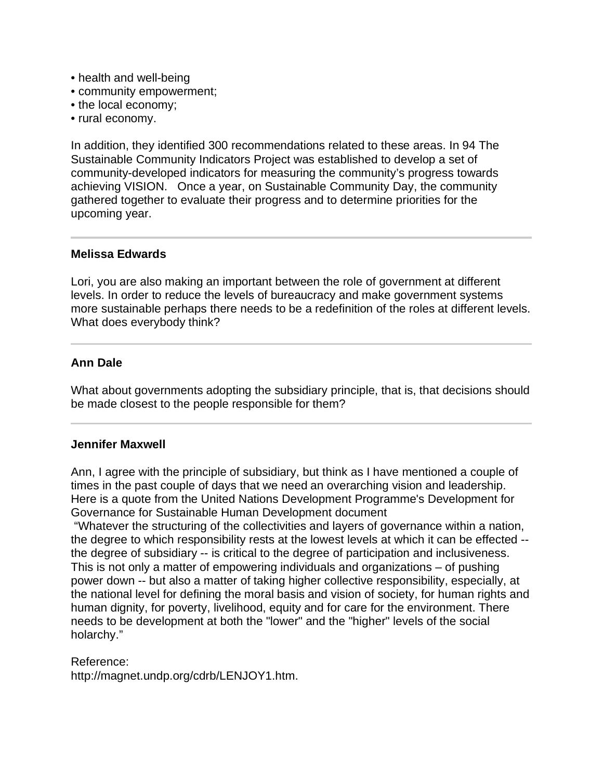- health and well-being
- community empowerment;
- the local economy;
- rural economy.

In addition, they identified 300 recommendations related to these areas. In 94 The Sustainable Community Indicators Project was established to develop a set of community-developed indicators for measuring the community's progress towards achieving VISION. Once a year, on Sustainable Community Day, the community gathered together to evaluate their progress and to determine priorities for the upcoming year.

## **Melissa Edwards**

I

 $\overline{a}$ 

Lori, you are also making an important between the role of government at different levels. In order to reduce the levels of bureaucracy and make government systems more sustainable perhaps there needs to be a redefinition of the roles at different levels. What does everybody think?

## **Ann Dale**

What about governments adopting the subsidiary principle, that is, that decisions should be made closest to the people responsible for them?

### **Jennifer Maxwell**

Ann, I agree with the principle of subsidiary, but think as I have mentioned a couple of times in the past couple of days that we need an overarching vision and leadership. Here is a quote from the United Nations Development Programme's Development for Governance for Sustainable Human Development document

 "Whatever the structuring of the collectivities and layers of governance within a nation, the degree to which responsibility rests at the lowest levels at which it can be effected - the degree of subsidiary -- is critical to the degree of participation and inclusiveness. This is not only a matter of empowering individuals and organizations – of pushing power down -- but also a matter of taking higher collective responsibility, especially, at the national level for defining the moral basis and vision of society, for human rights and human dignity, for poverty, livelihood, equity and for care for the environment. There needs to be development at both the "lower" and the "higher" levels of the social holarchy."

### Reference:

http://magnet.undp.org/cdrb/LENJOY1.htm.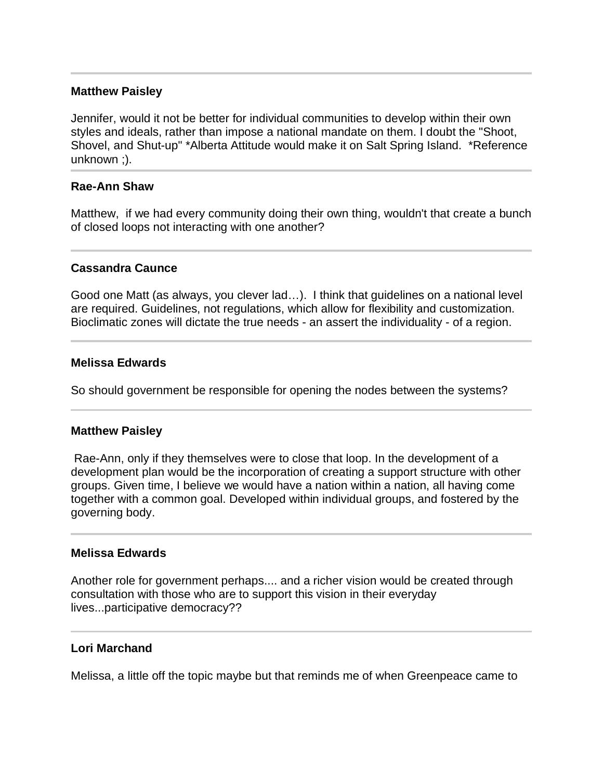### **Matthew Paisley**

Jennifer, would it not be better for individual communities to develop within their own styles and ideals, rather than impose a national mandate on them. I doubt the "Shoot, Shovel, and Shut-up" \*Alberta Attitude would make it on Salt Spring Island. \*Reference unknown ;).

## **Rae-Ann Shaw**

Matthew, if we had every community doing their own thing, wouldn't that create a bunch of closed loops not interacting with one another?

## **Cassandra Caunce**

Good one Matt (as always, you clever lad…). I think that guidelines on a national level are required. Guidelines, not regulations, which allow for flexibility and customization. Bioclimatic zones will dictate the true needs - an assert the individuality - of a region.

### **Melissa Edwards**

So should government be responsible for opening the nodes between the systems?

### **Matthew Paisley**

 Rae-Ann, only if they themselves were to close that loop. In the development of a development plan would be the incorporation of creating a support structure with other groups. Given time, I believe we would have a nation within a nation, all having come together with a common goal. Developed within individual groups, and fostered by the governing body.

### **Melissa Edwards**

Another role for government perhaps.... and a richer vision would be created through consultation with those who are to support this vision in their everyday lives...participative democracy??

### **Lori Marchand**

Melissa, a little off the topic maybe but that reminds me of when Greenpeace came to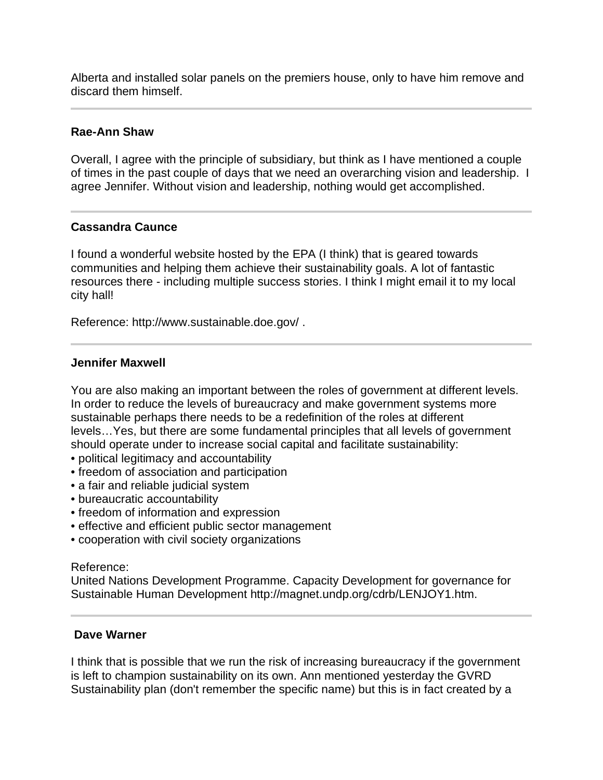Alberta and installed solar panels on the premiers house, only to have him remove and discard them himself.

## **Rae-Ann Shaw**

Overall, I agree with the principle of subsidiary, but think as I have mentioned a couple of times in the past couple of days that we need an overarching vision and leadership. I agree Jennifer. Without vision and leadership, nothing would get accomplished.

# **Cassandra Caunce**

I found a wonderful website hosted by the EPA (I think) that is geared towards communities and helping them achieve their sustainability goals. A lot of fantastic resources there - including multiple success stories. I think I might email it to my local city hall!

Reference: http://www.sustainable.doe.gov/ .

### **Jennifer Maxwell**

You are also making an important between the roles of government at different levels. In order to reduce the levels of bureaucracy and make government systems more sustainable perhaps there needs to be a redefinition of the roles at different levels…Yes, but there are some fundamental principles that all levels of government should operate under to increase social capital and facilitate sustainability:

- political legitimacy and accountability
- freedom of association and participation
- a fair and reliable judicial system
- bureaucratic accountability
- freedom of information and expression
- effective and efficient public sector management
- cooperation with civil society organizations

### Reference:

United Nations Development Programme. Capacity Development for governance for Sustainable Human Development http://magnet.undp.org/cdrb/LENJOY1.htm.

### **Dave Warner**

I think that is possible that we run the risk of increasing bureaucracy if the government is left to champion sustainability on its own. Ann mentioned yesterday the GVRD Sustainability plan (don't remember the specific name) but this is in fact created by a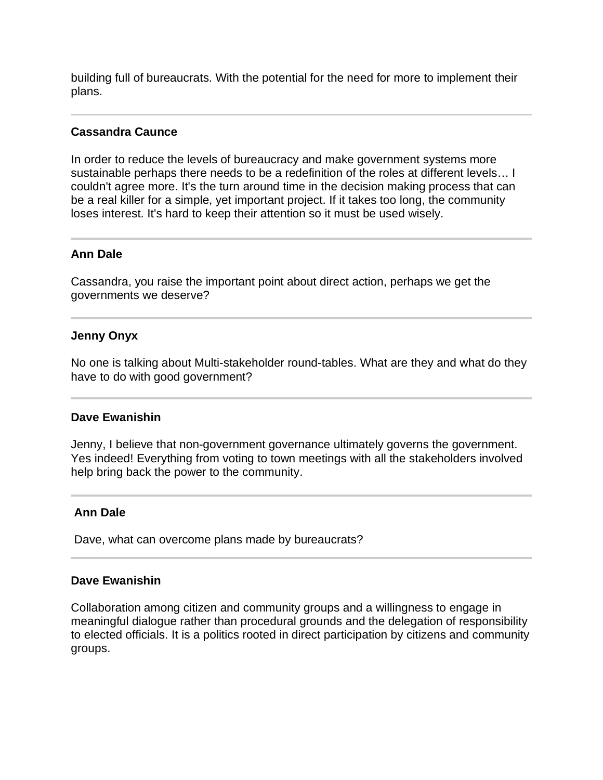building full of bureaucrats. With the potential for the need for more to implement their plans.

## **Cassandra Caunce**

In order to reduce the levels of bureaucracy and make government systems more sustainable perhaps there needs to be a redefinition of the roles at different levels… I couldn't agree more. It's the turn around time in the decision making process that can be a real killer for a simple, yet important project. If it takes too long, the community loses interest. It's hard to keep their attention so it must be used wisely.

## **Ann Dale**

Cassandra, you raise the important point about direct action, perhaps we get the governments we deserve?

## **Jenny Onyx**

No one is talking about Multi-stakeholder round-tables. What are they and what do they have to do with good government?

### **Dave Ewanishin**

Jenny, I believe that non-government governance ultimately governs the government. Yes indeed! Everything from voting to town meetings with all the stakeholders involved help bring back the power to the community.

### **Ann Dale**

Dave, what can overcome plans made by bureaucrats?

### **Dave Ewanishin**

Collaboration among citizen and community groups and a willingness to engage in meaningful dialogue rather than procedural grounds and the delegation of responsibility to elected officials. It is a politics rooted in direct participation by citizens and community groups.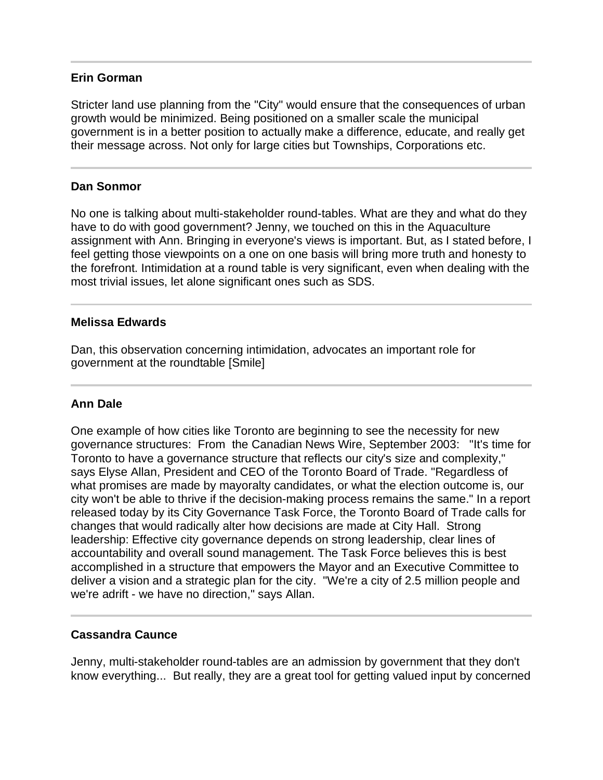### **Erin Gorman**

Stricter land use planning from the "City" would ensure that the consequences of urban growth would be minimized. Being positioned on a smaller scale the municipal government is in a better position to actually make a difference, educate, and really get their message across. Not only for large cities but Townships, Corporations etc.

## **Dan Sonmor**

Ī

No one is talking about multi-stakeholder round-tables. What are they and what do they have to do with good government? Jenny, we touched on this in the Aquaculture assignment with Ann. Bringing in everyone's views is important. But, as I stated before, I feel getting those viewpoints on a one on one basis will bring more truth and honesty to the forefront. Intimidation at a round table is very significant, even when dealing with the most trivial issues, let alone significant ones such as SDS.

### **Melissa Edwards**

Dan, this observation concerning intimidation, advocates an important role for government at the roundtable [Smile]

### **Ann Dale**

One example of how cities like Toronto are beginning to see the necessity for new governance structures: From the Canadian News Wire, September 2003: "It's time for Toronto to have a governance structure that reflects our city's size and complexity," says Elyse Allan, President and CEO of the Toronto Board of Trade. "Regardless of what promises are made by mayoralty candidates, or what the election outcome is, our city won't be able to thrive if the decision-making process remains the same." In a report released today by its City Governance Task Force, the Toronto Board of Trade calls for changes that would radically alter how decisions are made at City Hall. Strong leadership: Effective city governance depends on strong leadership, clear lines of accountability and overall sound management. The Task Force believes this is best accomplished in a structure that empowers the Mayor and an Executive Committee to deliver a vision and a strategic plan for the city. "We're a city of 2.5 million people and we're adrift - we have no direction," says Allan.

### **Cassandra Caunce**

Jenny, multi-stakeholder round-tables are an admission by government that they don't know everything... But really, they are a great tool for getting valued input by concerned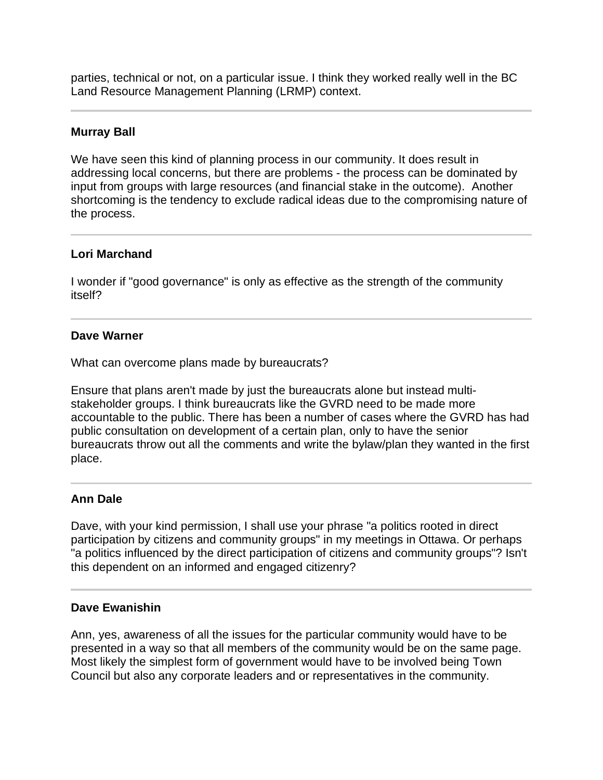parties, technical or not, on a particular issue. I think they worked really well in the BC Land Resource Management Planning (LRMP) context.

## **Murray Ball**

 $\overline{a}$ 

We have seen this kind of planning process in our community. It does result in addressing local concerns, but there are problems - the process can be dominated by input from groups with large resources (and financial stake in the outcome). Another shortcoming is the tendency to exclude radical ideas due to the compromising nature of the process.

# **Lori Marchand**

I wonder if "good governance" is only as effective as the strength of the community itself?

## **Dave Warner**

What can overcome plans made by bureaucrats?

Ensure that plans aren't made by just the bureaucrats alone but instead multistakeholder groups. I think bureaucrats like the GVRD need to be made more accountable to the public. There has been a number of cases where the GVRD has had public consultation on development of a certain plan, only to have the senior bureaucrats throw out all the comments and write the bylaw/plan they wanted in the first place.

# **Ann Dale**

Dave, with your kind permission, I shall use your phrase "a politics rooted in direct participation by citizens and community groups" in my meetings in Ottawa. Or perhaps "a politics influenced by the direct participation of citizens and community groups"? Isn't this dependent on an informed and engaged citizenry?

### **Dave Ewanishin**

Ann, yes, awareness of all the issues for the particular community would have to be presented in a way so that all members of the community would be on the same page. Most likely the simplest form of government would have to be involved being Town Council but also any corporate leaders and or representatives in the community.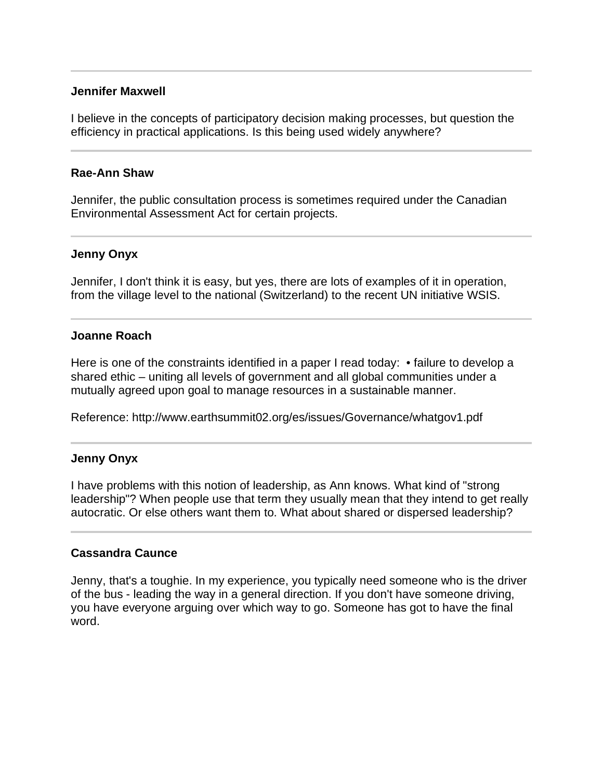### **Jennifer Maxwell**

I believe in the concepts of participatory decision making processes, but question the efficiency in practical applications. Is this being used widely anywhere?

### **Rae-Ann Shaw**

l

Jennifer, the public consultation process is sometimes required under the Canadian Environmental Assessment Act for certain projects.

## **Jenny Onyx**

Jennifer, I don't think it is easy, but yes, there are lots of examples of it in operation, from the village level to the national (Switzerland) to the recent UN initiative WSIS.

## **Joanne Roach**

Here is one of the constraints identified in a paper I read today: • failure to develop a shared ethic – uniting all levels of government and all global communities under a mutually agreed upon goal to manage resources in a sustainable manner.

Reference: http://www.earthsummit02.org/es/issues/Governance/whatgov1.pdf

# **Jenny Onyx**

l

I have problems with this notion of leadership, as Ann knows. What kind of "strong leadership"? When people use that term they usually mean that they intend to get really autocratic. Or else others want them to. What about shared or dispersed leadership?

### **Cassandra Caunce**

Jenny, that's a toughie. In my experience, you typically need someone who is the driver of the bus - leading the way in a general direction. If you don't have someone driving, you have everyone arguing over which way to go. Someone has got to have the final word.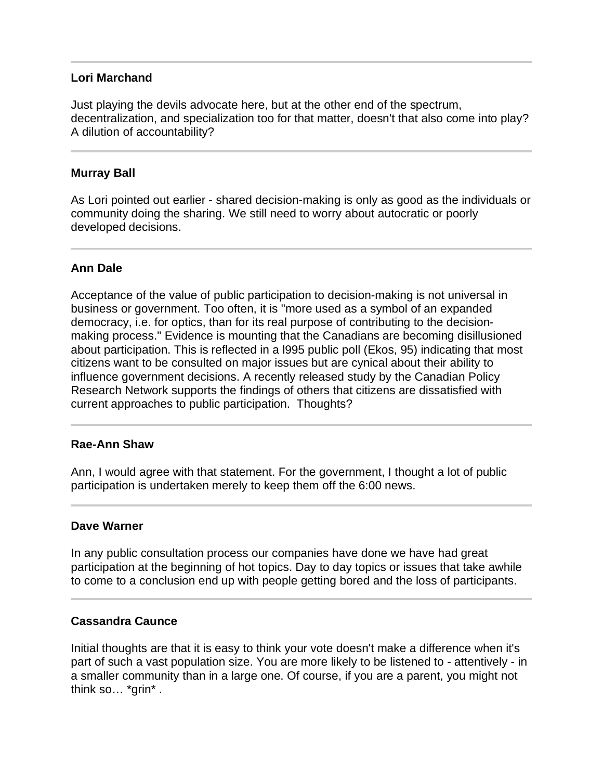## **Lori Marchand**

Just playing the devils advocate here, but at the other end of the spectrum, decentralization, and specialization too for that matter, doesn't that also come into play? A dilution of accountability?

## **Murray Ball**

l

As Lori pointed out earlier - shared decision-making is only as good as the individuals or community doing the sharing. We still need to worry about autocratic or poorly developed decisions.

# **Ann Dale**

Acceptance of the value of public participation to decision-making is not universal in business or government. Too often, it is "more used as a symbol of an expanded democracy, i.e. for optics, than for its real purpose of contributing to the decisionmaking process." Evidence is mounting that the Canadians are becoming disillusioned about participation. This is reflected in a l995 public poll (Ekos, 95) indicating that most citizens want to be consulted on major issues but are cynical about their ability to influence government decisions. A recently released study by the Canadian Policy Research Network supports the findings of others that citizens are dissatisfied with current approaches to public participation. Thoughts?

### **Rae-Ann Shaw**

Ann, I would agree with that statement. For the government, I thought a lot of public participation is undertaken merely to keep them off the 6:00 news.

### **Dave Warner**

In any public consultation process our companies have done we have had great participation at the beginning of hot topics. Day to day topics or issues that take awhile to come to a conclusion end up with people getting bored and the loss of participants.

### **Cassandra Caunce**

Initial thoughts are that it is easy to think your vote doesn't make a difference when it's part of such a vast population size. You are more likely to be listened to - attentively - in a smaller community than in a large one. Of course, if you are a parent, you might not think so… \*grin\* .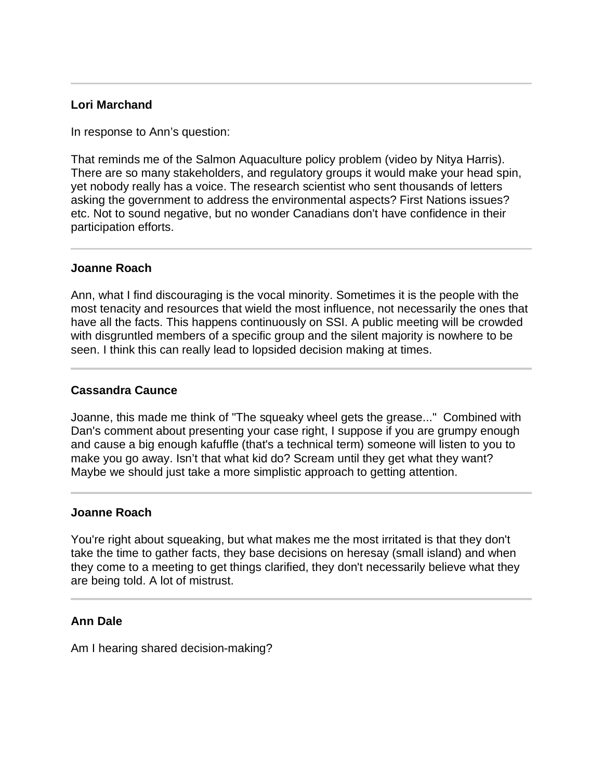# **Lori Marchand**

l

 $\overline{a}$ 

In response to Ann's question:

That reminds me of the Salmon Aquaculture policy problem (video by Nitya Harris). There are so many stakeholders, and regulatory groups it would make your head spin, yet nobody really has a voice. The research scientist who sent thousands of letters asking the government to address the environmental aspects? First Nations issues? etc. Not to sound negative, but no wonder Canadians don't have confidence in their participation efforts.

## **Joanne Roach**

Ann, what I find discouraging is the vocal minority. Sometimes it is the people with the most tenacity and resources that wield the most influence, not necessarily the ones that have all the facts. This happens continuously on SSI. A public meeting will be crowded with disgruntled members of a specific group and the silent majority is nowhere to be seen. I think this can really lead to lopsided decision making at times.

# **Cassandra Caunce**

Joanne, this made me think of "The squeaky wheel gets the grease..." Combined with Dan's comment about presenting your case right, I suppose if you are grumpy enough and cause a big enough kafuffle (that's a technical term) someone will listen to you to make you go away. Isn't that what kid do? Scream until they get what they want? Maybe we should just take a more simplistic approach to getting attention.

### **Joanne Roach**

You're right about squeaking, but what makes me the most irritated is that they don't take the time to gather facts, they base decisions on heresay (small island) and when they come to a meeting to get things clarified, they don't necessarily believe what they are being told. A lot of mistrust.

# **Ann Dale**

Am I hearing shared decision-making?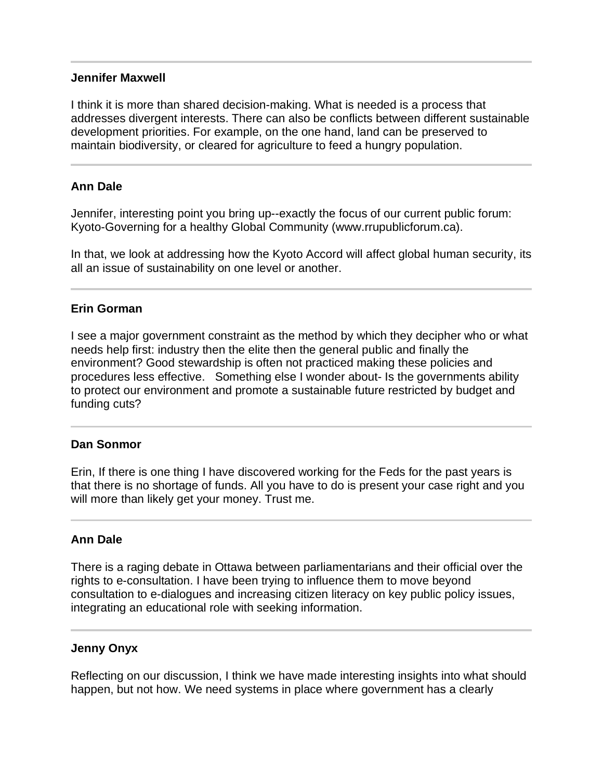### **Jennifer Maxwell**

I think it is more than shared decision-making. What is needed is a process that addresses divergent interests. There can also be conflicts between different sustainable development priorities. For example, on the one hand, land can be preserved to maintain biodiversity, or cleared for agriculture to feed a hungry population.

## **Ann Dale**

l

Jennifer, interesting point you bring up--exactly the focus of our current public forum: Kyoto-Governing for a healthy Global Community (www.rrupublicforum.ca).

In that, we look at addressing how the Kyoto Accord will affect global human security, its all an issue of sustainability on one level or another.

## **Erin Gorman**

I see a major government constraint as the method by which they decipher who or what needs help first: industry then the elite then the general public and finally the environment? Good stewardship is often not practiced making these policies and procedures less effective. Something else I wonder about- Is the governments ability to protect our environment and promote a sustainable future restricted by budget and funding cuts?

### **Dan Sonmor**

Ī

Erin, If there is one thing I have discovered working for the Feds for the past years is that there is no shortage of funds. All you have to do is present your case right and you will more than likely get your money. Trust me.

### **Ann Dale**

There is a raging debate in Ottawa between parliamentarians and their official over the rights to e-consultation. I have been trying to influence them to move beyond consultation to e-dialogues and increasing citizen literacy on key public policy issues, integrating an educational role with seeking information.

### **Jenny Onyx**

Reflecting on our discussion, I think we have made interesting insights into what should happen, but not how. We need systems in place where government has a clearly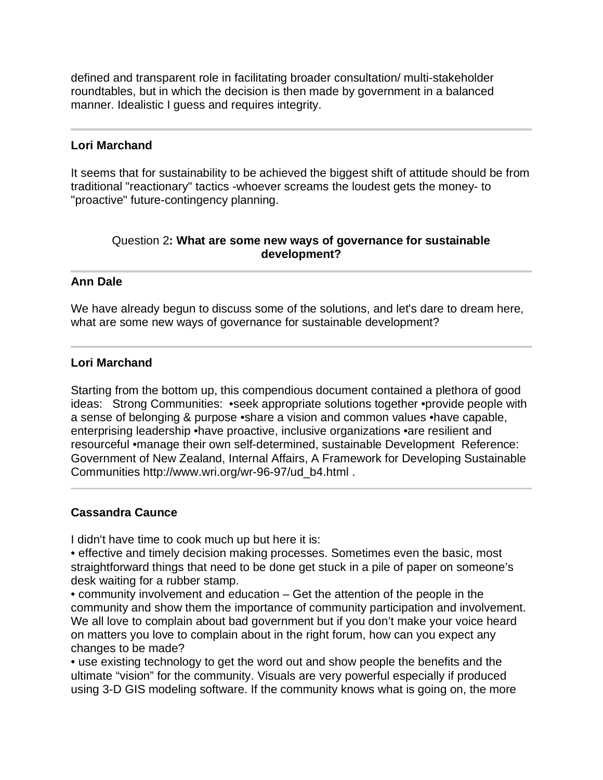defined and transparent role in facilitating broader consultation/ multi-stakeholder roundtables, but in which the decision is then made by government in a balanced manner. Idealistic I guess and requires integrity.

## **Lori Marchand**

j

It seems that for sustainability to be achieved the biggest shift of attitude should be from traditional "reactionary" tactics -whoever screams the loudest gets the money- to "proactive" future-contingency planning.

# Question 2**: What are some new ways of governance for sustainable development?**

## **Ann Dale**

We have already begun to discuss some of the solutions, and let's dare to dream here, what are some new ways of governance for sustainable development?

## **Lori Marchand**

Starting from the bottom up, this compendious document contained a plethora of good ideas: Strong Communities: •seek appropriate solutions together •provide people with a sense of belonging & purpose •share a vision and common values •have capable, enterprising leadership •have proactive, inclusive organizations •are resilient and resourceful •manage their own self-determined, sustainable Development Reference: Government of New Zealand, Internal Affairs, A Framework for Developing Sustainable Communities http://www.wri.org/wr-96-97/ud\_b4.html .

### **Cassandra Caunce**

 $\overline{a}$ 

I didn't have time to cook much up but here it is:

• effective and timely decision making processes. Sometimes even the basic, most straightforward things that need to be done get stuck in a pile of paper on someone's desk waiting for a rubber stamp.

• community involvement and education – Get the attention of the people in the community and show them the importance of community participation and involvement. We all love to complain about bad government but if you don't make your voice heard on matters you love to complain about in the right forum, how can you expect any changes to be made?

• use existing technology to get the word out and show people the benefits and the ultimate "vision" for the community. Visuals are very powerful especially if produced using 3-D GIS modeling software. If the community knows what is going on, the more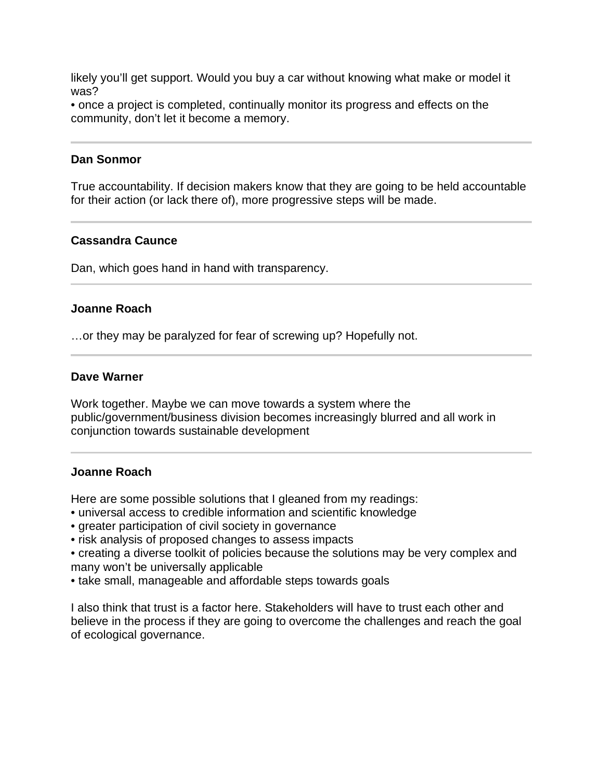likely you'll get support. Would you buy a car without knowing what make or model it was?

• once a project is completed, continually monitor its progress and effects on the community, don't let it become a memory.

### **Dan Sonmor**

I

l

True accountability. If decision makers know that they are going to be held accountable for their action (or lack there of), more progressive steps will be made.

## **Cassandra Caunce**

Dan, which goes hand in hand with transparency.

## **Joanne Roach**

…or they may be paralyzed for fear of screwing up? Hopefully not.

### **Dave Warner**

Work together. Maybe we can move towards a system where the public/government/business division becomes increasingly blurred and all work in conjunction towards sustainable development

### **Joanne Roach**

Here are some possible solutions that I gleaned from my readings:

- universal access to credible information and scientific knowledge
- greater participation of civil society in governance
- risk analysis of proposed changes to assess impacts
- creating a diverse toolkit of policies because the solutions may be very complex and many won't be universally applicable
- take small, manageable and affordable steps towards goals

I also think that trust is a factor here. Stakeholders will have to trust each other and believe in the process if they are going to overcome the challenges and reach the goal of ecological governance.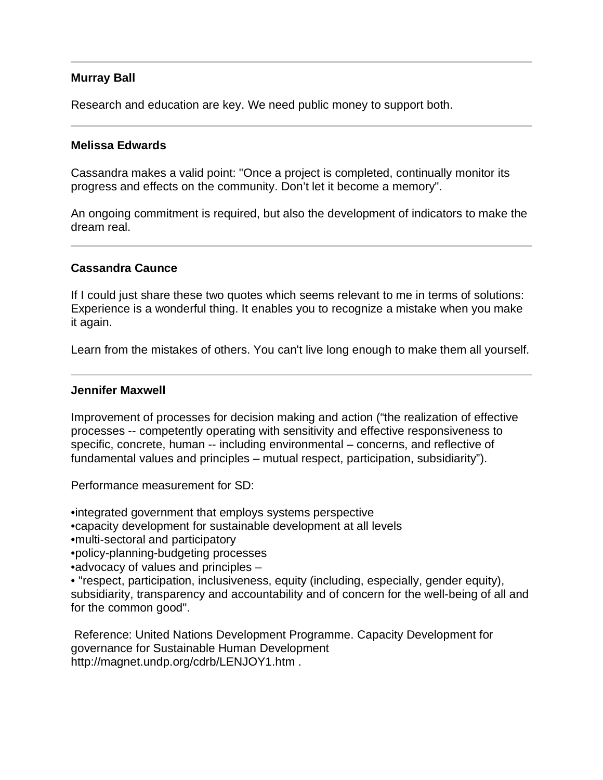# **Murray Ball**

Research and education are key. We need public money to support both.

### **Melissa Edwards**

Cassandra makes a valid point: "Once a project is completed, continually monitor its progress and effects on the community. Don't let it become a memory".

An ongoing commitment is required, but also the development of indicators to make the dream real.

## **Cassandra Caunce**

 $\overline{a}$ 

If I could just share these two quotes which seems relevant to me in terms of solutions: Experience is a wonderful thing. It enables you to recognize a mistake when you make it again.

Learn from the mistakes of others. You can't live long enough to make them all yourself.

### **Jennifer Maxwell**

Improvement of processes for decision making and action ("the realization of effective processes -- competently operating with sensitivity and effective responsiveness to specific, concrete, human -- including environmental – concerns, and reflective of fundamental values and principles – mutual respect, participation, subsidiarity").

Performance measurement for SD:

•integrated government that employs systems perspective

- •capacity development for sustainable development at all levels
- •multi-sectoral and participatory

•policy-planning-budgeting processes

•advocacy of values and principles –

• "respect, participation, inclusiveness, equity (including, especially, gender equity), subsidiarity, transparency and accountability and of concern for the well-being of all and for the common good".

 Reference: United Nations Development Programme. Capacity Development for governance for Sustainable Human Development http://magnet.undp.org/cdrb/LENJOY1.htm .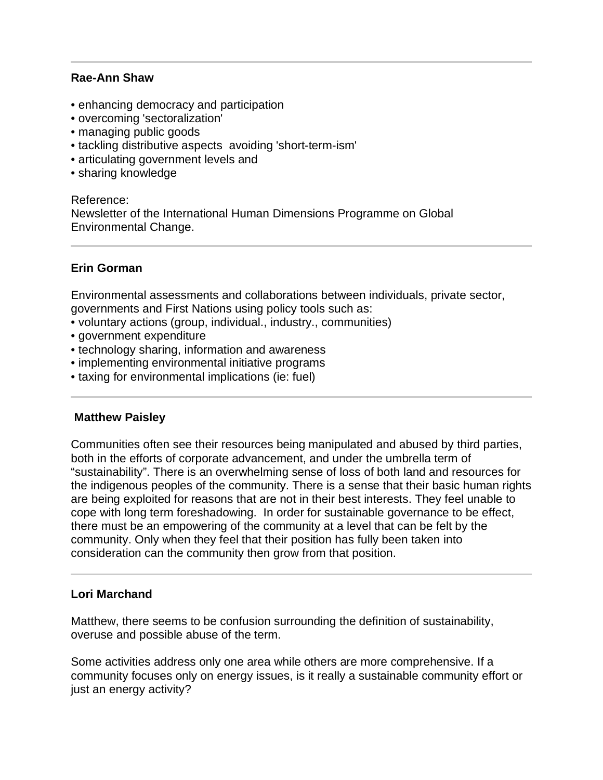## **Rae-Ann Shaw**

- enhancing democracy and participation
- overcoming 'sectoralization'
- managing public goods
- tackling distributive aspects avoiding 'short-term-ism'
- articulating government levels and
- sharing knowledge

Reference: Newsletter of the International Human Dimensions Programme on Global Environmental Change.

# **Erin Gorman**

l

Environmental assessments and collaborations between individuals, private sector, governments and First Nations using policy tools such as:

- voluntary actions (group, individual., industry., communities)
- government expenditure
- technology sharing, information and awareness
- implementing environmental initiative programs
- taxing for environmental implications (ie: fuel)

# **Matthew Paisley**

Communities often see their resources being manipulated and abused by third parties, both in the efforts of corporate advancement, and under the umbrella term of "sustainability". There is an overwhelming sense of loss of both land and resources for the indigenous peoples of the community. There is a sense that their basic human rights are being exploited for reasons that are not in their best interests. They feel unable to cope with long term foreshadowing. In order for sustainable governance to be effect, there must be an empowering of the community at a level that can be felt by the community. Only when they feel that their position has fully been taken into consideration can the community then grow from that position.

# **Lori Marchand**

Matthew, there seems to be confusion surrounding the definition of sustainability, overuse and possible abuse of the term.

Some activities address only one area while others are more comprehensive. If a community focuses only on energy issues, is it really a sustainable community effort or just an energy activity?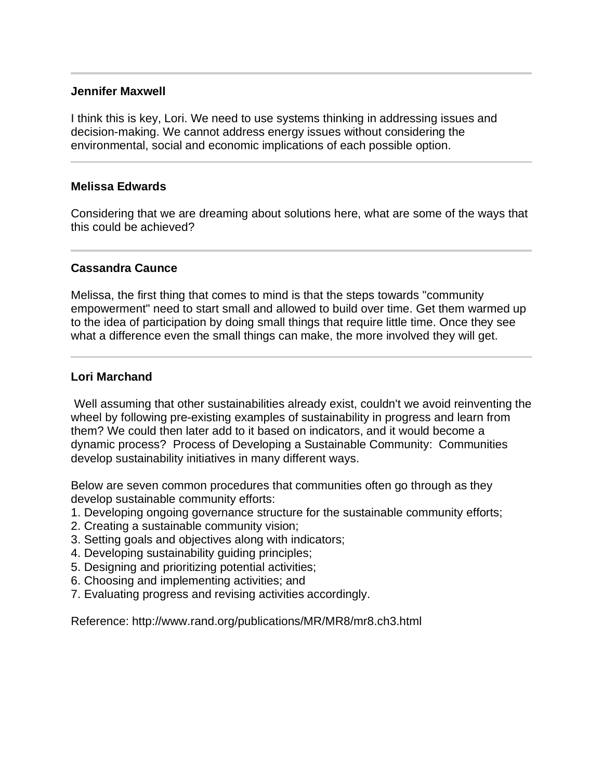### **Jennifer Maxwell**

I think this is key, Lori. We need to use systems thinking in addressing issues and decision-making. We cannot address energy issues without considering the environmental, social and economic implications of each possible option.

## **Melissa Edwards**

l

Considering that we are dreaming about solutions here, what are some of the ways that this could be achieved?

# **Cassandra Caunce**

Melissa, the first thing that comes to mind is that the steps towards "community empowerment" need to start small and allowed to build over time. Get them warmed up to the idea of participation by doing small things that require little time. Once they see what a difference even the small things can make, the more involved they will get.

## **Lori Marchand**

 Well assuming that other sustainabilities already exist, couldn't we avoid reinventing the wheel by following pre-existing examples of sustainability in progress and learn from them? We could then later add to it based on indicators, and it would become a dynamic process? Process of Developing a Sustainable Community: Communities develop sustainability initiatives in many different ways.

Below are seven common procedures that communities often go through as they develop sustainable community efforts:

- 1. Developing ongoing governance structure for the sustainable community efforts;
- 2. Creating a sustainable community vision;
- 3. Setting goals and objectives along with indicators;
- 4. Developing sustainability guiding principles;
- 5. Designing and prioritizing potential activities;
- 6. Choosing and implementing activities; and
- 7. Evaluating progress and revising activities accordingly.

Reference: http://www.rand.org/publications/MR/MR8/mr8.ch3.html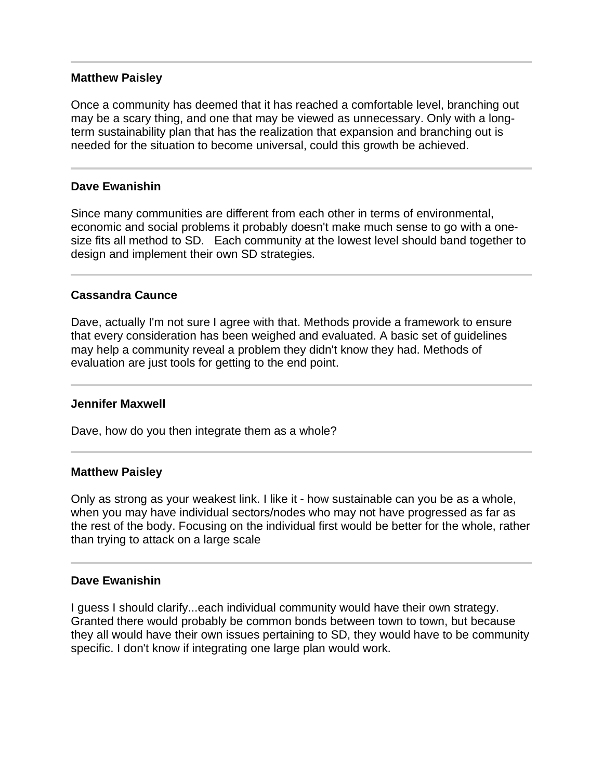### **Matthew Paisley**

Once a community has deemed that it has reached a comfortable level, branching out may be a scary thing, and one that may be viewed as unnecessary. Only with a longterm sustainability plan that has the realization that expansion and branching out is needed for the situation to become universal, could this growth be achieved.

## **Dave Ewanishin**

Since many communities are different from each other in terms of environmental, economic and social problems it probably doesn't make much sense to go with a onesize fits all method to SD. Each community at the lowest level should band together to design and implement their own SD strategies.

## **Cassandra Caunce**

Dave, actually I'm not sure I agree with that. Methods provide a framework to ensure that every consideration has been weighed and evaluated. A basic set of guidelines may help a community reveal a problem they didn't know they had. Methods of evaluation are just tools for getting to the end point.

### **Jennifer Maxwell**

Dave, how do you then integrate them as a whole?

### **Matthew Paisley**

Only as strong as your weakest link. I like it - how sustainable can you be as a whole, when you may have individual sectors/nodes who may not have progressed as far as the rest of the body. Focusing on the individual first would be better for the whole, rather than trying to attack on a large scale

### **Dave Ewanishin**

I guess I should clarify...each individual community would have their own strategy. Granted there would probably be common bonds between town to town, but because they all would have their own issues pertaining to SD, they would have to be community specific. I don't know if integrating one large plan would work.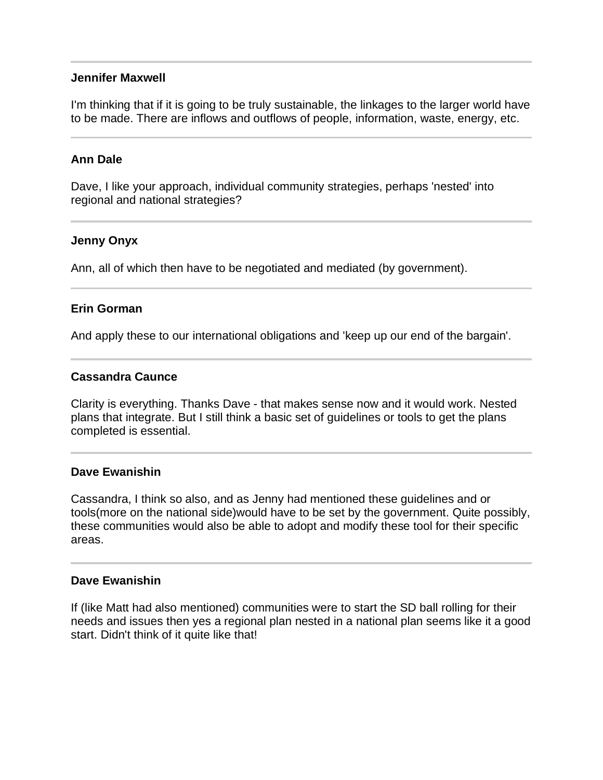### **Jennifer Maxwell**

I'm thinking that if it is going to be truly sustainable, the linkages to the larger world have to be made. There are inflows and outflows of people, information, waste, energy, etc.

#### **Ann Dale**

Dave, I like your approach, individual community strategies, perhaps 'nested' into regional and national strategies?

#### **Jenny Onyx**

Ann, all of which then have to be negotiated and mediated (by government).

### **Erin Gorman**

And apply these to our international obligations and 'keep up our end of the bargain'.

#### **Cassandra Caunce**

Clarity is everything. Thanks Dave - that makes sense now and it would work. Nested plans that integrate. But I still think a basic set of guidelines or tools to get the plans completed is essential.

#### **Dave Ewanishin**

Cassandra, I think so also, and as Jenny had mentioned these guidelines and or tools(more on the national side)would have to be set by the government. Quite possibly, these communities would also be able to adopt and modify these tool for their specific areas.

#### **Dave Ewanishin**

If (like Matt had also mentioned) communities were to start the SD ball rolling for their needs and issues then yes a regional plan nested in a national plan seems like it a good start. Didn't think of it quite like that!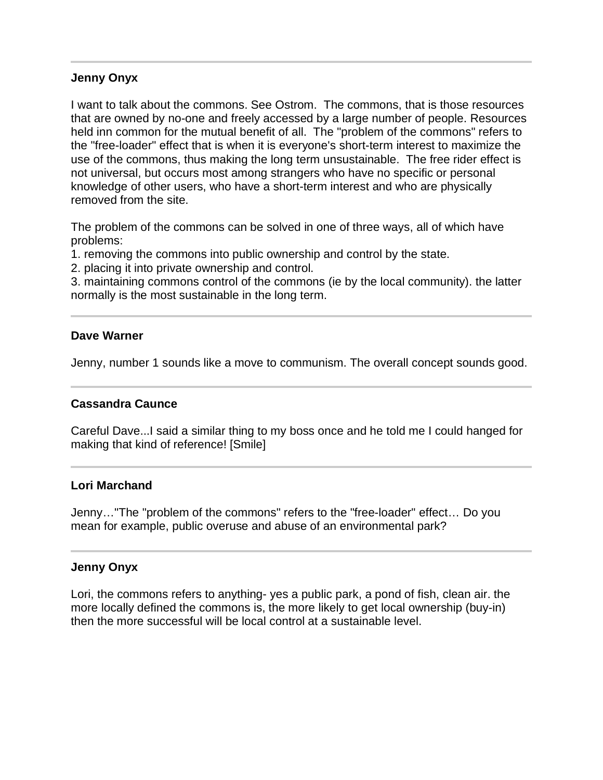### **Jenny Onyx**

I want to talk about the commons. See Ostrom. The commons, that is those resources that are owned by no-one and freely accessed by a large number of people. Resources held inn common for the mutual benefit of all. The "problem of the commons" refers to the "free-loader" effect that is when it is everyone's short-term interest to maximize the use of the commons, thus making the long term unsustainable. The free rider effect is not universal, but occurs most among strangers who have no specific or personal knowledge of other users, who have a short-term interest and who are physically removed from the site.

The problem of the commons can be solved in one of three ways, all of which have problems:

1. removing the commons into public ownership and control by the state.

2. placing it into private ownership and control.

3. maintaining commons control of the commons (ie by the local community). the latter normally is the most sustainable in the long term.

## **Dave Warner**

Jenny, number 1 sounds like a move to communism. The overall concept sounds good.

# **Cassandra Caunce**

Careful Dave...I said a similar thing to my boss once and he told me I could hanged for making that kind of reference! [Smile]

### **Lori Marchand**

Jenny…"The "problem of the commons" refers to the "free-loader" effect… Do you mean for example, public overuse and abuse of an environmental park?

### **Jenny Onyx**

j

Lori, the commons refers to anything- yes a public park, a pond of fish, clean air. the more locally defined the commons is, the more likely to get local ownership (buy-in) then the more successful will be local control at a sustainable level.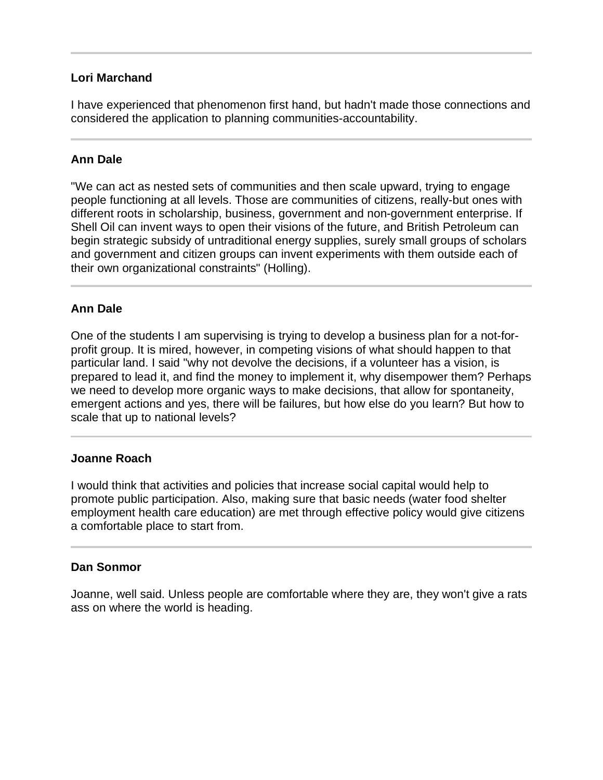# **Lori Marchand**

I have experienced that phenomenon first hand, but hadn't made those connections and considered the application to planning communities-accountability.

## **Ann Dale**

"We can act as nested sets of communities and then scale upward, trying to engage people functioning at all levels. Those are communities of citizens, really-but ones with different roots in scholarship, business, government and non-government enterprise. If Shell Oil can invent ways to open their visions of the future, and British Petroleum can begin strategic subsidy of untraditional energy supplies, surely small groups of scholars and government and citizen groups can invent experiments with them outside each of their own organizational constraints" (Holling).

# **Ann Dale**

One of the students I am supervising is trying to develop a business plan for a not-forprofit group. It is mired, however, in competing visions of what should happen to that particular land. I said "why not devolve the decisions, if a volunteer has a vision, is prepared to lead it, and find the money to implement it, why disempower them? Perhaps we need to develop more organic ways to make decisions, that allow for spontaneity, emergent actions and yes, there will be failures, but how else do you learn? But how to scale that up to national levels?

### **Joanne Roach**

l

I would think that activities and policies that increase social capital would help to promote public participation. Also, making sure that basic needs (water food shelter employment health care education) are met through effective policy would give citizens a comfortable place to start from.

### **Dan Sonmor**

Joanne, well said. Unless people are comfortable where they are, they won't give a rats ass on where the world is heading.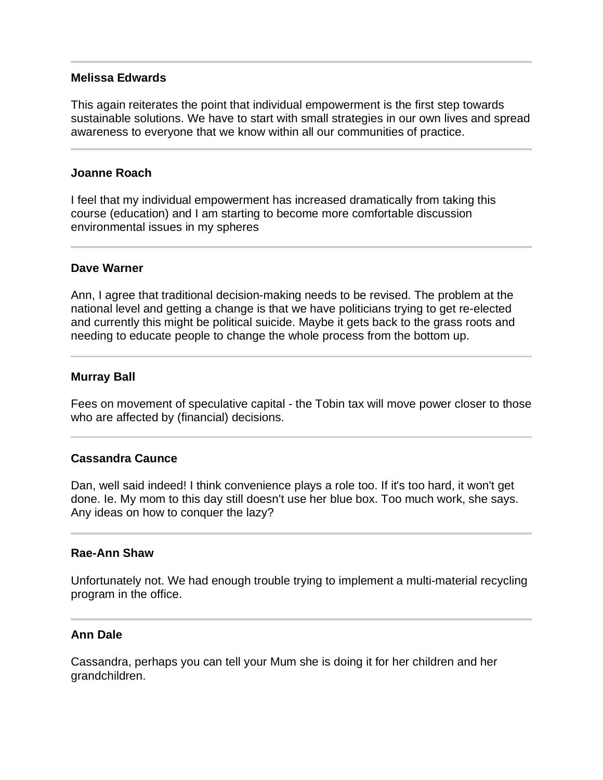### **Melissa Edwards**

This again reiterates the point that individual empowerment is the first step towards sustainable solutions. We have to start with small strategies in our own lives and spread awareness to everyone that we know within all our communities of practice.

## **Joanne Roach**

I feel that my individual empowerment has increased dramatically from taking this course (education) and I am starting to become more comfortable discussion environmental issues in my spheres

## **Dave Warner**

Ann, I agree that traditional decision-making needs to be revised. The problem at the national level and getting a change is that we have politicians trying to get re-elected and currently this might be political suicide. Maybe it gets back to the grass roots and needing to educate people to change the whole process from the bottom up.

# **Murray Ball**

 $\overline{a}$ 

Fees on movement of speculative capital - the Tobin tax will move power closer to those who are affected by (financial) decisions.

# **Cassandra Caunce**

Dan, well said indeed! I think convenience plays a role too. If it's too hard, it won't get done. Ie. My mom to this day still doesn't use her blue box. Too much work, she says. Any ideas on how to conquer the lazy?

### **Rae-Ann Shaw**

Unfortunately not. We had enough trouble trying to implement a multi-material recycling program in the office.

### **Ann Dale**

Cassandra, perhaps you can tell your Mum she is doing it for her children and her grandchildren.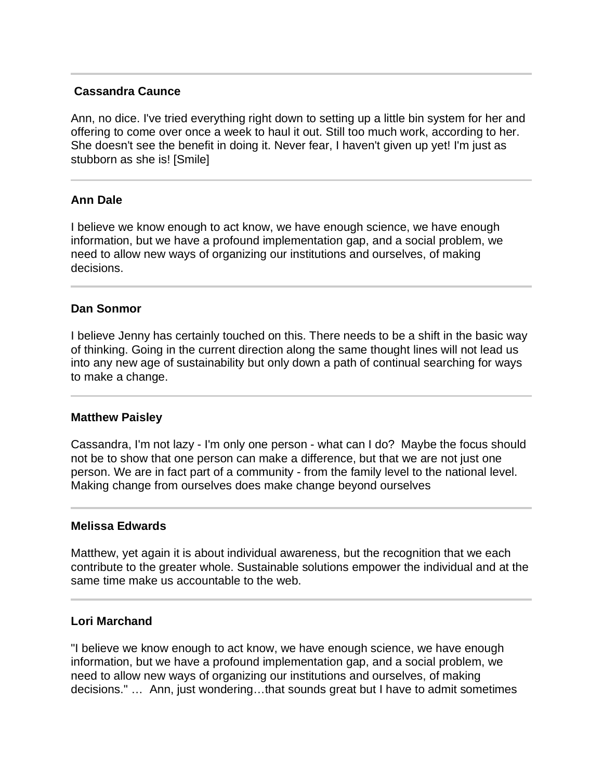## **Cassandra Caunce**

Ann, no dice. I've tried everything right down to setting up a little bin system for her and offering to come over once a week to haul it out. Still too much work, according to her. She doesn't see the benefit in doing it. Never fear, I haven't given up yet! I'm just as stubborn as she is! [Smile]

## **Ann Dale**

I believe we know enough to act know, we have enough science, we have enough information, but we have a profound implementation gap, and a social problem, we need to allow new ways of organizing our institutions and ourselves, of making decisions.

## **Dan Sonmor**

I believe Jenny has certainly touched on this. There needs to be a shift in the basic way of thinking. Going in the current direction along the same thought lines will not lead us into any new age of sustainability but only down a path of continual searching for ways to make a change.

### **Matthew Paisley**

Cassandra, I'm not lazy - I'm only one person - what can I do? Maybe the focus should not be to show that one person can make a difference, but that we are not just one person. We are in fact part of a community - from the family level to the national level. Making change from ourselves does make change beyond ourselves

### **Melissa Edwards**

Matthew, yet again it is about individual awareness, but the recognition that we each contribute to the greater whole. Sustainable solutions empower the individual and at the same time make us accountable to the web.

### **Lori Marchand**

"I believe we know enough to act know, we have enough science, we have enough information, but we have a profound implementation gap, and a social problem, we need to allow new ways of organizing our institutions and ourselves, of making decisions." … Ann, just wondering…that sounds great but I have to admit sometimes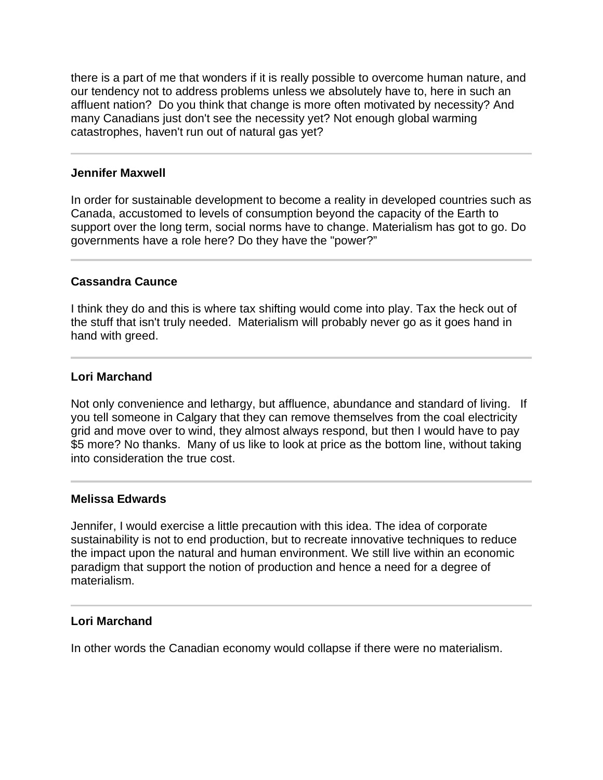there is a part of me that wonders if it is really possible to overcome human nature, and our tendency not to address problems unless we absolutely have to, here in such an affluent nation? Do you think that change is more often motivated by necessity? And many Canadians just don't see the necessity yet? Not enough global warming catastrophes, haven't run out of natural gas yet?

### **Jennifer Maxwell**

In order for sustainable development to become a reality in developed countries such as Canada, accustomed to levels of consumption beyond the capacity of the Earth to support over the long term, social norms have to change. Materialism has got to go. Do governments have a role here? Do they have the "power?"

# **Cassandra Caunce**

l

I think they do and this is where tax shifting would come into play. Tax the heck out of the stuff that isn't truly needed. Materialism will probably never go as it goes hand in hand with greed.

# **Lori Marchand**

Not only convenience and lethargy, but affluence, abundance and standard of living. If you tell someone in Calgary that they can remove themselves from the coal electricity grid and move over to wind, they almost always respond, but then I would have to pay \$5 more? No thanks. Many of us like to look at price as the bottom line, without taking into consideration the true cost.

# **Melissa Edwards**

Jennifer, I would exercise a little precaution with this idea. The idea of corporate sustainability is not to end production, but to recreate innovative techniques to reduce the impact upon the natural and human environment. We still live within an economic paradigm that support the notion of production and hence a need for a degree of materialism.

# **Lori Marchand**

j

In other words the Canadian economy would collapse if there were no materialism.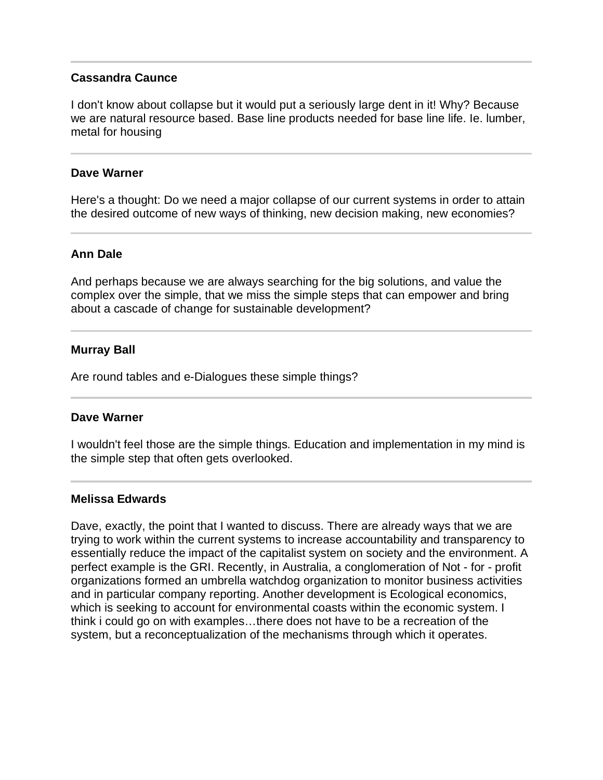## **Cassandra Caunce**

I don't know about collapse but it would put a seriously large dent in it! Why? Because we are natural resource based. Base line products needed for base line life. Ie. lumber, metal for housing

### **Dave Warner**

Here's a thought: Do we need a major collapse of our current systems in order to attain the desired outcome of new ways of thinking, new decision making, new economies?

### **Ann Dale**

And perhaps because we are always searching for the big solutions, and value the complex over the simple, that we miss the simple steps that can empower and bring about a cascade of change for sustainable development?

#### **Murray Ball**

Are round tables and e-Dialogues these simple things?

#### **Dave Warner**

I wouldn't feel those are the simple things. Education and implementation in my mind is the simple step that often gets overlooked.

#### **Melissa Edwards**

Dave, exactly, the point that I wanted to discuss. There are already ways that we are trying to work within the current systems to increase accountability and transparency to essentially reduce the impact of the capitalist system on society and the environment. A perfect example is the GRI. Recently, in Australia, a conglomeration of Not - for - profit organizations formed an umbrella watchdog organization to monitor business activities and in particular company reporting. Another development is Ecological economics, which is seeking to account for environmental coasts within the economic system. I think i could go on with examples…there does not have to be a recreation of the system, but a reconceptualization of the mechanisms through which it operates.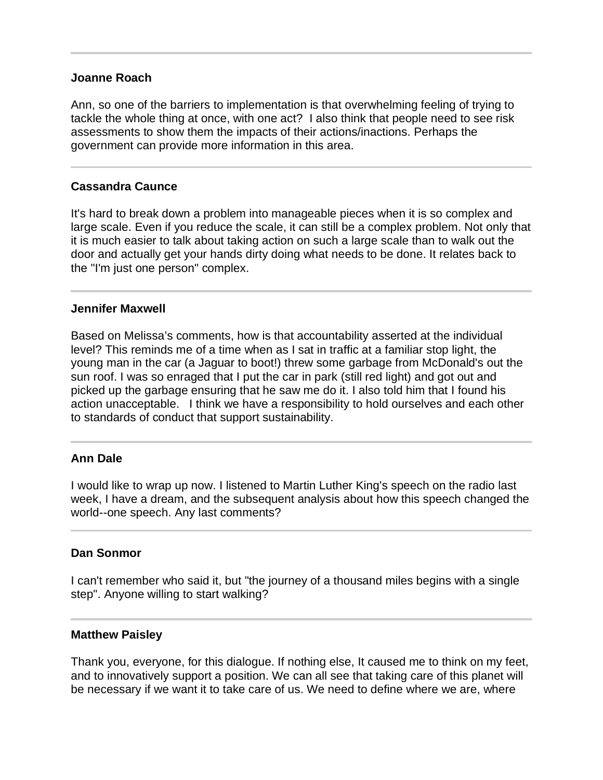### **Joanne Roach**

Ann, so one of the barriers to implementation is that overwhelming feeling of trying to tackle the whole thing at once, with one act? I also think that people need to see risk assessments to show them the impacts of their actions/inactions. Perhaps the government can provide more information in this area.

# **Cassandra Caunce**

It's hard to break down a problem into manageable pieces when it is so complex and large scale. Even if you reduce the scale, it can still be a complex problem. Not only that it is much easier to talk about taking action on such a large scale than to walk out the door and actually get your hands dirty doing what needs to be done. It relates back to the "I'm just one person" complex.

# **Jennifer Maxwell**

Based on Melissa's comments, how is that accountability asserted at the individual level? This reminds me of a time when as I sat in traffic at a familiar stop light, the young man in the car (a Jaguar to boot!) threw some garbage from McDonald's out the sun roof. I was so enraged that I put the car in park (still red light) and got out and picked up the garbage ensuring that he saw me do it. I also told him that I found his action unacceptable. I think we have a responsibility to hold ourselves and each other to standards of conduct that support sustainability.

# **Ann Dale**

I would like to wrap up now. I listened to Martin Luther King's speech on the radio last week, I have a dream, and the subsequent analysis about how this speech changed the world--one speech. Any last comments?

### **Dan Sonmor**

I can't remember who said it, but "the journey of a thousand miles begins with a single step". Anyone willing to start walking?

### **Matthew Paisley**

Thank you, everyone, for this dialogue. If nothing else, It caused me to think on my feet, and to innovatively support a position. We can all see that taking care of this planet will be necessary if we want it to take care of us. We need to define where we are, where